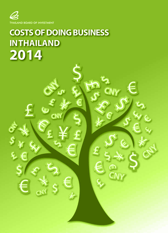**THAILAND BOARD OF INVESTMENT** 

# **COSTS OF DOING BUSINESS IN THAILAND 2014**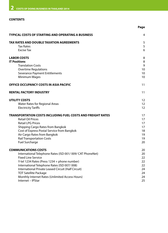### **CONTENTS**

|                                                                                                    | Page              |
|----------------------------------------------------------------------------------------------------|-------------------|
| <b>TYPICAL COSTS OF STARTING AND OPERATING A BUSINESS</b>                                          | 4                 |
| TAX RATES AND DOUBLE TAXATION AGREEMENTS                                                           | 5                 |
| <b>Tax Rates</b>                                                                                   | 5                 |
| <b>Excise Tax</b>                                                                                  | 6                 |
| <b>LABOR COSTS</b>                                                                                 | 8                 |
| <b>IT Positions</b>                                                                                | 8                 |
| <b>Translation Costs</b>                                                                           | 9                 |
| <b>Overtime Regulations</b>                                                                        | 10                |
| Severance Payment Entitlements                                                                     | 10                |
| Minimum Wages                                                                                      | 10                |
| OFFICE OCCUPANCY COSTS IN ASIA PACIFIC                                                             | 11                |
| <b>RENTAL FACTORY INDUSTRY</b>                                                                     | 11                |
| UTILITY COSTS                                                                                      | 12                |
| <b>Water Rates for Regional Areas</b>                                                              | $12 \overline{ }$ |
| <b>Electricity Tariffs</b>                                                                         | $12 \overline{ }$ |
| <b>TRANSPORTATION COSTS INCLUDING FUEL COSTS AND FREIGHT RATES</b>                                 | 17                |
| <b>Retail Oil Prices</b>                                                                           | 17                |
| <b>Retail LPG Prices</b>                                                                           | 17                |
| Shipping Cargo Rates from Bangkok                                                                  | 17                |
| Cost of Express Postal Service from Bangkok                                                        | 18                |
| Air Cargo Rates from Bangkok                                                                       | 19                |
| <b>Rail Transportation Costs</b>                                                                   | 19                |
| <b>Fuel Surcharge</b>                                                                              | 20                |
| <b>COMMUNICATIONS COSTS</b>                                                                        | 20                |
| International Telephone Rates (ISD 001/009/CAT PhoneNet)                                           | 20                |
| <b>Fixed Line Service</b>                                                                          | 22                |
| Y-tel 1234 Rates (Press 1234 + phone number)                                                       | 22                |
| International Telephone Rates (ISD 007/008)<br>International Private Leased Circuit (Half Circuit) | 22<br>24          |
| <b>TOT Satellite Package</b>                                                                       | 24                |
| Monthly Internet Rates (Unlimited Access Hours)                                                    | 24                |
| Internet - IPStar                                                                                  | 25                |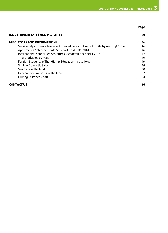**Page**

| <b>INDUSTRIAL ESTATES AND FACILITIES</b>                                     | 26 |
|------------------------------------------------------------------------------|----|
| <b>MISC. COSTS AND INFORMATIONS</b>                                          | 46 |
| Serviced Apartments Average Achieved Rents of Grade A Units by Area, Q1 2014 | 46 |
| Apartments Achieved Rents Area and Grade, Q1 2014                            | 46 |
| International School Fee Structures (Academic Year 2014-2015)                | 47 |
| Thai Graduates by Major                                                      | 49 |
| Foreign Students in Thai Higher Education Institutions                       | 49 |
| <b>Vehicle Domestic Sales</b>                                                | 49 |
| SeaPorts in Thailand                                                         | 50 |
| International Airports in Thailand                                           | 52 |
| Driving Distance Chart                                                       | 54 |
| <b>CONTACT US</b>                                                            | 56 |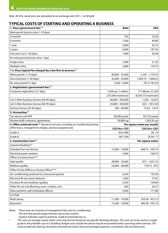*Note: All US\$ conversions are calculated at an exchange rate US\$1 = 32.00 baht*

### **TYPICAL COSTS OF STARTING AND OPERATING A BUSINESS**

| 1. Visas (government fee) (1)                                                                 | <b>Baht</b>                | US\$                |
|-----------------------------------------------------------------------------------------------|----------------------------|---------------------|
| Work permit (process time 1-10 days)                                                          |                            |                     |
| 3 months                                                                                      | 750                        | 23.44               |
| 6 months                                                                                      | 1,500                      | 46.88               |
| 1 year                                                                                        | 3,000                      | 93.75               |
| 2 years                                                                                       | 6,000                      | 187.50              |
| One-year visa (1-30 days)                                                                     | 1,900                      | 59.38               |
| Re-entry permit (process time 1 day)                                                          |                            |                     |
| Single entry                                                                                  | 1,000                      | 31.25               |
| Multiple entry                                                                                | 3,800                      | 118.75              |
| 1 a. Visas (typical fee charged by a law firm to process) (1)                                 |                            |                     |
| Work permit (1-10 days)                                                                       | 40,000 - 55,000            | 1,250 - 1,718.75    |
| Visa extension (1-30 days)                                                                    | 35,000 - 45,000            | 1,093.75 - 1,406.25 |
| Re-entry permit (1 day)                                                                       | $2,500 - 6,000$            | 78.13-187.50        |
| 2. Registration (government fee) (1)                                                          |                            |                     |
| Company registration (21 days)                                                                | 5,500 per 1 million        | 171.88 per 31,250   |
|                                                                                               | (275,000 maximum)          | (8,593.75 maximum)  |
| List 2 Alien business license (60-90 days)                                                    | 40,000 - 500,000           | 1,250 - 15,625      |
| List 3 Alien business license (60-90 days)                                                    | 20,000 - 250,000           | 625 - 7,812.50      |
| Factory license (30-45 days)                                                                  | $500 - 60,000$             | 15.63 - 1,875       |
| 3. Accounting (1)                                                                             |                            |                     |
| Tax returns and VAT                                                                           | 30,000 yearly              | 937.50 yearly       |
| Review/draft contracts, agreements                                                            | 50,000 up                  | 1,562.50 up         |
| 4. Office achieved rents <sup>(2)</sup> (based on net area, including air-conditioning during | Per square meter per month |                     |
| office hours, management charges, and local property tax)                                     | <b>CBD/Non-CBD</b>         | <b>CBD/Non-CBD</b>  |
| Grade A                                                                                       | 832/608                    | 26/19               |
| Grade B                                                                                       | 587/544                    | 18.34/17            |
| 5. Construction Cost <sup>(3)</sup>                                                           |                            | Per square meter    |
| Industrial Building**                                                                         |                            |                     |
| Standard low rise factory                                                                     | 15,000 - 19,000            | 468.75 - 593.75     |
| Electrical power systems                                                                      |                            |                     |
| Office (Contstruction)***                                                                     | 5,400                      | 168.75              |
|                                                                                               |                            |                     |
| <b>High quality</b>                                                                           | 28,000 - 33,000            | 875 - 1,031.25      |
| Medium quality                                                                                | 23,000 - 28,000            | 718.75 - 875        |
| Office Fit Out (Offices or Factory Office)****                                                |                            |                     |
| Air conditioning (external to communal system)                                                | 4,350                      | 135.94              |
| Electrical fit out (work stations)                                                            | 1,850                      | 57.81               |
| Furniture fit out (medium quality)                                                            | 3,350                      | 104.69              |
| Other fit out cost (flooring cover, curtains, etc.)                                           | 650                        | 20.31               |
| Glass partition wall (individual offices)                                                     | 5,500                      | 171.88              |
| Car Park                                                                                      |                            |                     |
| Multi storey                                                                                  | 11,500 - 14,500            | 359.38 - 453.13     |

*Notes: - These rents are inclusive of management fees and air-conditioning*

*- Grade A indicates superior premises, Grade B somewhat less so.*

*\* The costs are average square meter costs only and not based on any specific drawings/designs. The costs are to be used as a rough guide to the probable cost of a 'building'. Budget costs outside the above may be encountered when searching other avenues. The costs exclude site clearing, formation and external works, financial and legal expenses, consultants' fees and land costs.*

*<sup>-</sup> The rent-free period ranges between one to two months*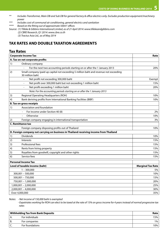- *\*\* Includes Transformer, Main DB and Sub DB for general factory & office electrics only. Excludes production equipment/machinery power*
- *\*\*\* Includes cost of communal air conditioning, general electrics and sanitation*
- *\*\*\*\* Based on the fitting out of approximate 500m2 offices*
- *Source: (1) Tilleke & Gibbins International Limited, as of 21 April 2014: www.tillekeandgibbins.com* 
	- *(2) CBRE Research, Q1 2014: www.cbre.co.th*
	- *(3) Tractus Asia Ltd., as of May 2014*

### **TAX RATES AND DOUBLE TAXATION AGREEMENTS**

|    | Tax Rates                                                                                                |                          |
|----|----------------------------------------------------------------------------------------------------------|--------------------------|
|    | <b>Corporate Income Tax</b>                                                                              | Rate                     |
|    | A. Tax on net corporate profits                                                                          |                          |
| 1) | Ordinary company                                                                                         |                          |
|    | For the next two accounting periods starting on or after the 1 January 2013                              | 20%                      |
| 2) | Small company (paid up capital not exceeding 5 million baht and revenue not exceeding<br>30 million baht |                          |
|    | Net profit not exceeding 300,000 baht                                                                    | Exempt                   |
|    | Net profit over 300,000 baht but not exceeding 1 million baht<br>÷,                                      | 15%                      |
|    | Net profit exceeding 1 million baht<br>÷,                                                                | 20%                      |
|    | Note: For the accounting periods starting on or after the 1 January 2013                                 |                          |
| 3) | Regional Operating Headquarters (ROH)                                                                    | 10%                      |
| 4) | Bank deriving profits from International Banking Facilities (BIBF)                                       | 10%                      |
|    | <b>B. Tax on gross receipts</b>                                                                          |                          |
| 1) | Association and foundation                                                                               |                          |
|    | For income under Section 40 (8)                                                                          | 2%                       |
|    | Otherwise                                                                                                | 10%                      |
| 2) | Foreign company engaging in international transportation                                                 | 3%                       |
|    | <b>C. Remittance tax</b>                                                                                 |                          |
|    | Foreign company disposing profits out of Thailand                                                        | 10%                      |
|    | D. Foreign company not carrying on business in Thailand receiving income from Thailand                   |                          |
| 1) | <b>Dividends</b>                                                                                         | 10%                      |
| 2) | Interests                                                                                                | 15%                      |
| 3) | Professional fees                                                                                        | 15%                      |
| 4) | Rents from hiring property                                                                               | 15%                      |
| 5) | Royalties from goodwill, copyright and other rights                                                      | 15%                      |
| 6) | Service fees                                                                                             | 15%                      |
|    | <b>Personal Income Tax</b>                                                                               |                          |
|    | Level of taxable income (baht)                                                                           | <b>Marginal Tax Rate</b> |
|    | $1 - 300,000$                                                                                            | 5%                       |
|    | 300,001 - 500,000                                                                                        | 10%                      |
|    | $500,001 - 750,000$                                                                                      | 15%                      |
|    | 750,001 - 1,000,000                                                                                      | 20%                      |
|    | 1,000,001 - 2,000,000                                                                                    | 25%                      |
|    | $2,000,001 - 4,000,000$                                                                                  | 30%                      |
|    | Over 4,000,000                                                                                           | 35%                      |

*Notes: - Net income of 150,000 baht is exempted*

*- Expatriates working for ROH can elect to be taxed at the rate of 15% on gross income for 4 years instead of normal progressive tax rates*

|     | <b>Withholding Tax from Bank Deposits</b> | Rate  |
|-----|-------------------------------------------|-------|
| Α.  | For individuals                           | 15%   |
| ΙB. | For companies                             | $1\%$ |
| J.  | For foundations                           | 10%   |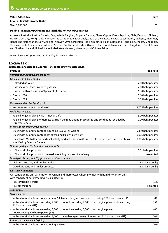| Value Added Tax                | Rate    |
|--------------------------------|---------|
| Level of taxable income (baht) |         |
| Over 1,800,000                 | $7\%$ . |

### **Double Taxation Agreements Exist With the Following Countries:**

Armenia, Australia, Austria, Bahrain, Bangladesh, Belgium, Bulgaria, Canada, China, Cyprus, Czech Republic, Chile, Denmark, Finland, France, Germany, Hong Kong, Hungary, India, Indonesia, Israel, Italy, Japan, Korea, Kuwait, Laos, Luxembourg, Malaysia, Mauritius, Nepal, The Netherlands, New Zealand, Norway, Oman, Pakistan, The Philippines, Poland, Romania, Russia, Seychelles, Singapore, Slovenia, South Africa, Spain, Sri Lanka, Sweden, Switzerland, Turkey, Ukraine, United Arab Emirates, United Kingdom of Great Britain and Northern Ireland, United States, Uzbekistan, Vietnam, Myanmar, and Chinese Taipei

*Source: Revenue Department, as of 14 May 2014: www.rd.go.th*

### **Excise Tax**

| (Examples of excise tax  for full list, contact www.excise.go.th)                                                                                       |                      |
|---------------------------------------------------------------------------------------------------------------------------------------------------------|----------------------|
| Product                                                                                                                                                 | <b>Tax Rate</b>      |
| Petroleum and petroleum products                                                                                                                        |                      |
| Gasoline and similar products                                                                                                                           |                      |
| Unleaded gasoline                                                                                                                                       | 7.00 baht per liter  |
| Gasoline other than unleaded gasoline                                                                                                                   | 7.00 baht per liter  |
| Gasohol with not less than 9 percent of ethanol                                                                                                         | 6.30 baht per liter  |
| Gasohol E20                                                                                                                                             | 5.60 baht per liter  |
| Gasohol E85                                                                                                                                             | 1.05 baht per liter  |
| Kerosene and similar lighting oil                                                                                                                       |                      |
| Kerosene and similar lighting oil                                                                                                                       | 3.055 baht per liter |
| Fuel oil for jet plane                                                                                                                                  |                      |
| Fuel oil for jet airplane which is not aircraft                                                                                                         | 3.00 baht per liter  |
| Fuel oil for jet airplane for domestic aircraft per regulations, procedures, and conditions specified by<br><b>Director General</b>                     | 0.20 baht per liter  |
| Diesel and other similar types of oil                                                                                                                   |                      |
| Diesel with sulphuric content exceeding 0.005% by weight                                                                                                | 5.310 baht per liter |
| Diesel with sulphuric content not exceeding 0.005% by weight                                                                                            | 0.005 baht per liter |
| Diesel with Methyl Esters biodiesel of fatty acid not less than 4% as per rules, procedures and conditions<br>specified by Director General             | 0.005 baht per liter |
| Natural gas liquid (NGL) and similar products                                                                                                           |                      |
| NGL and similar products                                                                                                                                | 5.31 baht per liter  |
| NGL and similar products to be used in refining process of a refinery                                                                                   | exempted             |
| Liquid petroleum gas (LPG), propane and similar products                                                                                                |                      |
| LPG and propane, and similar products                                                                                                                   | 2.17 baht per kg     |
| Liquid propane and similar products                                                                                                                     | 2.17 baht per kg     |
| <b>Electrical Appliances</b>                                                                                                                            |                      |
| Air–conditioning unit with motor-driven fan and thermostat, whether or not with humidity control unit<br>with capacity of not exceeding 72,000 BTU/hour |                      |
| (1) for used in vehicle                                                                                                                                 | 15%                  |
| $(2)$ others from $(1)$                                                                                                                                 | exempted             |
| Automobile                                                                                                                                              |                      |
| Passenger car                                                                                                                                           |                      |
| with cylindrical volume not exceeding 2,000 cc and engine power not exceeding 220 horse power (HP)                                                      | 30%                  |
| with cylindrical volume exceeding 2,000 cc but not exceeding 2,500 cc and engine power not exceeding<br>220 horse power (HP)                            | 35%                  |
| with cylindrical volume exceeding 2,500 cc but not exceeding 3,000 cc and engine power<br>not exceeding 220 horse power (HP)                            | 40%                  |
| with cylindrical volume exceeding 3,000 cc or with engine power of exceeding 220 horse power (HP)                                                       | 50%                  |
| Pick-up passenger vehicle (PPV)                                                                                                                         |                      |
| with cylindrical volume not exceeding 3,250 cc                                                                                                          | 20%                  |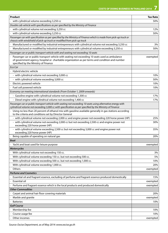| <b>Product</b>                                                                                                                                                                                                                             | <b>Tax Rate</b> |
|--------------------------------------------------------------------------------------------------------------------------------------------------------------------------------------------------------------------------------------------|-----------------|
| with cylindrical volume exceeding 3,250 cc                                                                                                                                                                                                 | 50%             |
| Double cab vehicle with specifications as per specified by the Ministry of Finance                                                                                                                                                         |                 |
| with cylindrical volume not exceeding 3,250 cc                                                                                                                                                                                             | 12%             |
| with cylindrical volume exceeding 3,250 cc                                                                                                                                                                                                 | 50%             |
| Passenger car with specification as per specified by the Ministry of Finance which is made from pick-up truck or<br>chassis with windshield of pick-up truck or modified from pick-up truck                                                |                 |
| Manufactured or modified by industrial entrepreneurs with cylindrical volume not exceeding 3,250 cc                                                                                                                                        | 3%              |
| Manufactured or modified by industrial entrepreneurs with cylindrical volume exceeding 3,250 cc                                                                                                                                            | 50%             |
| Passenger car or public transport vehicle with and seating not exceeding 10 seats                                                                                                                                                          |                 |
| Passenger car or public transport vehicle with seating not exceeding 10 seats used as ambulance<br>of government agency, hospital or charitable organization as per terms and condition and number<br>specified by the Ministry of Finance | exempted        |
| Eco Car                                                                                                                                                                                                                                    |                 |
| Hybrid electric vehicle                                                                                                                                                                                                                    |                 |
| - with cylindrical volume not exceeding 3,000 cc                                                                                                                                                                                           | 10%             |
| - with cylindrical volume exceeding 3,000 cc                                                                                                                                                                                               | 50%             |
| Electric powered vehicle                                                                                                                                                                                                                   | 10%             |
| Fuel cell powered vehicle                                                                                                                                                                                                                  | 10%             |
| Economy car meeting international standards (From October 1, 2009 onwards)                                                                                                                                                                 |                 |
| - Gasoline engine with cylindrical volume not exceeding 1,300 cc                                                                                                                                                                           | 17%             |
| - Diesel engine with cylindrical volume not exceeding 1,400 cc                                                                                                                                                                             | 17%             |
| Passenger car or public transport vehicle with seating not exceeding 10 seats using alternative energy with<br>cylindrical volume not exceeding 3,000 cc with specification as per specified by the Ministry of Finance                    |                 |
| Using no less than 20 percent of ethanol mix with gasoline available generally in gas stations according<br>to the criteria and conditions set by Director General                                                                         |                 |
| - with cylindrical volume not exceeding 2,000 cc and engine power not exceeding 220 horse power (HP)                                                                                                                                       | 25%             |
| - with cylindrical volume not exceeding 2,000 cc but not exceeding 2,500 cc and engine power not<br>exceeding 220 horse power (HP)                                                                                                         | 30%             |
| - with cylindrical volume exceeding 2,500 cc but not exceeding 3,000 cc and engine power not<br>exceeding 220 horse power (HP)                                                                                                             | 35%             |
| Being capable of operating on natural gas                                                                                                                                                                                                  | 20%             |
| Boat                                                                                                                                                                                                                                       |                 |
| Yacht and boat used for leisure purpose                                                                                                                                                                                                    | exempted        |
| Motorcycles                                                                                                                                                                                                                                |                 |
| With cylindrical volume not exceeding 150 cc.                                                                                                                                                                                              | 3%              |
| With cylindrical volume exceeding 150 cc. but not exceeding 500 cc.                                                                                                                                                                        | 5%              |
| With cylindrical volume exceeding 500 cc. but not exceeding 1,000 cc.                                                                                                                                                                      | 10%             |
| With cylindrical volume exceeding 1,000 cc.                                                                                                                                                                                                | 20%             |
| Others                                                                                                                                                                                                                                     | exempted        |
| <b>Perfume and Cosmetics</b>                                                                                                                                                                                                               |                 |
| Essential oil and fragrant essence, excluding of perfume and fragrant essence produced domestically                                                                                                                                        | 15%             |
| Essential oil                                                                                                                                                                                                                              | exempted        |
| Perfume and fragrant essence which is the local products and produced domestically                                                                                                                                                         | exempted        |
| <b>Other Commodities</b>                                                                                                                                                                                                                   |                 |
| Carpet and animal hair floor covering materials                                                                                                                                                                                            | 20%             |
| Marble and granite                                                                                                                                                                                                                         | exempted        |
| <b>Batteries</b>                                                                                                                                                                                                                           | 10%             |
| <b>Golf Course</b>                                                                                                                                                                                                                         |                 |
| Membership fee                                                                                                                                                                                                                             | 10%             |
| Course usage fee                                                                                                                                                                                                                           | 10%             |
| Other incomes                                                                                                                                                                                                                              | exempted        |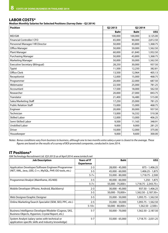### **LABOR COSTS\***

**Median Monthly Salaries for Selected Positions (Survey Date – Q2 2014)**

| <b>Position</b>                        | Q2 2013<br><b>Q2 2014</b> |             |          |
|----------------------------------------|---------------------------|-------------|----------|
|                                        | <b>Baht</b>               | <b>Baht</b> | US\$     |
| MD/GM                                  | 100,000                   | 100,000     | 3,125.00 |
| Financial Controller/ CFO              | 65,000                    | 90,000      | 2,812.50 |
| Personnel Manager/HR Director          | 50,000                    | 43,800      | 1,368.75 |
| Office Manager                         | 50,000                    | 50,000      | 1,562.50 |
| <b>Plant Manager</b>                   | 60,000                    | 61,840      | 1,932.50 |
| <b>Purchasing Manager</b>              | 50,000                    | 43,800      | 1,368.75 |
| Marketing Manager                      | 50,000                    | 50,000      | 1,562.50 |
| <b>Executive Secretary (Bilingual)</b> | 28,250                    | 30,000      | 937.50   |
| Typist                                 | 11,500                    | 12,250      | 382.81   |
| <b>Office Clerk</b>                    | 13,500                    | 12,964      | 405.13   |
| Receptionist                           | 12,000                    | 15,000      | 468.75   |
| Programmer                             | 20,000                    | 22,000      | 687.50   |
| Webmaster                              | 22,500                    | 25,000      | 781.25   |
| Accountant                             | 17,500                    | 18,000      | 562.50   |
| Researcher                             | 20,000                    | 27,000      | 843.75   |
| Translator                             | 21,400                    | 16,480      | 515.00   |
| Sales/Marketing Staff                  | 17,250                    | 25,000      | 781.25   |
| <b>Public Relation Staff</b>           | 15,000                    | 15,000      | 468.75   |
| Engineer                               | 20,000                    | 30,000      | 937.50   |
| Technician                             | 13,000                    | 16,332      | 510.38   |
| <b>Skilled Labor</b>                   | 12,000                    | 13,000      | 406.25   |
| Semi-Skilled Labor                     | 9,500                     | 11,165      | 348.91   |
| <b>Unskilled Labor</b>                 | 9,000                     | 9,000       | 281.25   |
| <b>Driver</b>                          | 10,000                    | 12,000      | 375.00   |
| Housekeeper                            | 9,000                     | 9,600       | 300.00   |

*Notes: Bonus conditions vary from business to business, although one to two months extra salary a year is closest to the average. These figures are based on the results of a survey of BOI-promoted companies, conducted in June 2014.*

### **IT Positions\***

*ISM Technology Recruitment Ltd. (Q3 2013) as of April 2014: www.ismtech.net*

| <b>Job Description</b>                                                                                     | <b>Years of IT</b><br><b>Experience</b> | <b>Baht</b>         | US\$                    |
|------------------------------------------------------------------------------------------------------------|-----------------------------------------|---------------------|-------------------------|
| Application Developer/Software Engineer/Programmer                                                         | $2 - 3$                                 | 28,000 - 45,000     | 875 - 1,406.25          |
| (NET, XML, Java, J2EE, C++, MySQL, PHP, OO tools, etc.)                                                    | $3 - 5$                                 | 45,000 - 60,000     | 1,406.25 - 1,875        |
|                                                                                                            | $5 - 7 +$                               | 55,000 - 80,000     | 1,718.75 - 2,500        |
| Programmer/Analyst (Mainframe, AS/400)                                                                     | $3 - 5$                                 | 40,000 - 60,000     | 1,250 - 1,875           |
|                                                                                                            | $5 - 7 +$                               | 55,000 - 75,000+    | $1,718.75 - 2,343.75 +$ |
| Mobile Developer (iPhone, Android, Blackberry)                                                             | $2 - 3$                                 | 30,000 - 45,000     | 937.50 - 1,406.25       |
|                                                                                                            | $3 - 5$                                 | $50,000 - 70,000 +$ | $1,562.50 - 2,187.50 +$ |
| Web Designer/Graphic Designer                                                                              | $3 - 5$                                 | 35,000 - 50,000     | 1,093.75 - 1,562.50     |
| Online Marketing/Search Specialist (SEM, SEO, PPC, etc.)                                                   | $2 - 5$                                 | 35,000 - 50,000     | 1,093.75 - 1,562.50     |
|                                                                                                            | $5 - 10 +$                              | $50,000 - 80,000 +$ | $1,562.50 - 2,500 +$    |
| Business Intelligence Developer/Modeler (Cognos, SAS,<br>Business Objects, Hyperion, Crystal Report, etc.) | $5 - 7$                                 | 50,000 - 70,000     | 1,562.50 - 2,187.50     |
| System Analyst (salary varies with technical or<br>application-specific skills and industry knowledge)     | $5 - 7$                                 | 55,000 - 65,000     | 1,718.75 - 2,031.25     |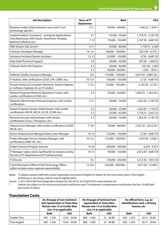| <b>Job Description</b>                                                                                         | <b>Years of IT</b><br><b>Experience</b> | <b>Baht</b>        | US\$                    |
|----------------------------------------------------------------------------------------------------------------|-----------------------------------------|--------------------|-------------------------|
| Business Analyst (liaise between users and IT; not<br>technology-specific)                                     | $5 - 7 +$                               | 45,000 - 60,000+   | $1,406.25 - 1,875 +$    |
| Implementation Consultant - Enterprise Applications/                                                           | $5 - 7$                                 | 55,000 - 70,000    | 1,718.75 - 2,187.50     |
| Data Warehouse (SAP, Oracle, SharePoint, Teradata,<br>Banking Software, etc.)                                  | $7 - 12$                                | 70,000 - 150,000   | 2,187.50 - 4,687.50     |
| DBA (Oracle, SQL-Server)                                                                                       | $5 - 7 +$                               | 55,000 - 80,000    | 1,718.75 - 2,500        |
| Software Developer Manager                                                                                     | $10 - 12 +$                             | 90,000 - 140,000+  | 2,812.50 - 4,375+       |
| Solutions Architect/System Architect                                                                           | $12 - 15$                               | 120,000 - 150,000  | 3,750 - 4,687.50        |
| Help Desk/Technical Support                                                                                    | $3 - 5$                                 | 30,000 - 45,000    | 937.50 - 1,406.25       |
| Software Tester/QA Engineer                                                                                    | $3 - 5$                                 | 30,000 - 40,000    | 937.50 - 1,250          |
|                                                                                                                | $5 - 7$                                 | 40,000 - 60,000+   | 1,250 - 1,875+          |
| Software Quality Assurance Manager                                                                             | $10+$                                   | 110,000 - 150,000+ | 3,437.50 - 4,687.50+    |
| IT Auditor, with certifications (CISA, CPA, COBIT, etc.)                                                       | $10-12+$                                | 100,000 - 150,000  | 3,125 - 4,687.50        |
| Presale Technical Consultant (Network/System Engineer<br>or Software Engineer, for an IT vendor)               | $7 - 12 +$                              | 70,000 - 100,000+  | $2,187.50 - 3,125 +$    |
| Network Engineer/Network Operations Center, with<br>vendor certifications (CCNA, etc.)                         | $3 - 5$                                 | 35,000 - 50,000+   | $1,093.75 - 1,562.50 +$ |
| Network Administrator/Telecom Engineer, with vendor<br>certifications                                          | $5 - 7 +$                               | 50,000 - 70,000    | 1,562.50 - 2,187.50     |
| System Engineer/System Administrator with vendor                                                               | $3 - 5$                                 | 50,000 - 55,000    | 1,562.50 - 1,718.75     |
| certifications (MCSE, MCSA, SCCM, SCOM, etc.)                                                                  | $5 - 7$                                 | 55,000 - 65,000    | 1,718.75 - 2,031.25     |
| Network Security Administrator with vendor<br>certifications (Cisco, Checkpoint, etc.)                         | $5 - 7$                                 | 50,000 - 70,000    | 1,562.50 - 2,187.50     |
| Infrastructure Manager with vendor certifications (CCNP,<br>MCSE, etc.)                                        | $7 - 10 +$                              | 70,000 - 90,000+   | 2,187.50 - 2,812.50+    |
| Senior Infrastructure Manager/Data Center Manager                                                              | $10 - 15$                               | 120,000 - 150,000  | 3,750 - 4,687.50        |
| Project Manager/Service Delivery Manager with<br>certifications (PMP, ITIL, etc.)                              | $10-12+$                                | 110,000 - 160,000+ | 3,437.50 - 5,000+       |
| Project Director/Program Director                                                                              | $15 - 20$                               | 200,000 - 300,000  | $6,250 - 9,375$         |
| IT Manager (salary varies significantly by industry and by<br>the size of IT department and IT infrastructure) | $10 - 12$                               | 90,000 - 150,000   | 2,812.50 - 4,687.50     |
| <b>IT Director</b>                                                                                             | $15+$                                   | 170,000 - 250,000  | 5,312.50 - 7,812.50     |
| Chief Information Officer/Chief Technology Officer<br>(often includes some regional responsibility)            | $15 - 20 +$                             | 250,000 - 400,000+ | 7,812.50 - 12,500+      |

*Notes: IT salaries assume staff with at least reasonable command of English (or better, for the more senior jobs). If the English proficiency is not strong, salaries may be slightly lower.*

*Source: © 2013-2014 ISM Technology Recruitment Ltd. (Q3 2013), as of April 2014: www.ismtech.net*

*\* Salaries are subject to 4% social security fund contribution and 1% workman's compensation contribution (for first 15,000 baht per month of salary)*

### **Translation Costs**

|              |               | An A4 page of non-technical<br>text typewritten in Times New<br><b>Roman size 12 or Cordia New</b><br>size 14 as applicable |               | An A4 page of technical text<br>typewritten in Times New<br><b>Roman size 12 or Cordia New</b><br>size 14 as applicable |               | An official form, e.g. an<br>identification card, a driving<br>license, etc. |
|--------------|---------------|-----------------------------------------------------------------------------------------------------------------------------|---------------|-------------------------------------------------------------------------------------------------------------------------|---------------|------------------------------------------------------------------------------|
|              | <b>Baht</b>   | US\$                                                                                                                        | <b>Baht</b>   | US\$                                                                                                                    | <b>Baht</b>   | US\$                                                                         |
| English-Thai | $500 - 1.250$ | 15.63 - 39.06                                                                                                               | 800 - 1,500   | $25 - 46.88$                                                                                                            | 650 - 1.250   | 20.31 - 39.06                                                                |
| Thai-English | $500 - 1.250$ | 15.63 - 39.06                                                                                                               | $800 - 1.500$ | $25 - 46.88$                                                                                                            | $650 - 1.250$ | $20.31 - 39.06$                                                              |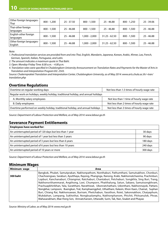| Other foreign languages-<br>Thai    | $800 - 1.200$ | $25 - 37.50$ | $800 - 1,500$   | $25 - 46.88$    | $800 - 1.250$ | $25 - 39.06$ |
|-------------------------------------|---------------|--------------|-----------------|-----------------|---------------|--------------|
| Thai-other foreign<br>languages     | $800 - 1,500$ | $25 - 46.88$ | $800 - 1,500$   | $25 - 46.88$    | $800 - 1.500$ | $25 - 46.88$ |
| English-other foreign<br>languages  | $800 - 1,500$ | $25 - 46.88$ | $1.000 - 2.000$ | $31.25 - 62.50$ | $800 - 1.500$ | $25 - 46.88$ |
| Other foreign languages-<br>English | $800 - 1,500$ | $25 - 46.88$ | $1,000 - 2,000$ | $31.25 - 62.50$ | $800 - 1.500$ | $25 - 46.88$ |

*Note:* 

- *1. Professional translation services are provided from and into Thai, English, Mandarin, Japanese, Korean, Arabic, Khmer, Lao, French, German, Spanish, Italian, Portuguese, and Latin.*
- *2. The amount indicates a maximum quote in Thai Baht.*
- *3. Open: Monday-Friday Time: 8.00 a.m. 4.00 p.m.*
- *4. Translation rates were specified in Chulalongkorn University Announcement on Translation Rates and Payments for the Master of Arts in Translation and Interpretation Program B.E. 2543.*

*Source: Chalermprakiet Translation and Interpretation Center, Chulalongkorn University, as of May 2014: www.arts.chula.ac.th/~tran/ translation.php*

### **Overtime Regulations**

| Overtime on regular working days                                                   | Not less than 1.5 times of hourly wage rate |  |  |  |  |
|------------------------------------------------------------------------------------|---------------------------------------------|--|--|--|--|
| Regular work on holidays, weekly holiday, traditional holiday, and annual holidays |                                             |  |  |  |  |
| A. Monthly salary employees                                                        | Not less than 1 time of hourly wage rate    |  |  |  |  |
| <b>B.</b> Daily employees                                                          | Not less than 2 times of hourly wage rate   |  |  |  |  |
| Overtime performed on weekly holiday, traditional holiday, and annual holidays     | Not less than 3 times of hourly wage rate   |  |  |  |  |

*Source: Department of Labour Protection and Welfare, as of May 2014: www.labour.go.th*

### **Severance Payment Entitlements**

| <b>Employees have worked for:</b>                         |          |
|-----------------------------------------------------------|----------|
| An uninterrupted period of 120 days but less than 1 year  | 30 days  |
| An uninterrupted period of 1 year but less than 3 years   | 90 days  |
| An uninterrupted period of 3 years but less than 6 years  | 180 days |
| An uninterrupted period of 6 years but less than 10 years | 240 days |
| An uninterrupted period of 10 years or more               | 300 days |

*Source: Department of Labour Protection and Welfare, as of May 2014: www.labour.go.th*

### **Minimum Wages**

| Minimum wage    | Area                                                                                               |
|-----------------|----------------------------------------------------------------------------------------------------|
|                 | Bangkok, Phuket, Samutprakan, Nakhonpathom, Nonthaburi, Pathumthani, Samutsakhon, Chonburi,        |
| <b>300 baht</b> | Chachoengsao, Saraburi, Ayutthaya, Rayong, Phangnga, Ranong, Krabi, Nakhonratchasima, Prachinburi, |
|                 | Lopburi, Kanchanaburi, Chiangmai, Ratchaburi, Chantaburi, Petchaburi, Songkhla, Sing Buri, Trang,  |
|                 | Nakhonsrithammarat, Angthong, Loei, Chumporn, Phatthalung, Satun, Sakaeo, Samutsongkhram,          |
|                 | Prachuapkhirikhan, Yala, Suratthani, Narathiwat, Ubonratchathani, Udonthani, Nakhonnayok, Pattani, |
|                 | Nongkhai, Lampoon, Buengkan, Trat, Kamphaengphet, Uthaithani, Kalasin, Khon Kaen, Chainat, Suphan  |
|                 | Buri, Chiang Rai, Nakhonsawan, Buriram, Phetchabun, Yasothon, Roiet, Sakonnakhon, Chaiyaphum,      |
|                 | Mukdahan, Lampang, Sukhothai, Nongbualamphu, Nakhonphanom, Phichit, Phitsanulok, Phrae,            |
|                 | Mahasarakham, Mae Hong Son, Amnatcharoen, Uttaradit, Surin, Tak, Nan, Sisaket and Phayao           |

*Source: Ministry of Labor, as of May 2014: www.mol.go.th*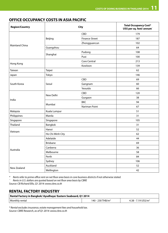### **OFFICE OCCUPANCY COSTS IN ASIA PACIFIC**

| <b>Region/Country</b> |                  | <b>City</b>           | <b>Total Occupancy Cost*</b><br>US\$ per sq. feet/annum |
|-----------------------|------------------|-----------------------|---------------------------------------------------------|
|                       |                  | CBD                   | 179                                                     |
|                       | Beijing          | <b>Finance Street</b> | 187                                                     |
|                       |                  | Zhongguancun          | 102                                                     |
| Mainland China        | Guangzhou        |                       | 64                                                      |
|                       |                  | Pudong                | 108                                                     |
|                       | Shanghai         | Puxi                  | 100                                                     |
|                       |                  | <b>Core Central</b>   | 213                                                     |
| Hong Kong             |                  | Kowloon               | 139                                                     |
| Taiwan                | Taipei           |                       | 62                                                      |
| Japan                 | Tokyo            |                       | 146                                                     |
|                       |                  | CBD                   | 69                                                      |
| South Korea           | Seoul            | Gangnam               | 60                                                      |
|                       |                  | Yeouido               | 66                                                      |
| India<br>Malaysia     |                  | CBD                   | 120                                                     |
|                       | New Delhi        | Gurgaon               | 38                                                      |
|                       |                  | <b>BKC</b>            | 94                                                      |
|                       | Mumbai           | Nariman Point         | 67                                                      |
|                       | Kuala Lumpur     |                       | 51                                                      |
| Philippines           | Manila           |                       | 31                                                      |
| Singapore             | Singapore        |                       | 105                                                     |
| Thailand              | Bangkok          |                       | 31                                                      |
|                       | Hanoi            |                       | 52                                                      |
| Vietnam               | Ho Chi Minh City |                       | 62                                                      |
|                       | Adelaide         |                       | 44                                                      |
|                       | <b>Brisbane</b>  |                       | 69                                                      |
|                       | Canberra         |                       | 36                                                      |
| Australia             | Melbourne        |                       | 58                                                      |
|                       | Perth            |                       | 84                                                      |
|                       | Sydney           |                       | 106                                                     |
|                       | Auckland         |                       | 52                                                      |
| New Zealand           | Wellington       |                       | 42                                                      |

*\* Rents refer to prime office rent on net floor area basis in core business districts if not otherwise stated.*

*¨ Rents in U.S. dollars are quoted based on net floor area basis by CBRE*

*Source: CB Richard Ellis, Q1 2014: www.cbre.co.th*

### **RENTAL FACTORY INDUSTRY**

| Rental Factory in Bangkok/Ayudhaya/Eastern Seaboard, Q1 2014 |                              |                                 |  |  |  |  |
|--------------------------------------------------------------|------------------------------|---------------------------------|--|--|--|--|
| Monthly rental                                               | 140 - 230 THB/m <sup>2</sup> | 4.38 - 7.19 US\$/m <sup>2</sup> |  |  |  |  |

*\* Rental excludes insurance, estate management fees and household tax. Source: CBRE Research, as of Q1 2014: www.cbre.co.th*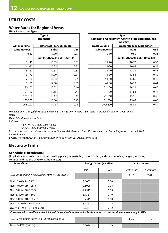### **UTILITY COSTS**

### **Water Rates for Regional Areas**

*Water Rates by User Types* 

| Type 1<br><b>Residence</b>                          |       |                     |                              | Type 2<br>Commerce, Government Agency, State Enterprise, a<br><b>Industry</b> |  |
|-----------------------------------------------------|-------|---------------------|------------------------------|-------------------------------------------------------------------------------|--|
| <b>Water Volume</b><br>Water rate (per cubic meter) |       | <b>Water Volume</b> | Water rate (per cubic meter) |                                                                               |  |
| (cubic meters)                                      | Baht  | US\$                | (cubic meters)               | <b>Baht</b>                                                                   |  |
| $0 - 30$                                            | 8.50  | 0.27                | $0 - 10$                     | 9.50                                                                          |  |
| (not less than 45 baht/US\$1.41)                    |       |                     |                              | (not less than 90 baht/ US\$2.8                                               |  |
| $31 - 40$                                           | 10.03 | 0.31                | $11 - 20$                    | 10.70                                                                         |  |
| 41-50                                               | 10.35 | 0.32                | $21 - 30$                    | 10.95                                                                         |  |
| $51 - 60$                                           | 10.68 | 0.33                | $31 - 40$                    | 13.21                                                                         |  |
| 61-70                                               | 11.00 | 0.34                | $41 - 50$                    | 13.54                                                                         |  |
| 71-80                                               | 11.33 | 0.35                | $51 - 60$                    | 13.86                                                                         |  |
| 81-90                                               | 12.50 | 0.39                | 61-80                        | 14.19                                                                         |  |
| 91-100                                              | 12.82 | 0.40                | 81-100                       | 14.51                                                                         |  |
| 101-120                                             | 13.15 | 0.41                | 101-120                      | 14.84                                                                         |  |
| 121-160                                             | 13.47 | 0.42                | 121-160                      | 15.16                                                                         |  |
| 161-200                                             | 13.80 | 0.43                | 161-200                      | 15.49                                                                         |  |
| over 200                                            | 14.45 | 0.45                | over 200                     | 15.81                                                                         |  |
|                                                     |       |                     |                              |                                                                               |  |

| Type 1<br><b>Residence</b> |                                  |      | Type 2<br>Commerce, Government Agency, State Enterprise, and<br><b>Industry</b> |                                   |      |
|----------------------------|----------------------------------|------|---------------------------------------------------------------------------------|-----------------------------------|------|
| Water Volume               | Water rate (per cubic meter)     |      | <b>Water Volume</b>                                                             | Water rate (per cubic meter)      |      |
| (cubic meters)             | <b>Baht</b>                      | US\$ | (cubic meters)                                                                  | <b>Baht</b>                       | US\$ |
| $0 - 30$                   | 8.50                             | 0.27 | $0 - 10$                                                                        | 9.50                              | 0.31 |
|                            | (not less than 45 baht/US\$1.41) |      |                                                                                 | (not less than 90 baht/ US\$2.82) |      |
| $31 - 40$                  | 10.03                            | 0.31 | $11 - 20$                                                                       | 10.70                             | 0.33 |
| $41 - 50$                  | 10.35                            | 0.32 | $21 - 30$                                                                       | 10.95                             | 0.34 |
| $51 - 60$                  | 10.68                            | 0.33 | $31 - 40$                                                                       | 13.21                             | 0.41 |
| 61-70                      | 11.00                            | 0.34 | 41-50                                                                           | 13.54                             | 0.42 |
| 71-80                      | 11.33                            | 0.35 | $51 - 60$                                                                       | 13.86                             | 0.43 |
| 81-90                      | 12.50                            | 0.39 | 61-80                                                                           | 14.19                             | 0.44 |
| 91-100                     | 12.82                            | 0.40 | 81-100                                                                          | 14.51                             | 0.45 |
| 101-120                    | 13.15                            | 0.41 | 101-120                                                                         | 14.84                             | 0.46 |
| 121-160                    | 13.47                            | 0.42 | 121-160                                                                         | 15.16                             | 0.47 |
| 161-200                    | 13.80                            | 0.43 | 161-200                                                                         | 15.49                             | 0.48 |
| over 200                   | 14.45                            | 0.45 | over 200                                                                        | 15.81                             | 0.49 |

*MWA has been charged the untreated water at the rate of 0.15 baht/cubic meter to the Royal Irrigation Department. Note:*

*Value Added Tax is not included. Bulk sale:*

*Type 1 = 10.50 baht/cubic meter;* 

*Type 2 = 13.00 baht/cubic meter*

*In case of low-income residence (more than 30 houses) that use less than 30 cubic meters per house they have a rate of 8.5 baht per cubic meter.*

*Source: The Metropolitan Waterworks Authority, as of April 2014: www.mwa.co.th* 

### **Electricity Tariffs**

### **Schedule 1: Residential**

(Applicable to household and other dwelling places, monasteries, house of priest, and churches of any religion, including its compound through a single Watt-hour meter)

| 1.1 Normal Rate                                                                                                             | <b>Energy Charge (per kWh)</b> |      | <b>Service Charge</b> |            |  |  |  |
|-----------------------------------------------------------------------------------------------------------------------------|--------------------------------|------|-----------------------|------------|--|--|--|
|                                                                                                                             | Baht                           | US\$ | Baht/month            | US\$/month |  |  |  |
| 1.1.1 Consumption not exceeding 150 kWh per month                                                                           |                                |      | 8.19                  | 0.26       |  |  |  |
| First 15 kWh $(0 - 15^{th})$                                                                                                | 1.8632                         | 0.06 |                       |            |  |  |  |
| Next 10 kWh (16 <sup>th</sup> -25 <sup>th</sup> )                                                                           | 2.5026                         | 0.08 |                       |            |  |  |  |
| Next 10 kWh (26 <sup>th</sup> -35 <sup>th</sup> )                                                                           | 2.7549                         | 0.09 |                       |            |  |  |  |
| Next 65 kWh (36 <sup>th</sup> -100 <sup>th</sup> )                                                                          | 3.1381                         | 0.10 |                       |            |  |  |  |
| Next 50 kWh (101st-150th)                                                                                                   | 3.2315                         | 0.10 |                       |            |  |  |  |
| Next 250 kWh (151st-400th)                                                                                                  | 3.7362                         | 0.12 |                       |            |  |  |  |
| Over 400 kWh (401 <sup>st</sup> and over)                                                                                   | 3.9361                         | 0.12 |                       |            |  |  |  |
| Customer, who classified under 1.1.1, will be received free electricity for that month if consumption not exceeding 50 kWh. |                                |      |                       |            |  |  |  |
| 1.1.2 Consumption exceeding 150 kWh per month                                                                               |                                |      | 38.22                 | 1.19       |  |  |  |
| First 150 kWh (0-150 <sup>th</sup> )                                                                                        | 2.7628                         | 0.09 |                       |            |  |  |  |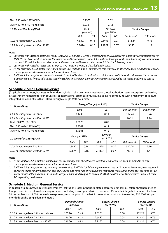| Next 250 kWh (151st-400th)                |                   | 3.7362 | 0.12                  |      |                       |            |
|-------------------------------------------|-------------------|--------|-----------------------|------|-----------------------|------------|
| Over 400 kWh (401 <sup>st</sup> and over) | 3.9361            |        | 0.12                  |      |                       |            |
| 1.2 Time of Use Rate (TOU)                | Peak<br>(per kWh) |        | Off Peak<br>(per kWh) |      | <b>Service Charge</b> |            |
|                                           | Baht              | US\$   | <b>Baht</b>           | US\$ | Baht/month            | US\$/month |
| 1.2.1 At voltage level 22-33 kV           | 4.5827            | 0.14   | 2.1495                | 0.07 | 312.24                | 9.76       |
| 1.2.2 At voltage level less than 22 kV    | 5.2674            | 0.16   | 2.1827                | 0.07 | 38.22                 | 1.19       |

*Note:*

*1. Customer with installed meter less than 5 Amp, 200 V., 1 phase, 2 Wires, is classified under 1.1.1. However, if monthly consumption is over 150 kWh for 3 consecutive months, the customer will be reclassified under 1.1.2 in the following month; and if monthly consumption is not over 150 kWh for 3 consecutive months, the customer will be reclassified under 1.1.1 in the following month.*

*2. Customer with installed meter over 5 Amp, 220 V., 1 Phase, 2 Wires, is classified under 1.1.2.*

- *3. As for tariff No. 1.2, if meter is installed on the low voltage side of customer's transformer, another 2% must be added to energy consumption in order to compensate for transformer losses.*
- *4. Tariff No. 1.2 is an optional rate, and may switch back to Tariff No. 1.1 following a minimum use of 12 months. Moreover, the customer is obligate to pay for any additional cost of installing and removing any equipment which required to the meter, and/or any cost by PEA.*

### **Schedule 2: Small General Service**

(Applicable to business, business with residential, industrial, government institutions, local authorities, state enterprises, embassies, establishment related to foreign countries, or international organizations, etc., including its compound with a maximum 15-minute integrated demand of less than 30 kW through a single Watt-hour meter)

| 2.1 Normal Rate                                      | Energy Charge (per kWh) |      |                       |      | <b>Service Charge</b> |            |  |
|------------------------------------------------------|-------------------------|------|-----------------------|------|-----------------------|------------|--|
|                                                      | Baht                    |      | US\$                  |      | Baht/month            | US\$/month |  |
| 2.1.1 At voltage level 22-33 kV                      | 3.4230                  |      | 0.11                  |      | 312.24                | 9.76       |  |
| 2.1.2 At voltage level less than 22 kV               |                         |      |                       |      | 46.16                 | 1.44       |  |
| First 150 kWh (0-150 <sup>th</sup> )                 | 2.7628                  |      | 0.09                  |      |                       |            |  |
| Next 250 kWh (151 <sup>st</sup> -400 <sup>th</sup> ) | 3.7362                  |      | 0.12                  |      |                       |            |  |
| Over 400 kWh (401 <sup>st</sup> and over)            | 3.9361                  |      | 0.12                  |      |                       |            |  |
| 2.2 Time of Use Rate (TOU)                           | Peak (per kWh)          |      | Off Peak<br>(per kWh) |      | <b>Service Charge</b> |            |  |
|                                                      | <b>Baht</b>             | US\$ | Baht                  | US\$ | Baht/month            | US\$/month |  |
| 2.2.1 At voltage level 22-33 kV                      | 4.5827                  | 0.14 | 2.1495                | 0.07 | 312.24                | 9.76       |  |
| 2.2.2 At voltage level less than 22 kV               | 5.2674                  | 0.16 | 2.1827                | 0.07 | 46.16                 | 1.44       |  |

*Note:*

- *1. As for Tariff No. 2.2, if meter is installed on the low voltage side of customer's transformer, another 2% must be added to energy consumption in order to compensate for transformer losses.*
- *2. Tariff No. 2.2 is an optional rate and may switch back to Tariff No. 2.1 following a minimum use of 12 months. Moreover, the customer is obligated to pay for any additional cost of installing and removing any equipment required to meter, and/or any cost specified by PEA.*
- *3. In any month, if the maximum 15-minute integrated demand is equal to or over 30 kW, the customer will be classified under Schedule 3-5 depending on the case.*

### **Schedule 3: Medium General Service**

(Applicable to business, industrial, government institutions, local authorities, state enterprises, embassies, establishment related to foreign countries or international organizations, including its compound with a maximum 15-minute integrated demand of at least 30 kW but less than 1,000 kW, **and** average energy consumption in the last 3 consecutive months not exceeding 250,000 kWh per month through a single demand meter)

| 3.1 Normal Rate                        | <b>Demand Charge</b><br>$(\text{per} \, \text{kW})$ |      | <b>Energy Charge</b><br>(per kWh) | <b>Service Charge</b><br>(per month) |        |      |
|----------------------------------------|-----------------------------------------------------|------|-----------------------------------|--------------------------------------|--------|------|
|                                        | Baht                                                | US\$ | Baht                              | US\$                                 | Baht   | US\$ |
| 3.1.1 At voltage level 69 kV and above | 175.70                                              | 5.49 | 2.6506                            | 0.08                                 | 312.24 | 9.76 |
| 3.1.2 At voltage level 22-33 kV        | 196.26                                              | 6.13 | 2.6880                            | 0.08                                 | 312.24 | 9.76 |
| 3.1.3 At voltage level less than 22 kV | 221.50                                              | 6.92 | 2.7160                            | 0.08                                 | 312.24 | 9.76 |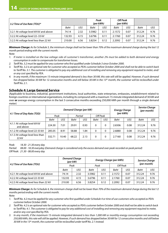| $\vert$ 3.2 Time of Use Rate (TOU)*    |        |      | Peak<br>(per kWh) |      | Off Peak<br>(per kWh) |      |        |      |
|----------------------------------------|--------|------|-------------------|------|-----------------------|------|--------|------|
|                                        | Baht   | US\$ | <b>Baht</b>       | US\$ | Baht                  | US\$ | Baht   | US\$ |
| 3.2.1 At voltage level 69 kV and above | 74.14  | 2.32 | 3.5982            | 0.11 | 2.1572                | 0.07 | 312.24 | 9.76 |
| 3.2.2 At voltage level 22–33 kV        | 132.93 | 4.15 | 3.6796            | 0.11 | 2.1760                | 0.07 | 312.24 | 9.76 |
| 3.2.3 At voltage level less than 22 kV | 210.00 | 6.56 | 3.8254            | 0.12 | 2.2092                | 0.07 | 312.24 | 9.76 |

*Minimum Charge: As for Schedule 3, the minimum charge shall not be lower than 70% of the maximum demand charge during the last 12 month period ending with the current month. Note:* 

- *1. If meter is installed on the low voltage side of customer's transformer, another 2% must be added to both demand and energy consumption in order to compensate for transformer losses.*
- *2. Tariff No. 3.2 must be applied for any customer who first qualified under Schedule 3 since October 2000.*
- *3. Tariff No. 3.2 is an optional rate for customer who accepted as PEA's customer before October 2000 and shall not be able to switch back to Tariff No. 3.1. The customer is obligated to pay any additional cost of installing and removing any equipment required to meter, and/ or any cost specified by PEA.*
- *4. In any month, if the maximum 15-minute integrated demand is less than 30 kW, this rate will still be applied. However, if such demand has dropped below 30 kW for 12 consecutive months and still below 30 kW in the 13th month, the customer will be reclassified under Tariff No. 2.1.*

### **Schedule 4: Large General Service**

(Applicable to business, industrial, government institutions, local authorities, state enterprises, embassies, establishment related to foreign countries or international organizations, including its compound with a maximum 15-minute integrated demand of 30 kW and over **or** average energy consumption in the last 3 consecutive months exceeding 250,000 kWh per month through a single demand meter)

| 4.1 Time of Day Rate (TOD)                |             |       | Demand Charge (per kW) |         | <b>Energy Charge</b><br>(per kWh) |      | <b>Service Charge</b><br>(per month) |      |             |      |
|-------------------------------------------|-------------|-------|------------------------|---------|-----------------------------------|------|--------------------------------------|------|-------------|------|
|                                           | Peak        |       |                        | Partial | Off Peak                          |      |                                      |      |             |      |
|                                           | <b>Baht</b> | US\$  | <b>Baht</b>            | US\$    | <b>Baht</b>                       | US\$ | <b>Baht</b>                          | US\$ | <b>Baht</b> | US\$ |
| 4.1.1 At voltage level 69 kV<br>and above | 224.30      | 7.01  | 29.91                  | 0.93    | 0                                 | 0    | 2.6506                               | 0.08 | 312.24      | 9.76 |
| 4.1.2 At voltage level 22-33 kV           | 285.05      | 8.91  | 58.88                  | 1.84    | $\Omega$                          | 0    | 2.6880                               | 0.08 | 312.24      | 9.76 |
| 4.1.3 At voltage level less than<br>22 kV | 332.71      | 10.40 | 68.22                  | 2.13    | 0                                 | 0    | 2.7160                               | 0.08 | 312.24      | 9.76 |

*Peak: 18.30 - 21.30 every day*

*Partial: 08.00 - 18.30 everyday (Demand charge is considered only the excess demand over peak recorded on peak period) Off Peak: 21.30 - 08.00 every day*

|                                        | <b>Demand Charge</b><br>$(\text{per} \, \text{kW})$ |      |             | <b>Energy Charge (per kWh)</b> | <b>Service Charge</b><br>(per month) |      |          |      |
|----------------------------------------|-----------------------------------------------------|------|-------------|--------------------------------|--------------------------------------|------|----------|------|
| 4.2 Time of Use Rate (TOU)             | Peak                                                |      | Peak        |                                |                                      |      | Off Peak |      |
|                                        | Baht                                                | US\$ | <b>Baht</b> | US\$                           | Baht                                 | US\$ | Baht     | US\$ |
| 4.2.1 At voltage level 69 kV and above | 74.14                                               | 2.32 | 3.5982      | 0.11                           | 2.1572                               | 0.07 | 312.24   | 9.76 |
| 4.2.2 At voltage level 22-33 kV        | 132.93                                              | 4.15 | 3.6796      | 0.11                           | 2.1760                               | 0.07 | 312.24   | 9.76 |
| 4.2.3 At voltage level less than 22 kV | 210.00                                              | 6.56 | 3.8254      | 0.12                           | 2.2092                               | 0.07 | 312.24   | 9.76 |

*Minimum Charge: As for Schedule 4, the minimum charge shall not be lower than 70% of the maximum demand charge during the last 12 months period ending with the current month.*

*Note:*

- *1. Tariff No. 4.2 must be applied for any customer who first qualified under Schedule 4 or time of use customers who accepted as PEA's customer before October 2000.*
- *2. Tariff No. 4.2 is an optional rate for customer who accepted as PEA's customer before October 2000 and shall not be able to switch back to Tariff No. 4.1. The customer is obligated to pay for any additional cost of installing and removing any equipment required to meter, and/or any cost specified by PEA.*
- *3. In any month, if the maximum 15-minute integrated demand is less than 1,000 kW or monthly energy consumption not exceeding 250,000 kWh, this rate will still be applied. However, if such demand has dropped below 30 kW for 12 consecutive months and still below 30 kW in the 13th month, the customer will be reclassified under tariff No. 2.1 instead.*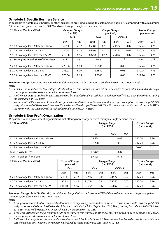### **Schedule 5: Specific Business Service**

(Applicable to hotels, guest houses, or other businesses providing lodging to customers, including its compound with a maximum 15-minute integrated demand of 30 kW and over through a single demand meter)

| 5.1 Time of Use Rate (TOU)               | <b>Demand Charge</b> | $(\text{per} \, \text{kW})$ |        | <b>Energy Charge</b><br>(per kWh) |                | <b>Service Charge</b><br>(per month) |        |      |
|------------------------------------------|----------------------|-----------------------------|--------|-----------------------------------|----------------|--------------------------------------|--------|------|
|                                          |                      | Peak                        |        | Peak                              |                | Off Peak                             |        |      |
|                                          | Baht                 | US\$                        | Baht   | US\$                              | Baht           | US\$                                 | Baht   | US\$ |
| 5.1.1 At voltage level 69 kV and above   | 74.14                | 2.32                        | 3.5982 | 0.11                              | 2.1572<br>0.07 |                                      | 312.24 | 9.76 |
| 5.1.2 At voltage level 22-33 kV          | 132.93               | 4.15                        | 3.6796 | 0.11                              | 2.1760<br>0.07 |                                      | 312.24 | 9.76 |
| 5.1.3 At voltage level less than 22 kV   | 210.00               | 6.56                        | 3.8254 | 0.12                              | 2.2092         | 0.07                                 |        | 9.76 |
| 5.2 During the Installation of TOU Meter | Baht                 | US\$                        | Baht   |                                   | US\$           |                                      | Baht   | US\$ |
| 5.2.1 At voltage level 69 kV and above   | 220.56               | 6.89                        |        | 2.6506                            | 0.08           |                                      | 312.24 | 9.76 |
| 5.2.2 At voltage level 22-33 kV          | 256.07               | 8.00                        | 2.6880 |                                   | 0.08           |                                      | 312.24 | 9.76 |
| 5.2.3 At voltage level less than 22 kV   | 276.64               | 8.65                        | 2.7160 |                                   | 0.08           |                                      | 312.24 | 9.76 |

*Minimum Charge: 70% of the maximum demand charge during the last 12-month period ending with the current month. Note:* 

*1. If meter is installed on the low voltage side of customer's transformer, another 2% must be added to both total demand and energy consumption in order to compensate for transformer losses.*

- *2. Tariff No. 5.1 must be applied for any customer who first qualified under Schedule 5. In addition, Tariff No. 5.2 is temporarily used during the installation of TOU meter.*
- *3. In any month, if the maximum 15-minute integrated demand is less than 30 kW or monthly energy consumption not exceeding 250,000 kWh, this rate will still be applied. However, if such demand has dropped below 30 kW for 12 consecutive months and still below 30 kW in the 13th month, the customer will be reclassified under Tariff No. 2.1 instead.*

### **Schedule 6: Non-Profit Organization**

(Applicable to non-government organizations that offering non-charge services through a single demand meter)

| 6.1 Normal Rate                         |                                  |        |        | <b>Energy Charge</b><br>(per kWh) |              | Service Charge<br>(per month) |        |      |
|-----------------------------------------|----------------------------------|--------|--------|-----------------------------------|--------------|-------------------------------|--------|------|
|                                         |                                  |        |        | US\$                              | US\$<br>Baht |                               |        |      |
| 6.1.1 At voltage level 69 kV and above  |                                  |        | 2.9558 | 0.09                              |              | 312.24                        | 9.76   |      |
| 6.1.2 At voltage level 22-33 kV         |                                  | 3.1258 | 0.10   |                                   | 312.24       | 9.76                          |        |      |
| 6.1.3 At voltage level less than 22 kV  |                                  |        |        |                                   | 20.00        | 0.63                          |        |      |
| First 10 kWh (0-10 <sup>th</sup> )      |                                  |        |        | 2.3422                            | 0.07         |                               |        |      |
| Over 10 kWh (11 <sup>th</sup> and over) |                                  |        |        | 3.4328                            | 0.11         |                               |        |      |
| 6.2 Time of Use Rate (TOU)              | <b>Demand Charge</b><br>(per kW) |        |        | <b>Energy Charge</b><br>(per kWh) |              | Service Charge<br>(per month) |        |      |
|                                         | Peak                             |        |        | Peak                              |              | Off Peak                      |        |      |
|                                         | Baht                             | US\$   | Baht   | US\$                              | Baht         | US\$                          | Baht   | US\$ |
| 6.2.1 At voltage level 69 kV and above  | 74.14                            | 2.32   | 3.5982 | 0.11                              | 2.1572       | 0.07                          | 312.24 | 9.76 |
| 6.2.2 At voltage level 22-33 kV         | 132.93<br>4.15                   |        | 3.6796 | 0.11                              | 2.1760       | 0.07                          | 312.24 | 9.76 |
| 6.2.3 At voltage level less than 22 kV  | 210.00                           | 6.56   | 3.8254 | 0.12                              | 2.2092       | 0.07                          | 312.24 | 9.76 |

*Minimum Charge: As for Tariff No. 6.2, the minimum charge shall not be lower than 70% of the maximum demand charge during the last 12-month period ending with the current month.* 

*Note:* 

- *1. As for government institutions and local authorities, if average energy consumption in the last 3 consecutive months exceeding 250,000 kWh, customer will still be classified under Schedule 6 until electric bill of September 2012, Then, starting from electric bill of October 2012, customer will be reclassified under Schedule 2-4 depended on the case.*
- *2. If meter is installed on the low voltage side of customer's transformer, another 2% must be added to both demand and energy consumption in order to compensate for transformer losses.*
- *3. Tariff No. 6.2 is an optional rate and shall not be able to switch back to Tariff No. 6.1. The customer is obligated to pay for any additional cost of installing and removing any equipment required to meter, and/or any cost specified by PEA.*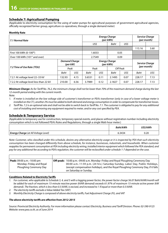### **Schedule 7: Agricultural Pumping**

(Applicable to electricity consumption for the using of water pumps for agricultural purposes of government agricultural agencies, officially recognized farmer group, agriculture co-operatives, through a single demand meter)

#### **Monthly Rate**

| 7.1 Normal Rate                           |                |                                  | <b>Energy Charge</b><br>(per kWh) |                                   | <b>Service Charge</b><br>(per month) |                       |             |      |
|-------------------------------------------|----------------|----------------------------------|-----------------------------------|-----------------------------------|--------------------------------------|-----------------------|-------------|------|
|                                           |                |                                  | US\$                              |                                   | Baht                                 | US\$                  |             |      |
|                                           |                |                                  |                                   |                                   |                                      |                       | 115.16      | 3.60 |
| First 100 kWh (0-100 <sup>th</sup> )      |                | 1.6033                           | 0.05                              |                                   |                                      |                       |             |      |
| Over 100 kWh (101 <sup>st</sup> and over) |                |                                  |                                   | 2.7549                            | 0.09                                 |                       |             |      |
|                                           |                | <b>Demand Charge</b><br>(per kW) |                                   | <b>Energy Charge</b><br>(per kWh) |                                      | <b>Service Charge</b> |             |      |
| 7.2 Time of Use Rate (TOU)                |                | Peak                             |                                   | Peak                              |                                      | Off Peak              | (per month) |      |
|                                           | Baht           | US\$                             | Baht                              | US\$                              | Baht                                 | US\$                  | Baht        | US\$ |
| 7.2.1 At voltage level 22-33 kV           | 4.15<br>132.93 |                                  | 3.6531                            | 0.11                              | 2.1495                               | 0.07                  | 228.17      | 7.13 |
| 7.2.2 At voltage level less than 22 kV    | 210.00         | 6.56                             | 3.7989                            | 0.12                              | 2.1827                               | 0.07                  | 228.17      | 7.13 |

*Minimum Charge: As for Tariff No. 76.2, the minimum charge shall not be lower than 70% of the maximum demand charge during the last 12-month period ending with the current month.* 

*Note:* 

*1. If meter is installed on the low voltage side of customer's transformer or PEA's transformer (only in case of a lower voltage meter is installed on the CT), another 2% must be added to both demand and energy consumption in order to compensate for transformer losses.*

*2. Tariff No. 7.2 is an optional rate and shall not be able to switch back to Tariff No. 7.1. The customer is obligated to pay for any additional cost of installing and removing any equipment required to meter, and/or any cost specified by PEA.*

#### **Schedule 8: Temporary Service**

(Applicable to temporary use for construction, temporary special events, and places without registration number including electricity consumption which is not followed PEA's Rules and Regulations, through a single Watt-hour meter.)

|                                             | Baht/kWh | US\$/kWh |
|---------------------------------------------|----------|----------|
| <b>Energy Charge</b> (at All Voltage Level) | 6.3434   | 0.20     |

*Note: Customer, who classified under this schedule, desires any alternative electricity usage or it is inspected by PEA that such electricity consumption has been changed differently from above schedule, for instance, businesses, industrials, and households. When customer*  reapplies for permanent consumption at PEA including electricity wiring, installed interior equipment which followed the PEA standard, and *pay for any additional fee according to PEA's regulation, the customer will be reclassified under schedule 1-7 depended on the case.*

| <b>Peak:</b> 09:00 a.m. - 10:00 pm | 10:00 p.m.–09:00 a.m. Monday–Friday and Royal Ploughing Ceremony Day<br>Off-peak: |
|------------------------------------|-----------------------------------------------------------------------------------|
| Monday-Friday and Royal            | 00:00 a.m.-11:59 p.m. (24 hrs.) Saturday-Sunday, Labor Day, Public Holidays,      |
| Ploughing Ceremony Day             | (except compensation holidays), and the Royal Ploughing Ceremony Day, if it falls |
|                                    | on Saturday or Sunday.                                                            |

#### **Conditions Related to Electricity Tariffs**

- *1. For customer, who applicable to Schedule 3, 4, and 5 with a lagging power factor, the power factor charge 56.07 Baht/kVAR/month will be added for each of maximum 15-minute reactive power (kVAR demand) exceeds 61.97% of maximum 15-minute active power (kW demand). The fraction, which is less than 0.5 kVAR, is excised, and increased to 1 if equal or more than 0.5 kVAR.*
- *2. The electricity tariffs exclude a Value Added Tax (VAT)*
- *3. Monthly Electricity Charge is composed of above electricity tariffs, Fuel Adjustment Charge (Ft), and VAT*

#### *The above electricity tariffs are effective from 2012-2015*

*Source: Provincial Electricity Authority. For more information please contact Electricity, Business and Tariff Division. Phone: 02-590-9125 Website: www.pea.co.th, as of June 2014*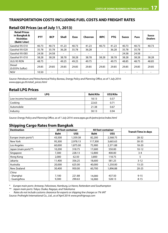### **TRANSPORTATION COSTS INCLUDING FUEL COSTS AND FREIGHT RATES**

| <b>Retail Prices</b><br>in Bangkok &<br><b>Vicinities</b><br>(Baht/Liter) | <b>PTT</b> | <b>BCP</b> | <b>Shell</b>             | Esso  | Chevron | <b>IRPC</b> | <b>PTG</b>               | <b>Susco</b> | Pure  | <b>Susco</b><br><b>Dealers</b> |
|---------------------------------------------------------------------------|------------|------------|--------------------------|-------|---------|-------------|--------------------------|--------------|-------|--------------------------------|
| Gasohol 95-E10                                                            | 40.73      | 40.73      | 41.23                    | 40.73 | 41.23   | 40.73       | 41.23                    | 40.73        | 40.73 | 40.73                          |
| Gasohol 95-E20                                                            | 35.78      | 35.78      | 36.28                    | 35.78 | 36.28   | $\sim$      | 36.28                    | 35.78        | 35.78 |                                |
| Gasohol 95-E85                                                            | 24.58      | 24.58      | $\overline{\phantom{a}}$ |       |         |             |                          | 24.58        | 24.58 |                                |
| Gasohol 91-E10                                                            | 38.28      | 38.28      | 38.78                    | 38.28 | 38.78   | 38.28       | 38.78                    | 38.28        | 38.28 | 38.28                          |
| ULG 95 RON                                                                | 48.75      | ٠          | 49.25                    | 49.25 | 49.75   | $\sim$      | 49.75                    | 48.85        | 48.75 | 48.85                          |
| Diesel<br>(0.035% Sulfur)                                                 | 29.85      | 29.85      | 29.85                    | 29.85 | 29.85   | 29.85       | 29.85                    | 29.85        | 29.85 | 29.85                          |
| <b>NGV</b>                                                                | 10.50      | ٠          | $\overline{\phantom{a}}$ |       |         |             | $\overline{\phantom{0}}$ |              | -     |                                |

### **Retail Oil Prices (as of July 11, 2013)**

*Source: Petroleum and Petrochemical Policy Bureau, Energy Policy and Planning Office, as of 1 July 2014: www.eppo.go.th/retail\_prices.html* 

### **Retail LPG Prices**

| <b>LPG</b>           | <b>Baht/Kilo</b> | US\$/Kilo |
|----------------------|------------------|-----------|
| Low income household | 18.13            | 0.57      |
| Cooking              | 22.63            | 0.71      |
| Automobile           | 21.38            | 0.67      |
| Industry             | 30.13            | 0.94      |

*Source: Energy Policy and Planning Office, as of 1 July 2014: www.eppo.go.th/petro/price/index.html*

### **Shipping Cargo Rates from Bangkok**

| <b>Destination</b>   |             | 20 foot container |             | <b>40 foot container</b> |                             |
|----------------------|-------------|-------------------|-------------|--------------------------|-----------------------------|
|                      | <b>Baht</b> | US\$              | <b>Baht</b> | US\$                     | <b>Transit Time in days</b> |
| Europe (main ports*) | 43,500      | 1,359.38          | 82,200      | 2,568.75                 | 28-32                       |
| New York             | 95,300      | 2,978.13          | 117,300     | 3,665.63                 | $30 - 35$                   |
| Los Angeles          | 60,000      | 1,875.00          | 75,900      | 2,371.88                 | $18 - 20$                   |
| Japan (main ports**) | 10,200      | 318.75            | 17,600      | 550.00                   | $10 - 12$                   |
| Singapore            | 7,300       | 228.13            | 12,800      | 400.00                   | $3 - 4$                     |
| Hong Kong            | 2,000       | 62.50             | 3,800       | 118.75                   | 5                           |
| Jakarta              | 11,400      | 356.25            | 18,600      | 581.25                   | $3 - 12$                    |
| Australia            | 20,000      | 625.00            | 40,000      | 1,250.00                 | $15 - 25$                   |
| New Zealand          | 30,400      | 950.00            | 60,700      | 1,896.88                 | $20 - 25$                   |
| China                |             |                   |             |                          |                             |
| - Shanghai           | 7,100       | 221.88            | 14,000      | 437.50                   | $9 - 15$                    |
| - Guangzhou          | 9,300       | 290.63            | 16,900      | 528.13                   | $8 - 15$                    |

*\* Europe main ports: Antwerp, Felixstowe, Hamburg, Le Havre, Rotterdam and Southampton*

*\*\* Japan main ports: Tokyo, Osaka, Nagoya, and Yokohama*

*- Rates do not include customs clearance for exports or shipping line charges or 7% VAT*

*Source: Profreight International Co., Ltd., as of April 2014: www.profrtgroup.com*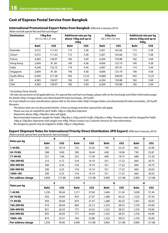### **Cost of Express Postal Service from Bangkok**

#### **International Promotional Export Rates from Bangkok** *(Effective 6 January 2014)*

*(Rates exclude special fee and fuel surcharge) 1*

| <b>Destination</b> | 10kg Box<br>$(41.5 \times 34 \times 27$ cm) |        |             | Additional rate per kg<br>above 10kg and up to<br>20kg |             | 25kg Box<br>$(56 \times 44 \times 35 \text{ cm})$ | Additional rate per kg<br>above 25kg and up to<br>44kg |       |  |
|--------------------|---------------------------------------------|--------|-------------|--------------------------------------------------------|-------------|---------------------------------------------------|--------------------------------------------------------|-------|--|
|                    | <b>Baht</b>                                 | US\$   | <b>Baht</b> | US\$                                                   | <b>Baht</b> | US\$                                              | <b>Baht</b>                                            | US\$  |  |
| Australia          | 3,572                                       | 111.63 | 172         | 5.38                                                   | 5,301       | 165.66                                            | 172                                                    | 5.38  |  |
| China*             | 3,572                                       | 111.63 | 172         | 5.38                                                   | 5,301       | 165.66                                            | 172                                                    | 5.38  |  |
| France             | 4,383                                       | 136.97 | 182         | 5.69                                                   | 6.204       | 193.88                                            | 182                                                    | 5.69  |  |
| Hong Kong          | 2,604                                       | 81.38  | 140         | 4.38                                                   | 4,006       | 125.19                                            | 140                                                    | 4.38  |  |
| India              | 4,248                                       | 132.75 | 174         | 5.44                                                   | 5,997       | 187.41                                            | 174                                                    | 5.44  |  |
| Singapore          | 2.604                                       | 81.38  | 140         | 4.38                                                   | 4,006       | 125.19                                            | 140                                                    | 4.38  |  |
| South Africa       | 6,956                                       | 217.38 | 392         | 12.25                                                  | 10,883      | 340.09                                            | 392                                                    | 12.25 |  |
| UK                 | 4,383                                       | 136.97 | 182         | 5.69                                                   | 6,204       | 193.88                                            | 182                                                    | 5.69  |  |
| <b>USA</b>         | 4,383                                       | 136.97 | 182         | 5.69                                                   | 6,204       | 193.88                                            | 182                                                    | 5.69  |  |

#### *\* Excluding China (South)*

*1 All rates are exclusive of all applicable tax. For special fees and fuel surcharges, please refer to the Surcharge and Other Information page for details (http://images.fedex.com/downloads/th/rates/surcharge\_2014.pdf).*

*For more details on zone classification, please refer to the Zone Index (http://images.fedex.com/downloads/th/rates/zoneindex\_2014.pdf). Remarks:*

*- The above rates are not discounted further. A fuel surcharge and other special fees will apply.*

*- Please use one air waybill for each FedEx 10kg or 25kg Box shipment.*

*- Shipments above 20kg: 25kg Box rates will apply.*

*- Recommended maximum weight for FedEx 10kg Box is 25kg and for FedEx 25kg Box is 44kg. Premium rates will be charged for FedEx 10kg or 25kg Box shipments with weight over 44kg. Please contact our Customer Services for rate information.*

*- No dangerous goods may be shipped in FedEx 10kg or 25kg Boxes.*

#### **Export Shipment Rates for International Priority Direct Distribution (IPD Export)** *(Effective 6 January 2014) (Rates exclude special fees and dynamic fuel surcharge) 1*

| piaces exclude special recs and a finance ruel surendige/ |             | A      |             | B      |             | C      | D           |        |  |
|-----------------------------------------------------------|-------------|--------|-------------|--------|-------------|--------|-------------|--------|--|
| Rates per kg                                              | <b>Baht</b> | US\$   | <b>Baht</b> | US\$   | <b>Baht</b> | US\$   | <b>Baht</b> | US\$   |  |
| 1-44 KG                                                   | 582         | 18.19  | 722         | 22.56  | 744         | 23.25  | 802         | 25.06  |  |
| 45-70 KG                                                  | 288         | 9.00   | 590         | 18.44  | 638         | 19.94  | 730         | 22.81  |  |
| 71-99 KG                                                  | 251         | 7.84   | 553         | 17.28  | 600         | 18.75  | 688         | 21.50  |  |
| 100-299 KG                                                | 215         | 6.72   | 518         | 16.19  | 551         | 17.22  | 664         | 20.75  |  |
| 300-499 KG                                                | 200         | 6.25   | 518         | 16.19  | 551         | 17.22  | 664         | 20.75  |  |
| 500-999 KG                                                | 200         | 6.25   | 518         | 16.19  | 551         | 17.22  | 660         | 20.63  |  |
| 1000+KG                                                   | 200         | 6.25   | 518         | 16.19  | 551         | 17.22  | 660         | 20.63  |  |
| Per-address charge                                        | 3,900       | 121.88 | 3,900       | 121.88 | 3,900       | 121.88 | 3,900       | 121.88 |  |
|                                                           | Е           |        |             | F      |             | G      |             | н      |  |
| Rates per kg                                              | <b>Baht</b> | US\$   | <b>Baht</b> | US\$   | <b>Baht</b> | US\$   | <b>Baht</b> | US\$   |  |
| 1-44 KG                                                   | 1,230       | 38.44  | 1,211       | 37.84  | 1,646       | 51.44  | 1,838       | 57.44  |  |
| 45-70 KG                                                  | 950         | 29.69  | 879         | 27.47  | 1,288       | 40.25  | 1,523       | 47.59  |  |
| 71-99 KG                                                  | 950         | 29.69  | 879         | 27.47  | 1,288       | 40.25  | 1,441       | 45.03  |  |
| 100-299 KG                                                | 910         | 28.44  | 804         | 25.13  | 1,233       | 38.53  | 1,376       | 43.00  |  |
| 300-499 KG                                                | 851         | 26.59  | 775         | 24.22  | 1,233       | 38.53  | 1,376       | 43.00  |  |
| 500-999 KG                                                | 835         | 26.09  | 771         | 24.09  | 1,233       | 38.53  | 1,376       | 43.00  |  |
| 1000+KG                                                   | 810         | 25.31  | 764         | 23.88  | 1,233       | 38.53  | 1,376       | 43.00  |  |
| Per-address charge                                        | 1,250       | 39.06  | 3,900       | 121.88 | 3,900       | 121.88 | 3,900       | 121.88 |  |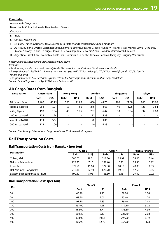| Zone Index                                                                                                                                                                                                                                         |  |
|----------------------------------------------------------------------------------------------------------------------------------------------------------------------------------------------------------------------------------------------------|--|
| A – Malaysia, Singapore                                                                                                                                                                                                                            |  |
| B - Australia, China, Indonesia, New Zealand, Taiwan                                                                                                                                                                                               |  |
| $C - Japan$                                                                                                                                                                                                                                        |  |
| $D$ – India                                                                                                                                                                                                                                        |  |
| E – Canada, Mexico, U.S.                                                                                                                                                                                                                           |  |
| F – Belgium, France, Germany, Italy, Luxembourg, Netherlands, Switzerland, United Kingdom                                                                                                                                                          |  |
| G – Austria, Bulgaria, Cyprus, Czech Republic, Denmark, Estonia, Finland, Greece, Hungary, Ireland, Israel, Kuwait, Latvia, Lithuania,<br>Malta, Norway, Poland, Portugal, Romania, Slovak Republic, Slovenia, Spain, Sweden, United Arab Emirates |  |

H – Argentina, Brazil, Chile, Colombia, Costa Rica, Dominican Republic, Jamaica, Panama, Paraguay, Uruguay, Venezuela

*notes: 1 A fuel surcharge and other special fees will apply.*

*Remarks:*

*- Services are provided on a contract-only basis. Please contact our Customer Service team for details.*

*- Each package of a FedEx IPD shipment can measure up to 108" / 274cm in length, 70" / 178cm in height, and 130" / 330cm in length plus girth.*

*- For special fees and fuel surcharges, please refer to the Surcharge and Other Information page for details. Source: Federal Express, as of April 2014: www.fedex.com/th*

### **Air Cargo Rates from Bangkok**

| <b>Destination</b> | Amsterdam   |       | <b>Hong Kong</b> |       | London      |       | <b>Singapore</b> |       | <b>Tokyo</b> |       |
|--------------------|-------------|-------|------------------|-------|-------------|-------|------------------|-------|--------------|-------|
|                    | <b>Baht</b> | US\$  | <b>Baht</b>      | US\$  | <b>Baht</b> | US\$  | <b>Baht</b>      | US\$  | <b>Baht</b>  | US\$  |
| Minimum Rate       | .400 ا      | 43.75 | 700              | 21.88 | 1,400       | 43.75 | 700              | 21.88 | 800          | 25.00 |
| Normal Rate/kg.    | 253         | 7.91  | 53               | 1.66  | 276         | 8.63  | 40               | 1.25  | 123          | 3.84  |
| 45 kg. Upward      | 190         | 5.94  | 40               | 1.25  | 207         | 6.47  | 30               | 0.94  | 92           | 2.88  |
| 100 kg. Upward     | 158         | 4.94  | $\overline{a}$   |       | 172         | 5.38  |                  |       |              |       |
| 250 kg. Upward     | 143         | 4.47  | -                |       | 155         | 4.84  |                  | -     |              |       |
| 500 kg. Upward     | 128         | 4.00  | -                |       | 140         | 4.38  |                  | ۰     |              |       |

*Source: Thai Airways International Cargo, as of June 2014: www.thaicargo.com* 

### **Rail Transportation Costs**

#### **Rail Transportation Costs from Bangkok (per ton)**

| <b>Destination</b>             | Class 3     |       |             | Class 4 | <b>Fuel Surcharge</b> |      |
|--------------------------------|-------------|-------|-------------|---------|-----------------------|------|
|                                | <b>Baht</b> | US\$  | <b>Baht</b> | US\$    | <b>Baht</b>           | US\$ |
| Chiang Mai                     | 586.00      | 18.31 | 511.80      | 15.99   | 78.00                 | 2.44 |
| Nakhon Ratchasima              | 229.20      | 7.16  | 199.40      | 6.23    | 29.30                 | 0.92 |
| Khon Kaen                      | 372.50      | 11.64 | 324.30      | 10.13   | 48.80                 | 1.53 |
| Hat Yai* (near Song Khla)      | 710.10      | 22.19 | 620.70      | 19.40   | 97.60                 | 3.05 |
| Eastern Seaboard (Map Ta Phut) | 190.40      | 5.95  | 165.60      | 5.18    | 29.30                 | 0.92 |

#### **Rail Transportation Costs (per ton)**

| Km. |             | Class 3 | Class 4     |       |  |
|-----|-------------|---------|-------------|-------|--|
|     | <b>Baht</b> | US\$    | <b>Baht</b> | US\$  |  |
| 50  | 45.70       | 1.43    | 39.70       | 1.24  |  |
| 70  | 63.90       | 2.00    | 55.60       | 1.74  |  |
| 100 | 91.30       | 2.85    | 79.40       | 2.48  |  |
| 150 | 137.00      | 4.28    | 119.10      | 3.72  |  |
| 200 | 182.60      | 5.71    | 158.80      | 4.96  |  |
| 300 | 260.30      | 8.13    | 226.40      | 7.08  |  |
| 400 | 338.00      | 10.56   | 294.00      | 9.19  |  |
| 500 | 406.90      | 12.72   | 354.50      | 11.08 |  |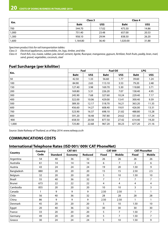| Km.   | Class 3     |       | Class 4     |       |  |
|-------|-------------|-------|-------------|-------|--|
|       | <b>Baht</b> | US\$  | <b>Baht</b> | US\$  |  |
| 700   | 544.70      | 17.02 | 475.50      | 14.86 |  |
| 1,000 | 751.40      | 23.48 | 657.00      | 20.53 |  |
| 1,300 | 958.10      | 29.94 | 838.50      | 26.20 |  |
| 1,600 | 1,164.80    | 36.40 | 1,020.00    | 31.88 |  |

*Specimen product lists for rail transportation tables:* 

*Class 3: Electrical appliances, automobiles, tin, logs, timber, and tiles* 

*Class 4: Fresh fish, rice, maize, rubber, jute, kenaf, cement, lignite, fluorspar, manganese, gypsum, fertilizer, fresh fruits, paddy, bran, marl, sand, gravel, vegetables, coconuts, steel*

### **Fuel Surcharge (per kiloliter)**

|       |             | Fuel  | <b>Fuel Oil</b> |       | <b>LPG</b>  |       |
|-------|-------------|-------|-----------------|-------|-------------|-------|
| Km.   | <b>Baht</b> | US\$  | <b>Baht</b>     | US\$  | <b>Baht</b> | US\$  |
| 50    | 42.50       | 1.33  | 56.60           | 1.77  | 39.60       | 1.24  |
| 100   | 84.90       | 2.65  | 113.10          | 3.53  | 79.20       | 2.48  |
| 150   | 127.40      | 3.98  | 169.70          | 5.30  | 118.80      | 3.71  |
| 200   | 169.80      | 5.31  | 226.20          | 7.07  | 158.40      | 4.95  |
| 300   | 245.90      | 7.68  | 327.60          | 10.24 | 229.40      | 7.17  |
| 400   | 322.00      | 10.06 | 429.00          | 13.41 | 300.40      | 9.39  |
| 500   | 389.30      | 12.17 | 518.70          | 16.21 | 363.20      | 11.35 |
| 600   | 456.60      | 14.27 | 608.40          | 19.01 | 426.00      | 13.31 |
| 700   | 523.90      | 16.37 | 698.10          | 21.82 | 488.80      | 15.28 |
| 800   | 591.20      | 18.48 | 787.80          | 24.62 | 551.60      | 17.24 |
| 900   | 658.50      | 20.58 | 877.50          | 27.42 | 614.40      | 19.20 |
| 1,000 | 725.80      | 22.68 | 967.20          | 30.23 | 677.20      | 21.16 |

*Source: State Railway of Thailand, as of May 2014: www.railway.co.th* 

### **COMMUNICATIONS COSTS**

### **International Telephone Rates (ISD 001/ 009/ CAT PhoneNet)**

|                | Country |                 | <b>CAT 001</b> |         |                | <b>CAT 009</b> | <b>CAT PhoneNet</b> |                |  |
|----------------|---------|-----------------|----------------|---------|----------------|----------------|---------------------|----------------|--|
| Country        | Code    | <b>Standard</b> | <b>Economy</b> | Reduced | <b>Fixed</b>   | Mobile         | <b>Fixed</b>        | <b>Mobile</b>  |  |
| Argentina      | 54      | 40              | 36             | 32      | 26             | 26             | 26                  | 26             |  |
| Australia      | 61      | 14              | 14             | 14      | 6              | $\overline{7}$ | 2                   | 6              |  |
| Austria        | 43      | 24              | 24             | 24      | 19             | 20             | 1.50                | 9              |  |
| Bangladesh     | 880     | 20              | 20             | 20      | 15             | 15             | 2.50                | 2.5            |  |
| Belgium        | 32      | 20              | 20             | 20      | 5              | 10             | 1.50                | 10             |  |
| Brazil         | 55      | 40              | 36             | 32      | $\overline{7}$ | 7              | 7                   | $\overline{7}$ |  |
| Brunei         | 673     | 22              | 22             | 22      | 4              | 4              | 4                   | 4              |  |
| Cambodia       | 855     | 20              | 20             | 20      | 10             | 10             | 3                   | 3              |  |
| Canada         |         | 9               | 9              | 9       | 2.50           | 2.50           |                     | 1              |  |
| Chile          | 56      | 40              | 36             | 32      | 28             | 28             | 28                  | 28             |  |
| China          | 86      | 9               | 9              | 9       | 2.50           | 2.50           |                     | 1              |  |
| <b>Denmark</b> | 45      | 20              | 20             | 20      | 5              | 10             | 1.50                | 10             |  |
| Egypt          | 20      | 40              | 36             | 32      | 30             | 30             | 30                  | 30             |  |
| France         | 33      | 20              | 20             | 20      | 5              | $\overline{7}$ | 1.50                | $\overline{7}$ |  |
| Germany        | 49      | 20              | 20             | 20      | 5              | $\overline{7}$ | 1.50                | $\overline{7}$ |  |
| Greece         | 30      | 24              | 24             | 24      | 5              | 10             | 1.50                | 9              |  |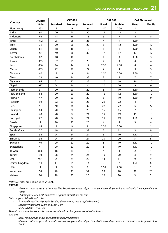|                | <b>Country</b> |                 | <b>CAT 001</b> |         |                         | <b>CAT 009</b> | <b>CAT PhoneNet</b> |                         |  |
|----------------|----------------|-----------------|----------------|---------|-------------------------|----------------|---------------------|-------------------------|--|
| Country        | Code           | <b>Standard</b> | <b>Economy</b> | Reduced | <b>Fixed</b>            | <b>Mobile</b>  | <b>Fixed</b>        | <b>Mobile</b>           |  |
| Hong Kong      | 852            | 9               | 9              | 9       | 2.50                    | 2.50           | $\mathbf{1}$        | $\mathbf{1}$            |  |
| India          | 91             | 20              | 20             | 20      | 12                      | 12             | 3                   | 3                       |  |
| Indonesia      | 62             | 18              | 18             | 18      | 5                       | $\overline{7}$ | 4                   | 5                       |  |
| Israel         | 972            | 25              | 25             | 25      | 4                       | 4              | 1.50                | $\overline{4}$          |  |
| Italy          | 39             | 20              | 20             | 20      | 5                       | 12             | 1.50                | 10                      |  |
| Japan          | 81             | 18              | 18             | 18      | 5                       | 6              | 1.50                | 6                       |  |
| Kenya          | 254            | 40              | 36             | 32      | 17                      | 17             | 17                  | 17                      |  |
| South Korea    | 82             | 18              | 18             | 18      | 4                       | $\overline{4}$ | 1.50                | 3                       |  |
| Kuwait         | 965            | 32              | 29             | 25      | 4                       | 4              | 4                   | $\overline{4}$          |  |
| Laos           | 856            | 14              | 14             | 14      | 2.50                    | 2.50           | 4                   | $\overline{4}$          |  |
| Macau          | 853            | 22              | 22             | 22      | 4                       | 4              | 3                   | 3                       |  |
| Malaysia       | 60             | 9               | 9              | 9       | 2.50                    | 2.50           | 2.50                | $\overline{\mathbf{3}}$ |  |
| Mexico         | 52             | 40              | 36             | 32      | $\overline{7}$          | $\overline{7}$ | $\overline{7}$      | $\overline{7}$          |  |
| Myanmar        | 95             | 22              | 22             | 22      | 10                      | 10             | 10                  | 10                      |  |
| Nepal          | 977            | 24              | 24             | 24      | 20                      | 20             | 9                   | 9                       |  |
| Netherlands    | 31             | 20              | 20             | 20      | 5                       | 10             | 1.50                | 10                      |  |
| New Zealand    | 64             | 20              | 20             | 20      | 12                      | 12             | 1.50                | 10                      |  |
| Norway         | 47             | 20              | 20             | 20      | 5                       | 10             | 1.50                | 9                       |  |
| Pakistan       | 92             | 32              | 29             | 25      | 22                      | 22             | 4                   | $\overline{4}$          |  |
| Peru           | 51             | 40              | 36             | 32      | 22                      | 22             | 22                  | 22                      |  |
| Philippines    | 63             | 20              | 20             | 20      | 15                      | 15             | $\overline{7}$      | $\overline{7}$          |  |
| Poland         | 48             | 28              | 24             | 24      | 19                      | 19             | 19                  | 19                      |  |
| Portugal       | 351            | 28              | 24             | 24      | 19                      | 19             | 1.50                | 12                      |  |
| Russia         | $\overline{7}$ | 20              | 20             | 20      | $\overline{\mathbf{4}}$ | $\overline{4}$ | 3                   | $\overline{4}$          |  |
| Singapore      | 65             | 9               | 9              | 9       | 2.50                    | 2.50           | $\mathbf{1}$        | $\mathbf{1}$            |  |
| South Africa   | 27             | 40              | 36             | 32      | 5                       | 11             | 3                   | 9                       |  |
| Spain          | 34             | 24              | 24             | 24      | 5                       | 10             | 1.50                | 10                      |  |
| Sri Lanka      | 94             | 24              | 24             | 24      | 20                      | 20             | 5                   | 5                       |  |
| Sweden         | 46             | 20              | 20             | 20      | 5                       | 10             | 1.50                | 10                      |  |
| Switzerland    | 41             | 20              | 20             | 20      | 5                       | 10             | 1.50                | 10                      |  |
| Taiwan         | 886            | 18              | 18             | 18      | 4                       | 4              | $\overline{2}$      | $\overline{4}$          |  |
| Turkey         | 90             | 28              | 24             | 24      | 19                      | 20             | 3                   | 9                       |  |
| <b>UAE</b>     | 971            | 25              | 25             | 25      | 14                      | 14             | 9                   | 9                       |  |
| United Kingdom | 44             | 14              | 14             | 14      | 5                       | 7              | 1.50                | 6                       |  |
| <b>USA</b>     | $\mathbf{1}$   | 9               | 9              | 9       | 2.50                    | 2.50           | $\mathbf{1}$        | $\mathbf{1}$            |  |
| Venezuela      | 58             | 40              | 36             | 32      | 28                      | 28             | 28                  | 28                      |  |
| Vietnam        | 84             | 20              | 20             | 20      | 10                      | 10             | 3                   | $\overline{3}$          |  |

*Notes:* All rates are not included 7% VAT.

*CAT 001*

*- Minimum rate charge is at 1 minute. The following minutes subject to unit at 6 seconds per unit and residual of unit equivalent to 1 unit*

*- Charging rate when call answered is applied throughout the call.*

*Call charge is divided into 3 rates:*

- *- Standard Rate: 7am-9pm (On Sunday, the economy rate is applied instead)*
- *- Economy Rate: 9pm-12pm and 5am-7am*
- *- Reduced Rate: 12pm-5am*

*The call that spans from one rate to another rate will be charged by the rate of call starts.*

#### *CAT 009*

- *- Rates for fixed line and mobile destinations are different.*
- *- Minimum rate charge is at 1 minute. The following minutes subject to unit at 6 seconds per unit and residual of unit equivalent to 1 unit.*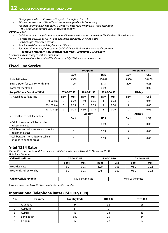- *- Charging rate when call answered is applied throughout the call.*
- *- All rates are exclusive of 7% VAT and one rate is applied for 24 hours a day.*
- *- For more information please call CAT Contact Center 1322 or visit www.cattelecom.com*

#### *- - This promotion is valid until 31 December 2014*

#### *CAT PhoneNet*

- *- CAT PhoneNet is a prepaid international calling card which users can call from Thailand to 153 destinations.*
- *- All rates are exclusive of 7% VAT and one rate is applied for 24 hours a day.*
- *- Call is charged for every 6 seconds.*
- *- Rate for fixed line and mobile phone are different.*
- *- For more information please contact CAT Call Center 1322 or visit www.cattelecom.com*
- *- - Promotion rates for 49 destinations valid from 1 January to 30 June 2014*

*\* Call rate may be changed without prior notice*

*Source: Communications Authority of Thailand, as of July 2014: www.cattelecom.com* 

### **Fixed Line Service**

|                                                                |                |             | Program 1   |             | Program 2   |      |                |                |
|----------------------------------------------------------------|----------------|-------------|-------------|-------------|-------------|------|----------------|----------------|
|                                                                |                | <b>Baht</b> |             |             | US\$        |      | <b>Baht</b>    | US\$           |
| Installation fee                                               |                | 3,350       |             |             | 104.69      |      | 3,350          | 104.69         |
| Subscription fee (baht/month/line)                             |                | 100         |             |             | 3.13        |      | 200            | 6.25           |
| Local call (baht/call)                                         |                | 3           |             |             | 0.09        |      | 3              | 0.09           |
| Long Distance Call (Baht/Min)                                  |                | 07:00-17:59 |             | 18:00-21:59 | 22:00-06:59 |      |                | All day        |
| 1. Fixed line to fixed line                                    | <b>Baht</b>    | US\$        | <b>Baht</b> | US\$        | <b>Baht</b> | US\$ | <b>Baht</b>    | US\$           |
| 0-50 km                                                        | 3              | 0.09        | 1.50        | 0.05        |             | 0.03 | 2              | 0.06           |
| 51-100 km                                                      | 6              | 0.19        | 3           | 0.09        | 2           | 0.06 | 2              | 0.06           |
| 101 km up                                                      | 9              | 0.28        | 4.50        | 0.14        | 3           | 0.09 | $\overline{2}$ | 0.06           |
| 2. Fixed line to cellular mobile                               | <b>All Day</b> |             |             |             |             |      |                | <b>All Day</b> |
|                                                                |                | <b>Baht</b> |             |             | US\$        |      | <b>Baht</b>    | US\$           |
| - Call in the same cellular mobile<br>telephone area           | 3              |             | 0.09        |             | 2           | 0.06 |                |                |
| - Call between adjacent cellular mobile<br>telephone areas     | 6              |             | 0.19        |             | 2           | 0.06 |                |                |
| - Call between non-adjacent cellular<br>mobile telephone areas |                | 6           |             | 0.19        |             | 2    | 0.06           |                |

### **Y-tel 1234 Rates**

*(Promotion rates are for both fixed line and cellular/mobile and valid until 31 December 2014)*  Unit: Baht / Minute

| $^\text{\tiny{l}}$ Call to Fixed Line | 07:00-17:59 |                  |             | 18:00-21:59      | 22:00-06:59 |      |
|---------------------------------------|-------------|------------------|-------------|------------------|-------------|------|
|                                       | <b>Baht</b> | US\$             | <b>Baht</b> | US\$             | <b>Baht</b> | US\$ |
| Weekday Rate                          | 1.50        | 0.05             | .00         | 0.03             | 0.50        | 0.02 |
| Weekend and/or Holiday                | 1.50        | 0.05             | 0.75        | 0.02             | 0.50        | 0.02 |
|                                       |             |                  |             |                  |             |      |
| <b>Call to Cellular Mobile</b>        |             | 1.50 baht/minute |             | 0.05 US\$/minute |             |      |

*Instruction for use: Press 1234+domestic destination number*

### **International Telephone Rates (ISD 007/ 008)**

| No. | Country    | <b>Country Code</b> | <b>TOT 007</b> | <b>TOT 008</b> |
|-----|------------|---------------------|----------------|----------------|
|     | Argentina  | 54                  | 32             | 26             |
|     | Australia  | 61                  |                |                |
|     | Austria    | 43                  | 24             | 19             |
| 4   | Bangladesh | 880                 | 25             | 14             |
|     | Belgium    | 32                  | 22             |                |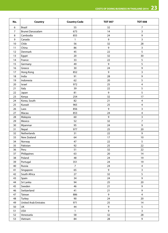| No. | <b>Country</b>              | <b>Country Code</b> | <b>TOT 007</b> | <b>TOT 008</b>          |
|-----|-----------------------------|---------------------|----------------|-------------------------|
| 6   | Brazil                      | 55                  | 32             | 7                       |
| 7   | Brunei Darussalam           | 673                 | 14             | 3                       |
| 8   | Cambodia                    | 855                 | 24             | $\mathsf 9$             |
| 9   | Canada                      | $\mathbf{1}$        | 9              | 3                       |
| 10  | Chile                       | 56                  | 32             | 28                      |
| 11  | China                       | 86                  | 9              | 3                       |
| 12  | Denmark                     | 45                  | 22             | 5                       |
| 13  | Egypt                       | 20                  | 32             | 30                      |
| 14  | France                      | 33                  | 22             | 5                       |
| 15  | Germany                     | 49                  | 9              | 5                       |
| 16  | Greece                      | 30                  | 24             | $\mathsf 9$             |
| 17  | Hong Kong                   | 852                 | 9              | 3                       |
| 18  | India                       | 91                  | 28             | $\mathsf 9$             |
| 19  | Indonesia                   | 62                  | 20             | 5                       |
| 20  | Israel                      | 972                 | 25             | $\overline{4}$          |
| 21  | Italy                       | 39                  | 22             | 5                       |
| 22  | Japan                       | 81                  | 9              | 5                       |
| 23  | Kenya                       | 254                 | 32             | 17                      |
| 24  | Korea, South                | 82                  | 21             | $\overline{\mathbf{4}}$ |
| 25  | Kuwait                      | 965                 | 25             | 4                       |
| 26  | Laos                        | 856                 | 9              | 3                       |
| 27  | Macau                       | 853                 | 24             | $\overline{\mathbf{4}}$ |
| 28  | Malaysia                    | 60                  | 9              | 3                       |
| 29  | Mexico                      | 52                  | 32             | $\overline{7}$          |
| 30  | Myanmar                     | 95                  | 24             | $\mathsf 9$             |
| 31  | Nepal                       | 977                 | 25             | 20                      |
| 32  | Netherlands                 | 31                  | 22             | 9                       |
| 33  | New Zealand                 | 64                  | 17             | $10$                    |
| 34  | Norway                      | 47                  | 22             | 5                       |
| 35  | Pakistan                    | 92                  | 25             | 22                      |
| 36  | Peru                        | 51                  | 32             | 22                      |
| 37  | Philippines                 | 63                  | 20             | 14                      |
| 38  | Poland                      | 48                  | 24             | 19                      |
| 39  | Portugal                    | 351                 | 24             | 19                      |
| 40  | Russia                      | $\boldsymbol{7}$    | 24             | $\overline{\mathbf{r}}$ |
| 41  | Singapore                   | 65                  | $\overline{9}$ | 3                       |
| 42  | South Africa                | 27                  | 32             | $\sqrt{5}$              |
| 43  | Spain                       | 34                  | 24             | $\mathsf g$             |
| 44  | Sri Lanka                   | 94                  | 25             | 20                      |
| 45  | Sweden                      | 46                  | $21$           | $\mathsf 9$             |
| 46  | Switzerland                 | 41                  | $21$           | $\mathsf 9$             |
| 47  | Taiwan                      | 886                 | 9              | $\overline{4}$          |
| 48  | Turkey                      | 90                  | 24             | 20                      |
| 49  | <b>United Arab Emirates</b> | 971                 | 25             | 14                      |
| 50  | UK                          | 44                  | 9              | 5                       |
| 51  | <b>USA</b>                  | $\mathbf{1}$        | 9              | $\mathbf{3}$            |
| 52  | Venezuela                   | 58                  | 32             | 28                      |
| 53  | Vietnam                     | 84                  | 28             | $\boldsymbol{9}$        |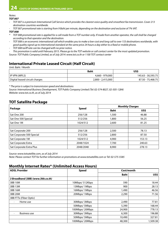### *Notes:*

*TOT 007*

- *- TOT 007 is a premium International Call Service which provides the clearest voice quality and smoothest fax transmission. Cover 213 destination countries worldwide.*
- *- TOT 007 promotional rate is starting from 9 Baht per minute, depending on the destination and exclusive of 7% VAT.*

#### *TOT 008*

- *\* TOT 008 promotional rate is applied for a call made from a TOT number only. If made from another operator, the call shall be charged according to that operator and the destination.*
- *- TOT 008 is an economic international call which enables you to make a low-cost and long call to over 153 destinations worldwide, with good quality signal up to international standard at the same price 24 hours a day either to a fixed or mobile phone.*
- *- TOT 008 tariff rate can be changed with no prior notice.*

*- This promotion is valid until February 2015. Please go to the TOT website or call contact center for the most updated promotion.*

*Source: TOT Public Company Limited, as of July 2014: www.tot.co.th or 1100 TOT contact center*

### **International Private Leased Circuit (Half Circuit)**

Unit: Baht / Month

|                                | <b>Baht</b>       | US\$               |
|--------------------------------|-------------------|--------------------|
| <b>I IP VPN (MPLS)</b>         | 4,660 - 979,000   | 145.63 - 30,593.75 |
| Digital leased circuit charges | 2,800 - 2,415,000 | 87.50 - 75.468.75  |

*\* The price is subject to transmission speed and destinations*

*Source: International Business Development, TOT Public Company Limited (Tel: 02-574-8027, 02-505-1284) Website: www.tot.co.th, as of July 2014* 

### **TOT Satellite Package**

|                           |              |             | <b>Monthly Charges</b> |  |
|---------------------------|--------------|-------------|------------------------|--|
| Package                   | <b>Speed</b> | <b>Baht</b> | US\$                   |  |
| Sat One 200               | 256/128      | 1,500       | 46.88                  |  |
| Sat One 500 Special       | 512/256      | 1,800       | 56.25                  |  |
| Sat One 1M                | 1024/512     | 2,600       | 81.25                  |  |
|                           |              |             |                        |  |
| Sat Corporate 200         | 256/128      | 2,500       | 78.13                  |  |
| Sat Corporate 500 Special | 512/256      | 2,800       | 87.50                  |  |
| Sat Corporate 1M          | 1024/512     | 4,900       | 153.13                 |  |
| Sat Corporate Extra       | 2048/1024    | 7.700       | 240.63                 |  |
| Sat Corporate Extra Plus  | 2048/2048    | 8,900       | 278.13                 |  |

*Source: www.totsatellite.com, as of July 2014*

*Note: Please contact TOT for further information or promotions at www.totsatellite.com or Tel: 02-575-5585*

### **Monthly Internet Rates\* (Unlimited Access Hours)**

| <b>ADSL Provider</b>              | <b>Speed</b>   | Cost/month  |          |
|-----------------------------------|----------------|-------------|----------|
|                                   |                | <b>Baht</b> | US\$     |
| 3 Broadband (3BB) (www.3bb.co.th) |                |             |          |
| 3BB 10M                           | 10Mbps/512Kbps | 590         | 18.44    |
| 3BB 13M                           | 13Mbps/1Mbps   | 900         | 28.13    |
| 3BB 16M                           | 16Mbps/1Mbps   | 1,490       | 46.56    |
| 3BB 20M                           | 20Mbps/1Mbps   | 2,290       | 71.56    |
| 3BB FTTx (Fiber Optic)            |                |             |          |
| Home use<br>٠                     | 30Mbps/3Mbps   | 2,490       | 77.81    |
|                                   | 50Mbps/5Mbps   | 5,390       | 168.44   |
|                                   | 100Mbps/20Mbps | 24,900      | 778.13   |
| <b>Business use</b><br>٠          | 30Mbps/3Mbps   | 6,300       | 196.88   |
|                                   | 50Mbps/5Mbps   | 10,490      | 327.81   |
|                                   | 100Mbps/20Mbps | 48,300      | 1,509.38 |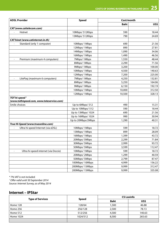| <b>ADSL Provider</b>                                       | <b>Speed</b>       | Cost/month  |        |
|------------------------------------------------------------|--------------------|-------------|--------|
|                                                            |                    | <b>Baht</b> | US\$   |
| CAT (www.cattelecom.com)                                   |                    |             |        |
| Hotnet                                                     | 10Mbps/ 512Kbps    | 590         | 18.44  |
|                                                            | 13Mbps/512Kbps     | 790         | 24.69  |
| <b>CAT hinet (www.catinternet.in.th)</b>                   |                    |             |        |
| Standard (only 1 computer)                                 | 10Mbps/1Mbps       | 690         | 21.56  |
|                                                            | 12Mbps/1Mbps       | 890         | 27.81  |
|                                                            | 14Mbps/1Mbps       | 1,090       | 34.06  |
|                                                            | 16Mbps/1Mbps       | 1,490       | 46.56  |
| Premium (maximum 4 computers)                              | 7Mbps/1Mbps        | 1,550       | 48.44  |
|                                                            | 8Mbps/1Mbps        | 2,290       | 71.56  |
|                                                            | 9Mbps/1Mbps        | 3,200       | 100.00 |
|                                                            | 10Mbps/1Mbps       | 4,500       | 140.63 |
|                                                            | 12Mbps/1Mbps       | 7,200       | 225.00 |
| LitePag (maximum 6 computers)<br>$\bullet$                 | 7Mbps/1Mbps        | 4,250       | 132.81 |
|                                                            | 8Mbps/1Mbps        | 5,250       | 164.06 |
|                                                            | 9Mbps/1Mbps        | 6,150       | 192.19 |
|                                                            | 10Mbps/1Mbps       | 10,000      | 312.50 |
|                                                            | 12Mbps/1Mbps       | 10,500      | 328.13 |
| TOT hi-speed <sup>1</sup>                                  |                    |             |        |
| (www.tothispeed.com, www.toteservice.com)                  |                    |             |        |
| Smile choices                                              | Up to 6Mbps/ 512   | 490         | 15.31  |
|                                                            | Up to 10Mbps/ 512  | 590         | 18.44  |
|                                                            | Up to 13Mbps/1024  | 690         | 21.56  |
|                                                            | Up to 16Mbps/1024  | 990         | 30.94  |
|                                                            | Up to 20Mbps/2Mbps | 1,290       | 40.31  |
| True Hi-Speed (www.trueonline.com)                         |                    |             |        |
| Ultra hi-speed Internet (via xDSL)<br>$\ddot{\phantom{0}}$ | 10Mbps/1Mbps       | 599         | 18.72  |
|                                                            | 13Mbps/1Mbps       | 899         | 28.09  |
|                                                            | 16Mbps/1Mbps       | 1,399       | 43.72  |
|                                                            | 20Mbps/ 5Mbps      | 2,299       | 71.84  |
|                                                            | 30Mbps/5Mbps       | 2,999       | 93.72  |
|                                                            | 50Mbps/5Mbps       | 3,599       | 112.47 |
| Ultra hi-speed internet (via Docsis)                       | 10Mbps/1Mbps       | 599         | 18.72  |
|                                                            | 20Mbps/2Mbps       | 1,299       | 40.59  |
|                                                            | 50Mbps/ 5Mbps      | 2,799       | 87.47  |
|                                                            | 100Mbps/10Mbps     | 4,999       | 156.22 |
|                                                            | 200Mbps/15Mbps     | 9,999       | 312.47 |
|                                                            | 200Mbps/15Mbps     | 9,999       | 335.08 |

*\* 7% VAT is not included.*

*1 Offer valid until 30 September 2014*

*Source: Internet Survey, as of May 2014*

### **Internet – IPStar**

|                         |              |             | <b>CS Loxinfo</b> |
|-------------------------|--------------|-------------|-------------------|
| <b>Type of Services</b> | <b>Speed</b> | <b>Baht</b> | US\$              |
| Home 128                | 128/64       | 1,500       | 46.88             |
| Home 256                | 256/128      | 2,500       | 78.13             |
| Home 512                | 512/256      | 4,500       | 140.63            |
| Home 1024               | 1024/512     | 8,500       | 265.63            |
|                         |              |             |                   |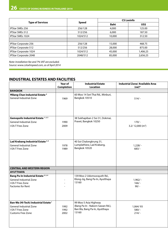|                              |              | <b>CS Loxinfo</b> |          |  |
|------------------------------|--------------|-------------------|----------|--|
| <b>Type of Services</b>      | <b>Speed</b> | <b>Baht</b>       | US\$     |  |
| <b>IPStar SMEs 256</b>       | 256/128      | 4,000             | 125.00   |  |
| <b>IPStar SMEs 512</b>       | 512/256      | 6,000             | 187.50   |  |
| <b>IPStar SMEs 1024</b>      | 1024/512     | 10,000            | 312.50   |  |
|                              |              |                   |          |  |
| <b>IPStar Corporate 256</b>  | 256/128      | 15,000            | 468.75   |  |
| <b>IPStar Corporate 512</b>  | 512/256      | 28,000            | 875.00   |  |
| IPStar Corporate 1024        | 1024/512     | 45,000            | 1,406.25 |  |
| <b>IPStar Corporate 2048</b> | 2048/512     | 85,000            | 2,656.25 |  |

*Note: Installation fee and 7% VAT are excluded. Source: www.csloxhispeed.com, as of April 2014*

### **INDUSTRIAL ESTATES AND FACILITIES**

|                                                                       | Year of<br><b>Completion</b> | <b>Industrial Estate</b><br><b>Location</b>        | <b>Industrial Zone/ Available Area</b><br>$(rai)*$ |
|-----------------------------------------------------------------------|------------------------------|----------------------------------------------------|----------------------------------------------------|
| <b>BANGKOK</b>                                                        |                              |                                                    |                                                    |
| ♦ Bang Chan Industrial Estate <sup>4</sup><br>General Industrial Zone | 1969                         | 60 Moo 14 Seri Thai Rd., Minburi,<br>Bangkok 10510 | $514/-$                                            |
| Gemopolis Industrial Estate 1, 2, 3                                   |                              | 38 Sukhapiban 2 Soi 31, Dokmai,                    |                                                    |
| <b>General Industrial Zone</b>                                        | 1990                         | Pravet, Bangkok 10250                              | $170/-$                                            |
| I-EA-T Free Zone                                                      | 2009                         |                                                    | 3.2/12,000 (m <sup>2</sup> )                       |
| Lad Krabang Industrial Estate 4,5                                     |                              | 40 Soi Chalongkrung 31,                            |                                                    |
| <b>General Industrial Zone</b>                                        | 1978                         | Lumplathiew, Lad Krabang,                          | $1,228/ -$                                         |
| I-EA-T Free Zone                                                      | 1989                         | Bangkok 10520                                      | $683/ -$                                           |
| <b>CENTRAL AND WESTERN REGION</b>                                     |                              |                                                    |                                                    |
| <b>AYUTTHAYA</b>                                                      |                              |                                                    |                                                    |
| Bang Pa-In Industrial Estate <sup>2, 3, 4</sup>                       |                              | 139 Moo 2 Udomsorayuth Rd.,                        |                                                    |
| <b>General Industrial Zone</b>                                        |                              | Klong-Jig, Bang Pa-In, Ayutthaya                   | $1,962/ -$                                         |
| I-EA-T Free Zone                                                      |                              | 13160                                              | $166/-$                                            |
| <b>Factories for Rent</b>                                             |                              |                                                    | $90/ -$                                            |
| Ban-Wa (Hi-Tech) Industrial Estate <sup>1</sup>                       |                              | 99 Moo 5 Asia Highway                              |                                                    |
| <b>General Industrial Zone</b>                                        | 1992                         | (Bang Pa-In - Nakorn Sawan Rd.),                   | 1,064/93                                           |
| I-EA-T Free Zone                                                      | 1992                         | Ban Wa, Bang Pa-In, Ayutthaya                      | $580/-$                                            |
| <b>Customs Free Zone</b>                                              | 2002                         | 13160                                              | $214/ -$                                           |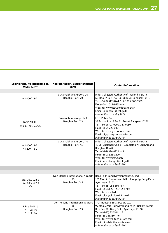| <b>Selling Price/ Maintenance Fee/</b><br><b>Water Fee**</b> | <b>Nearest Airport/ Seaport Distance</b><br>(KM)           | <b>Contact Information</b>                                                                                                                                                                                                                                                                     |
|--------------------------------------------------------------|------------------------------------------------------------|------------------------------------------------------------------------------------------------------------------------------------------------------------------------------------------------------------------------------------------------------------------------------------------------|
|                                                              |                                                            |                                                                                                                                                                                                                                                                                                |
| $-$ / 1.000/ 18-21                                           | Suvarnabhumi Airport/20<br>Bangkok Port/20                 | Industrial Estate Authority of Thailand (I-EA-T)<br>60 Moo 14 Seri Thai Rd., Minburi, Bangkok 10510<br>Tel: (+66-2) 517-0744, 517-1895, 906-0399<br>Fax: (+66-2) 517-9653 to 4<br>Website: www.ieat.go.th/bangchan<br>Email: BanChan.1@ieat.go.th<br>Information as of May 2014                |
| 16m/2,000/-<br>49,000 (m <sup>2</sup> )/ 25/ 20              | Suvarnabhumi Airport/ 4<br>Bangkok Port/13                 | I.G.S. Public Co., Ltd.<br>38 Sukhapiban 2 Soi 31, Pravet, Bangkok 10250<br>Tel: (+66-2) 727-0000, 727-0030<br>Fax: (+66-2) 727-0024<br>Website: www.gemopolis.com<br>Email: piyaporn@gemopolis.com<br>Information as of April 2014                                                            |
| $-$ / 1,000/ 18-21<br>$-$ / 1,200/ 18-21                     | Suvarnabhumi Airport/10<br>Bangkok Port/45                 | Industrial Estate Authority of Thailand (I-EA-T)<br>40 Soi Chalongkrung 31, Lumplathiew, Lad Krabang,<br>Bangkok 10520<br>Tel: (+66-2) 326-0221 to 3<br>Fax: (+66-2) 326-0220<br>Website: www.ieat.go.th<br>Email: latkrabang.1@ieat.go.th<br>Information as of April 2014                     |
|                                                              |                                                            |                                                                                                                                                                                                                                                                                                |
|                                                              |                                                            |                                                                                                                                                                                                                                                                                                |
| 5m/700/22.50<br>5m/800/22.50<br>$-/-$                        | Don Meuang International Airport/<br>26<br>Bangkok Port/65 | Bang Pa-In Land Development Co., Ltd.<br>139 Moo 2 Udomsorayuth Rd., Klong-Jig, Bang Pa-In,<br>Ayutthaya 13160<br>Tel: (+66-35) 258-395 to 9<br>Fax: (+66-35) 221-207, 258-402<br>Website: www.bldc.co.th<br>Email: bldc@bkk2.loxinfo.co.th<br>Information as of April 2014                    |
| 3.5m/900/16<br>$-/1,100/16$<br>$-1,100/16$                   | Don Meuang International Airport/<br>36<br>Bangkok Port/63 | Thai Industrial Estate Corp., Ltd.<br>99 Moo 5 Asia Highway (Bang Pa-In - Nakorn Sawan<br>Rd.), Ban Wa, Bang Pa-In, Ayutthaya 13160<br>Tel: (+66-35) 350144 to 5<br>Fax: (+66-35) 350-146<br>Website: www.hitech-estate.com<br>Email: hitech@hitech-estate.com<br>Information as of April 2014 |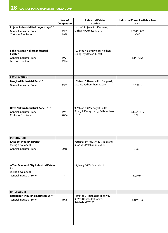|                                                                                                  | Year of                  | <b>Industrial Estate</b>                                                   | <b>Industrial Zone/ Available Area</b> |
|--------------------------------------------------------------------------------------------------|--------------------------|----------------------------------------------------------------------------|----------------------------------------|
|                                                                                                  | Completion               | <b>Location</b>                                                            | $(rai)*$                               |
| Rojana Industrial Park, Ayutthaya <sup>2,4</sup><br>General Industrial Zone<br>Customs Free Zone | 1988<br>1988             | 1 Moo 5 Rojana Rd., Kanharm,<br>U-Thai, Ayutthaya 13210                    | 9,810/1,000<br>$-140$                  |
| Saha Rattana Nakorn Industrial<br>Estate $1, 2$<br>General Industrial Zone<br>Factories for Rent | 1991<br>1994             | 103 Moo 4 Bang Prakru, Nakhon<br>Luang, Ayutthaya 13260                    | 1,441/395                              |
| <b>PATHUMTHANI</b>                                                                               |                          |                                                                            |                                        |
| Bangkadi Industrial Park <sup>2, 3, 4</sup><br>General Industrial Zone                           | 1987                     | 159 Moo 5 Tiwanon Rd., Bangkadi,<br>Muang, Pathumthani 12000               | $1,222/ -$                             |
| Nava Nakorn Industrial Zone 1, 2, 3, 6<br>General Industrial Zone<br>Customs Free Zone           | 1971<br>2004             | 999 Moo 13 Phaholyothin Rd.,<br>Klong 1, Klong Luang, Pathumthani<br>12120 | 6,485/161.2<br>$137/ -$                |
|                                                                                                  |                          |                                                                            |                                        |
| <b>PETCHABURI</b>                                                                                |                          |                                                                            |                                        |
| Khao Yoi Industrial Park <sup>2</sup><br>(being developed)<br>General Industrial Zone            | 2016                     | Petchkasem Rd., Km 139, Tabkang,<br>Khao Yoi, Petchaburi 76140             | $700/-$                                |
| <b>♦ Thai Diamond City Industrial Estate</b>                                                     |                          | Highway 3499, Petchaburi                                                   |                                        |
| 1, 2                                                                                             |                          |                                                                            |                                        |
| (being developed)<br>General Industrial Zone                                                     | $\overline{\phantom{a}}$ |                                                                            | $27,963/ -$                            |
| <b>RATCHABURI</b>                                                                                |                          |                                                                            |                                        |
| Ratchaburi Industrial Estate (RIE) 1, 2, 3<br>General Industrial Zone                            | 1998                     | 110 Moo 9 Phetkasem Highway<br>Km90, Donsai, Potharam,<br>Ratchaburi 70120 | 1,430/199                              |
|                                                                                                  |                          |                                                                            |                                        |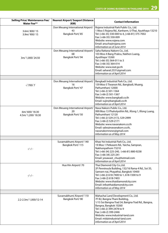| <b>Selling Price/ Maintenance Fee/</b><br><b>Water Fee**</b> | Nearest Airport/ Seaport Distance<br>(KM)                  | <b>Contact Information</b>                                                                                                                                                                                                                                                                                      |
|--------------------------------------------------------------|------------------------------------------------------------|-----------------------------------------------------------------------------------------------------------------------------------------------------------------------------------------------------------------------------------------------------------------------------------------------------------------|
| 3.6m/800/15<br>3.9m/900/15                                   | Don Meuang International Airport/<br>43<br>Bangkok Port/85 | Rojana Industrial Park Public Co., Ltd.<br>1 Moo 5 Rojana Rd., Kanharm, U-Thai, Ayutthaya 13210<br>Tel: (+66-35) 330-000 to 4, (+66-81) 375-7002<br>Fax: (+66-35) 330-009<br>Website: www.rojana.com<br>Email: anucha@rojana.com<br>Information as of June 2014                                                 |
| 3m/ 1,000/ 24.50                                             | Don Meuang International Airport/<br>68<br>Bangkok Port/94 | Saha Rattana Nakorn Co., Ltd.<br>103 Moo 4 Bang Prakru, Nakhon Luang,<br>Ayutthaya 13260<br>Tel: (+66-35) 364-011 to 3<br>Fax: (+66-35) 364-014<br>Website: www.ieat.go.th<br>Email: saharat.2531@gmail.com<br>Information as of April 2014                                                                     |
|                                                              |                                                            |                                                                                                                                                                                                                                                                                                                 |
| $-1700/7$                                                    | Don Meuang International Airport/<br>16<br>Bangkok Port/47 | Bangkadi Industrial Park Co., Ltd.<br>159 Moo 5 Tiwanon Rd., Bangkadi, Muang,<br>Pathumthani 12000<br>Tel: (+66-2) 501-1364<br>Fax: (+66-2) 501-1367<br>Website: www.bangkadi.co.th<br>Email: sujin@bangkadi.co.th<br>Information as of April 2014                                                              |
| 6m/600/18.30<br>4.5m/ 1,200/ 18.30                           | Don Meuang International Airport/<br>20<br>Bangkok Port/50 | Nava Nakorn Public Co., Ltd.<br>999 Moo 13 Phaholyothin Rd., Klong 1, Klong Luang,<br>Pathumthani 12120<br>Tel: (+66-2) 529-2172, 529-2999<br>Fax: (+66-2) 529-2171<br>Website: www.navanakorn.co.th<br>Email: sales@navanakorn.co.th,<br>navanakornnews@gmail.com<br>Information as of May 2014                |
|                                                              |                                                            |                                                                                                                                                                                                                                                                                                                 |
| $-/-/ -$                                                     | Suvarnabhumi Airport/140<br>Bangkok Port/115               | Khao Yoi Industrial Park Co., Ltd.<br>19 Moo 1 Petkasem Rd., Yaicha, Sampran,<br>Nakhonpathom 73210<br>Tel: (+66-34) 225-240, (+66-81) 880-9238<br>Fax: (+66-34) 225-241<br>Email: yosawast_chu@hotmail.com<br>Information as of April 2014                                                                     |
| $-/-/ -$                                                     | Hua Hin Airport/70                                         | Thai Diamond City Co., Ltd.<br>2F Penninsula Building, 132/16 Rama 4 Rd., Soi 35,<br>Samsen-nai, Phayathai, Bangkok 10400<br>Tel: (+66-2) 618-7400 to 1, 618-7200 to 9<br>Fax: (+66-2) 618-7403<br>Website: www.thaidiamondcity.com<br>Email: info@thaidiamondcity.com<br>Information as of May 2014            |
|                                                              |                                                            |                                                                                                                                                                                                                                                                                                                 |
| 2.2-2.3m/1,000/12-14                                         | Suvarnabhumi Airport/110<br>Bangkok Port/90                | Mahachai Land Development Co., Ltd.<br>7F B2, Bangna Thani Building,<br>1/15 Soi Bangna-Trad 34, Bangna-Trad Rd., Bangna,<br>Bangna, Bangkok 10260<br>Tel: (+66-2) 399-2478 to 9<br>Fax: (+66-2) 399-2446<br>Website: www.industrial-land.com<br>Email: mld@industrial-land.com<br>Information as of April 2014 |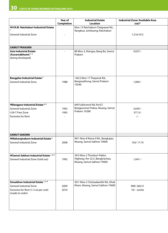|                                                                                                                            | Year of                  | <b>Industrial Estate</b>                                                                  | <b>Industrial Zone/ Available Area</b> |
|----------------------------------------------------------------------------------------------------------------------------|--------------------------|-------------------------------------------------------------------------------------------|----------------------------------------|
|                                                                                                                            | <b>Completion</b>        | <b>Location</b>                                                                           | $(rai)*$                               |
| ♦ V.R.M. Ratchaburi Industrial Estate<br><b>General Industrial Zone</b>                                                    | $\overline{\phantom{a}}$ | Moo 13 Ratchaburi-Chatpawai Rd.,<br>Rangbua, Jombueng, Ratchaburi                         | 1,216/812                              |
| <b>SAMUT PRAKARN</b>                                                                                                       |                          |                                                                                           |                                        |
| <b>Asia Industrial Estate</b><br>(Suvarnabhumi) 1,3<br>(being developed)                                                   | $\sim$                   | 88 Moo 3, Klongsa, Bang Bo, Samut<br>Prakarn                                              | $4,027/ -$                             |
| <b>Bangplee Industrial Estate<sup>5</sup></b><br>General Industrial Zone                                                   | 1988                     | 136/2 Moo 17 Theparuk Rd.,<br>Bangsoathong, Samut Prakarn<br>10540                        | $1,004/ -$                             |
| ◆Bangpoo Industrial Estate <sup>4,5</sup><br>General Industrial Zone<br>I-EA-T Free Zone<br><b>Factories for Rent</b>      | 1992<br>1992             | 649 Sukhumvit Rd. Km37,<br>Bangpoomai-Praksa, Muang, Samut<br>Prakarn 10280               | $3,659/ -$<br>$377.3/-$<br>$-/-$       |
|                                                                                                                            |                          |                                                                                           |                                        |
| <b>SAMUT SAKORN</b>                                                                                                        |                          |                                                                                           |                                        |
| ◆ Maharajnakorn Industrial Estate <sup>2</sup><br><b>General Industrial Zone</b>                                           | 2008                     | 99/1 Moo 8 Rama II Rd., Bangkajao,<br>Muang, Samut Sakhon 74000                           | 103/17.74                              |
| ◆ Samut Sakhon Industrial Estate 1, 2, 3<br>General Industrial Zone (Sold out)                                             | 1992                     | 39/5 Moo 2 Thonburi-Paktor<br>Highway, Km 32.5, Bangkrachao,<br>Muang, Samut Sakhon 74000 | $1,041/ -$                             |
| Sinsakhon Industrial Estate 1, 2, 4<br>General Industrial Zone<br>Factories for Rent (1-2 rai per unit)<br>(made to order) | 2009<br>2010             | 30/1 Moo 2 Chetsadawithi Rd., Khok<br>Kham, Muang, Samut Sakhon 74000                     | 989/266.51<br>10/ - (units)            |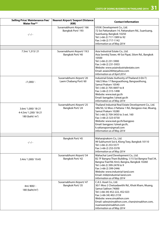| <b>Selling Price/ Maintenance Fee/</b><br><b>Water Fee**</b>     | Nearest Airport/ Seaport Distance<br>(KM)       | <b>Contact Information</b>                                                                                                                                                                                                                                                                                                      |
|------------------------------------------------------------------|-------------------------------------------------|---------------------------------------------------------------------------------------------------------------------------------------------------------------------------------------------------------------------------------------------------------------------------------------------------------------------------------|
| $-/-/ -$                                                         | Suvarnabhumi Airport/ 166<br>Bangkok Port/193   | V.R.M. Development Co., Ltd.<br>72 Soi Pattanakarn 14, Pattanakarn Rd., Suanluang,<br>Suanluang, Bangkok 10250<br>Tel: (+66-2) 717-1389 to 92<br>Fax: (+66-2) 717-1142<br>Information as of May 2014                                                                                                                            |
|                                                                  |                                                 |                                                                                                                                                                                                                                                                                                                                 |
| 7.5m/ 1,315/ 21                                                  | Suvarnabhumi Airport/ 19.5<br>Bangkok Port/40   | Asia Industrial Estate Co., Ltd.<br>Asia Sermkij Tower, 49 Soi Pipat, Silom Rd., Bangkok<br>10500<br>Tel: (+66-2) 231-5900<br>Fax: (+66-2) 231-5933<br>Website: www.asiaindustrialestate.com<br>Email: asiaie2004@yahoo.com<br>Information as of April 2014                                                                     |
| $-1,000/ -$                                                      | Suvarnabhumi Airport/20<br>Laem Chabang Port/60 | Industrial Estate Authority of Thailand (I-EA-T)<br>166/2 Moo 17 Bangsaothong, Bangsaothong,<br>Samut Prakarn 10540<br>Tel: (+66-2) 705-0697 to 8<br>Fax: (+66-2) 315-1498<br>Website: www.ieat.go.th<br>Email: bangplee.1@ieat.go.th<br>Information as of May 2014                                                             |
| 3.6m/ 1,000/ 18-21<br>4-4.5m/ 1,200/ 18-21<br>180 (baht/ $m^2$ ) | Suvarnabhumi Airport/25<br>Bangkok Port/24      | Thailand Industrial Real Estate Development Co., Ltd.<br>586/50, 52 Moo 2 Pattana 1 Rd., Bangpoo-mai, Muang,<br>Samut Prakarn 10280<br>Tel: (+66-2) 709-3450 to 3 ext. 160<br>Fax: (+66-2) 323-0730<br>Website: www.ieat.go.th/bangpoo<br>Email: bangpoo.1@ieat.go.th,<br>k.rattanaporn@gmail.com<br>Information as of May 2014 |
|                                                                  |                                                 |                                                                                                                                                                                                                                                                                                                                 |
| $-/-/ -$                                                         | Bangkok Port/45                                 | Maharajnakorn Co., Ltd.<br>99 Sukhumvit Soi 6, Klong Toey, Bangkok 10110<br>Tel: (+66-2) 253-5577<br>Fax: (+66-2) 253-5578<br>Information as of May 2014                                                                                                                                                                        |
| 3.4m/ 1,000/ 19.45                                               | Suvarnabhumi Airport/ 54<br>Bangkok Port/42     | Mahachai Land Development Co., Ltd.<br>B2 7F Bangna Thani Building, 1/15 Soi Bangna-Trad 34,<br>Bangna-Trad Rd. Km3, Bangna, Bangkok 10260<br>Tel: (+66-2) 399-2478 to 9<br>Fax: (+66-2) 399-2446<br>Website: www.industrial-land.com<br>Email: mld@industrial-land.com<br>Information as of May 2014                           |
| 4m/800/-<br>180 (baht/ $m^2$ )                                   | Suvarnabhumi Airport/ 47<br>Bangkok Port/35     | C.A.S. Asset Co., Ltd.<br>30/1 Moo 2 Chetsadawithi Rd., Khok Kham, Muang,<br>Samut Sakhon 74000<br>Tel: (+66-34) 452-222, 452-023<br>Fax: (+66-34) 402-2159<br>Website: www.sinsakhon.com<br>Email: sales@sinsakhon.com, chan@sinsakhon.com,<br>nuanwan@sinsakhon.com<br>Information as of May 2014                             |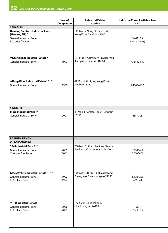|                                                                                                 | Year of           | <b>Industrial Estate</b>                                         | <b>Industrial Zone/ Available Area</b> |  |
|-------------------------------------------------------------------------------------------------|-------------------|------------------------------------------------------------------|----------------------------------------|--|
|                                                                                                 | <b>Completion</b> | <b>Location</b>                                                  | $(rai)*$                               |  |
| <b>SARABURI</b>                                                                                 |                   |                                                                  |                                        |  |
| Hemaraj Saraburi Industrial Land<br>(Hemaraj SIL) <sup>2,4</sup>                                |                   | 111 Moo 7 Nong Pla Keadi Rd.,<br>Nong Khae, Saraburi 18140       |                                        |  |
| General Industrial Zone<br>Factories for Rent                                                   |                   |                                                                  | 3,619/89<br>43/16 (units)              |  |
| ◆Kaeng Khoi Industrial Estate <sup>5</sup><br><b>General Industrial Zone</b>                    | 1990              | 134 Moo 1 Adireksarn Rd., Banthad,<br>Kaengkhoi, Saraburi 18110  | 433/124.49                             |  |
| Nong Khae Industrial Estate 1, 2, 3, 4<br>General Industrial Zone                               | 1990              | 61 Moo 1 Khokyae, Nong Khae,<br>Saraburi 18230                   | 1,464/473.5                            |  |
| <b>SINGBURI</b>                                                                                 |                   |                                                                  |                                        |  |
| Indra Industrial Park <sup>2,4</sup><br><b>General Industrial Zone</b>                          | 2001              | 48 Moo 3 Namtan, Inburi, Singburi<br>16110                       | 665/305                                |  |
| <b>EASTERN REGION</b>                                                                           |                   |                                                                  |                                        |  |
| <b>CHACHOENGSAO</b>                                                                             |                   |                                                                  |                                        |  |
| 304 Industrial Park 2 <sup>2,3</sup><br>General Industrial Zone<br>Customs Free Zone            | 2001<br>2001      | 200 Moo 3, Khao Hin Sorn, Phanom<br>Sarakarm, Chachoengsao 24120 | 6,000/450<br>6,000/400                 |  |
| Gateway City Industrial Estate 1, 2, 3, 4<br>General Industrial Zone<br>I-EA-T Free Zone        | 1992<br>1992      | Highway 331 Km.10, Huasamrong,<br>Plaeng Yao, Chachoengsao 24190 | 3,208/250<br>435/70                    |  |
| $\blacklozenge$ TFD Industrial Estate 1,3<br><b>General Industrial Zone</b><br>I-EA-T Free Zone | 2008<br>2008      | Tha Sa-an, Bangpakong,<br>Chachoengsao 24180                     | $156/-$<br>75/13.95                    |  |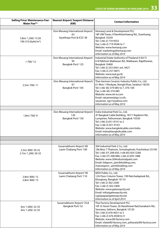| <b>Selling Price/ Maintenance Fee/</b><br><b>Water Fee**</b> | Nearest Airport/ Seaport Distance<br>(KM)                          | <b>Contact Information</b>                                                                                                                                                                                                                                                                                             |
|--------------------------------------------------------------|--------------------------------------------------------------------|------------------------------------------------------------------------------------------------------------------------------------------------------------------------------------------------------------------------------------------------------------------------------------------------------------------------|
|                                                              |                                                                    |                                                                                                                                                                                                                                                                                                                        |
|                                                              | Don Meuang International Airport/<br>62<br>Ayutthaya Port & ICD/38 | Hemaraj Land & Development PLC<br>18F UM Tower, 9 Ramkhamhaeng Rd., Suanluang,<br>Bangkok 10250                                                                                                                                                                                                                        |
| 3.8m/ 1,300/ 15.50<br>190-210 (baht/m <sup>2</sup> )         |                                                                    | Tel: (+66-2) 719-9555<br>Fax: (+66-2) 719-9546 to 7<br>Website: www.hemaraj.com<br>Email: marketing@hemaraj.com<br>Information as of May 2014                                                                                                                                                                          |
|                                                              | Don Meuang International Airport/                                  | Industrial Estate Authority of Thailand (I-EA-T)                                                                                                                                                                                                                                                                       |
| $-/700/12$                                                   | 95<br>Bangkok Port/125                                             | 618 Nikhom Makkasan Rd., Makkasan, Rajathewee,<br>Bangkok 10400<br>Tel: (+66-2) 253-0561 ext. 4427<br>Fax: (+66-2) 257-0875<br>Website: www.ieat.go.th<br>Information as of May 2014                                                                                                                                   |
|                                                              | Don Meuang International Airport/                                  | Thai-German Ceramic Industry Public Co., Ltd.                                                                                                                                                                                                                                                                          |
| 2.5m/700/11                                                  | 67<br>Bangkok Port/105                                             | 61 Moo 1 Khokyae, Nongk Khae, Saraburi 18230<br>Tel: (+66-36) 374-085 to 7, 376-100<br>Fax: (+66-36) 374-085<br>Website: www.nk-ie.com<br>Email: ratsamee@tgci.co.th,<br>rassamee_tgci1@yahoo.com<br>Information as of May 2014                                                                                        |
|                                                              |                                                                    |                                                                                                                                                                                                                                                                                                                        |
| 1.8m/700/9                                                   | Don Meuang International Airport/<br>120<br>Bangkok Port/150       | Indra Industrial Park Co., Ltd.<br>2F Bangkok Cable Building, 187/1 Rajdamri Rd.,<br>Lumpinee, Pathumwan, Bangkok 10330<br>Tel: (+66-2) 651-9141 to 2<br>Fax: (+66-2) 651-9143<br>Website: www.bangkokcable.com/indra<br>Email: indra@bangkokcable.com<br>Information as of May 2014                                   |
|                                                              |                                                                    |                                                                                                                                                                                                                                                                                                                        |
|                                                              |                                                                    |                                                                                                                                                                                                                                                                                                                        |
| 2.5m/800/20-32<br>2.7m/ 1,200/ 20-32                         | Suvarnabhumi Airport/80<br>Laem Chabang Port/100                   | 304 Industrial Park 2 Co., Ltd.<br>106 Moo 7 Thatoom, Srimahaphote, Prachinburi 25140<br>Tel: (+66-37) 208-650, (+66-85) 835-5266<br>Fax: (+66-37) 208-884, (+66-2) 659-1488<br>Website: www.304industrialpark.com<br>  Email: tidaporn_j@mibholding.com,<br>manutsporn_s@mibholding.com<br>Information as of May 2014 |
| 2.8m/800/15<br>2.8m/800/15                                   | Suvarnabhumi Airport/ 90<br>Laem Chabang Port/110                  | MDX Public Co., Ltd.<br>12A Floor Column Tower, 199 Ratchadapisek Rd.,<br>Klongtoey, Bangkok 10110<br>Tel: (+66-2) 302-2300<br>Fax: (+66-2) 302-2400<br>Website: www.gatewaycity.net<br>Email: info@gatewaycity.net,<br>sujeepapa@gatewaycity.net<br>Information as of April 2014                                      |
| 6m/ 1,000/ 22-35<br>6m/ 1,200/ 22-35                         | Suvarnabhumi Airport/35.8<br>Bangkok Port/52                       | Thai Factory Development PLC<br>10F JC Kevin Tower, 26 Narathiwat-Ratchanakarin Rd.,<br>Yannawa, Sathorn, Bangkok 10120<br>Tel: (+66-2) 676-4031 to 5<br>Fax: (+66-2) 676-4038 to 9<br>Website: www.tfd-factory.com<br>Email: vilai@tfd-factory.com, jutharat@tfd-factory.com<br>Information as of May 2014            |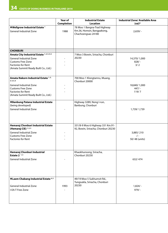|                                                                                                                                 | Year of           | <b>Industrial Estate</b>                                                         | <b>Industrial Zone/ Available Area</b> |  |
|---------------------------------------------------------------------------------------------------------------------------------|-------------------|----------------------------------------------------------------------------------|----------------------------------------|--|
|                                                                                                                                 | <b>Completion</b> | <b>Location</b>                                                                  | $(rai)*$                               |  |
| ◆Wellgrow Industrial Estate <sup>1</sup><br>General Industrial Zone                                                             | 1988              | 78 Moo 1 Bangna-Trad Highway<br>Km.36, Homsin, Bangpakong,<br>Chachoengsao 24180 | $2,659/ -$                             |  |
| <b>CHONBURI</b>                                                                                                                 |                   |                                                                                  |                                        |  |
| Amata City Industrial Estate 1, 2, 4, 5, 6                                                                                      |                   | 7 Moo 3 Bowin, Sriracha, Chonburi                                                |                                        |  |
| General Industrial Zone<br><b>Customs Free Zone</b><br><b>Factories for Rent</b><br>(Amata Summit Ready Built Co., Ltd.)        |                   | 20230                                                                            | 14,370/1,000<br>$828/-$<br>3/2         |  |
| Amata Nakorn Industrial Estate 1,2,<br>3, 4, 5, 6                                                                               |                   | 700 Moo 1 Klongtamru, Muang,                                                     |                                        |  |
| <b>General Industrial Zone</b><br><b>Customs Free Zone</b><br><b>Factories for Rent</b><br>(Amata Summit Ready Built Co., Ltd.) |                   | Chonburi 20000                                                                   | 18,840/1,000<br>$447/ -$<br>119/7      |  |
| ◆Banbung Patana Industrial Estate                                                                                               |                   | Highway 3289, Nong I-run,                                                        |                                        |  |
| (being developed)<br><b>General Industrial Zone</b>                                                                             |                   | Banbung, Chonburi                                                                | 1,739/1,739                            |  |
| Hemaraj Chonburi Industrial Estate                                                                                              |                   | 331/8-9 Moo 6 Highway 331 Km.91-                                                 |                                        |  |
| (Hemaraj CIE) 1, 2, 3<br><b>General Industrial Zone</b><br>Customs Free Zone<br><b>Factories for Rent</b>                       |                   | 92, Bowin, Sriracha, Chonburi 20230                                              | 3,885/210<br>$-/-$<br>50/48 (units)    |  |
|                                                                                                                                 |                   |                                                                                  |                                        |  |
| Hemaraj Chonburi Industrial<br>Estate $2^{-1/2}$<br><b>General Industrial Zone</b>                                              |                   | Khaokhunsong, Sriracha,<br>Chonburi 20230                                        | 632/474                                |  |
| ◆Laem Chabang Industrial Estate <sup>4,5</sup><br><b>General Industrial Zone</b><br>I-EA-T Free Zone                            | 1993              | 49/19 Moo 5 Sukhumvit Rd.,<br>Tungsukla, Sriracha, Chonburi<br>20230             | $1,824/ -$<br>$979/ -$                 |  |
|                                                                                                                                 |                   |                                                                                  |                                        |  |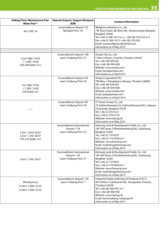| <b>Selling Price/ Maintenance Fee/</b><br><b>Water Fee**</b>                | Nearest Airport/ Seaport Distance<br>(KM)                         | <b>Contact Information</b>                                                                                                                                                                                                                                                |
|-----------------------------------------------------------------------------|-------------------------------------------------------------------|---------------------------------------------------------------------------------------------------------------------------------------------------------------------------------------------------------------------------------------------------------------------------|
| 4m/700/18                                                                   | Suvarnabhumi Airport/20<br>Bangkok Port/50                        | Wellgrow Industries Co., Ltd.<br>19F Paso Tower, 88 Silom Rd., Suriyawongse, Bangrak,<br>Bangkok 10500<br>Tel: (+66-2) 268-1612 to 3, (+66-38) 570-522 to 3<br>Fax: (+66-2) 268-1615, (+66-38) 570-002<br>Email: suneewellgrow@hotmail.com<br>Information as of May 2014  |
|                                                                             |                                                                   |                                                                                                                                                                                                                                                                           |
| 3.2m/ 900/ 19.50<br>$-$ / 1,200/ 19.50<br>230-240 (baht/ m <sup>2</sup> )   | Suvarnabhumi Airport/100<br>Laem Chabang Port/27                  | Amata City Co., Ltd.<br>7 Moo 3 Bowin, Sriracha, Chonburi 20230<br>Tel: (+66-38) 939-007<br>Fax: (+66-38) 939-000<br>Website: www.amata.com<br>Email: jariya@amata.com<br>Information as of April 2014                                                                    |
| 7m/900/19.50<br>$-$ / 1,200/ 19.50<br>250 (baht/ m <sup>2</sup> )           | Suvarnabhumi Airport/ 40<br>Laem Chabang Port/43                  | <b>Amata Corporation PCL</b><br>700 Moo 1 Klongtamru, Muang, Chonburi 20000<br>Tel: (+66-38) 939-007<br>Fax: (+66-38) 939-000<br>Website: www.amata.com<br>Email: jariya@amata.com<br>Information as of April 2014                                                        |
| $-/-/ -$                                                                    | Suvarnabhumi Airport/80<br>Laem Chabang Port/58                   | ST Power Group Co., Ltd.<br>73 Sukhonthasawat 26, Sukhonthasawat Rd., Ladprao,<br>Chatuchak, Bangkok 10230<br>Tel: (+66-2) 570-9121<br>Fax: (+66-2) 570-3123<br>Website: www.ieat.go.th<br>Information as of May 2014                                                     |
| 3.3m/ 1,050/ 26.07<br>3.3m/ 1,150/ 26.07<br>195-210 (baht/ m <sup>2</sup> ) | Suvarnabhumi International<br>Airport/118<br>Laem Chabang Port/37 | Hemaraj Land & Development Public Co., Ltd.<br>18F UM Tower, 9 Ramkhamhaeng Rd., Suanluang,<br>Bangkok 10250<br>Tel: (+66-2) 719-9555<br>Fax: (+66-2) 719-9546 to 7<br>Website: www.hemaraj.com<br>Email: marketing@hemaraj.com<br>Information as of May 2014             |
| 3.6m/ 1,100/ 26.07                                                          | Suvarnabhumi International<br>Airport/118<br>Laem Chabang Port/37 | Hemaraj Land & Development Public Co., Ltd.<br>18F UM Tower, 9 Ramkhamhaeng Rd., Suanluang,<br>Bangkok 10250<br>Tel: (+66-2) 719-9555<br>Fax: (+66-2) 719-9546 to 7<br>Website: www.hemaraj.com<br>Email: marketing@hemaraj.com<br>Information as of May 2014             |
| (Rental prices)<br>0.16m/ 1,000/ 22.25<br>0.20m/ 1,200/ 22.25               | Suvarnabhumi Airport/120<br>Laem Chabang Port/1                   | Industrial Estate Authority of Thailand (I-EA-T)<br>49/19 Moo 5 Sukhumvit Rd., Toongsukla, Sriracha,<br>Chonburi 20230<br>Tel: (+66-38) 490-941 to 7<br>Fax: (+66-38) 490-940<br>Website: www.ieat.go.th<br>Email: laemchabang.1@ieat.go.th<br>Information as of May 2014 |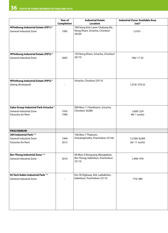|                                                                                                   | <b>Year of</b>           | <b>Industrial Estate</b>                                                    | <b>Industrial Zone/ Available Area</b> |
|---------------------------------------------------------------------------------------------------|--------------------------|-----------------------------------------------------------------------------|----------------------------------------|
|                                                                                                   | Completion               | <b>Location</b>                                                             | $(rai)*$                               |
| $\blacktriangleright$ Pinthong Industrial Estate (PIP1) <sup>2</sup><br>General Industrial Zone   | 1995                     | 789 Nong Koh-Laem Chabang Rd.,<br>Nong Kham, Sriracha, Chonburi<br>20230    | $1,010/-$                              |
| $\blacktriangleright$ Pinthong Industrial Estate (PIP2) <sup>2</sup><br>General Industrial Zone   | 2005                     | 150 Nong Kham, Sriracha, Chonburi<br>20110                                  | 766/17.35                              |
| $\blacktriangleright$ Pinthong Industrial Estate (PIP3) <sup>2</sup><br>(being developed)         | $\overline{\phantom{a}}$ | Sriracha, Chonburi 20110                                                    | 1,019/379.22                           |
| Saha Group Industrial Park Sriracha <sup>2</sup><br>General Industrial Zone<br>Factories for Rent | 1976<br>1990             | 999 Moo 11 Nonkharm, Sriracha,<br>Chonburi 20280                            | 1,600/224<br>48/1 (units)              |
| <b>PRACHINBURI</b>                                                                                |                          |                                                                             |                                        |
| 304 Industrial Park <sup>2,3</sup><br>General Industrial Zone<br>Factories for Rent               | 1994<br>2013             | 106 Moo 7 Thatoom,<br>Srimahaphothe, Prachinburi 25140                      | 12,500/8,000<br>26/11 (units)          |
| Bor-Thong Industrial Zone <sup>2,4</sup><br>General Industrial Zone                               | 2010                     | 69 Moo 4 Nongsang-Wangtakian,<br>Bor-Thong, Kabinburi, Prachinburi<br>25110 | 1,440/978                              |
| Hi-Tech Kabin Industrial Park 1,2<br>General Industrial Zone                                      | $\sim$                   | Km.78 Highway 304, Ladtakhien,<br>Kabinburi, Prachinburi 25110              | 710/489                                |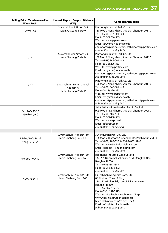| <b>Selling Price/ Maintenance Fee/</b><br><b>Water Fee**</b> | Nearest Airport/ Seaport Distance<br>(KM)                        | <b>Contact Information</b>                                                                                                                                                                                                                                                                                                                                          |
|--------------------------------------------------------------|------------------------------------------------------------------|---------------------------------------------------------------------------------------------------------------------------------------------------------------------------------------------------------------------------------------------------------------------------------------------------------------------------------------------------------------------|
| $-/700/20$                                                   | Suvarnabhumi Airport/ 65<br>Laem Chabang Port/9                  | Pinthong Industrial Park Co., Ltd.<br>150 Moo 9 Nong Kham, Sriracha, Chonburi 20110<br>Tel: (+66-38) 347-001 to 3<br>Fax: (+66-38) 296-333<br>Website: www.pipestate.com<br>Email: teruyama@asianet.co.th,<br>churaporn@pipestate.com, hathaiporn@pipestate.com<br>Information as of May 2014                                                                       |
| $-/-/ -$                                                     | Suvarnabhumi Airport/70<br>Laem Chabang Port/14                  | Pinthong Industrial Park Co., Ltd.<br>150 Moo 9 Nong Kham, Sriracha, Chonburi 20110<br>Tel: (+66-38) 347-001 to 3<br>Fax: (+66-38) 296-333<br>Website: www.pipestate.com<br>Email: teruyama@asianet.co.th,<br>churaporn@pipestate.com, hathaiporn@pipestate.com<br>Information as of May 2014                                                                       |
| $-/-/ -$                                                     | Suvarnabhumi International<br>Airport/75<br>Laem Chabang Port/15 | Pinthong Industrial Park Co., Ltd.<br>150 Moo 9 Nong Kham, Sriracha, Chonburi 20110<br>Tel: (+66-38) 347-001 to 3<br>Fax: (+66-38) 296-333<br>Website: www.pipestate.com<br>Email: teruyama@asianet.co.th,<br>churaporn@pipestate.com, hathaiporn@pipestate.com<br>Information as of May 2014                                                                       |
| 8m/900/20-25<br>150 (baht/m <sup>2</sup> )                   |                                                                  | Saha Pathana Inter-Holding Public Co., Ltd.<br>999 Moo 11 Nonkharm, Sriracha, Chonburi 20280<br>Tel: (+66-38) 480-444<br>Fax: (+66-38) 480-505<br>Website: www.spi.co.th<br>Email: info@spi.co.th<br>Information as of June 2011                                                                                                                                    |
|                                                              |                                                                  |                                                                                                                                                                                                                                                                                                                                                                     |
| 2.5-3m/ 900/ 18-29<br>200 (bath/ $m^2$ )                     | Suvarnabhumi Airport/110<br>Laem Chabang Port/140                | 304 Industrial Park Co., Ltd.<br>106 Moo 7 Thatoom, Srimahaphote, Prachinburi 25140<br>Tel: (+66-37) 208-650, (+66-85) 835-5266<br>Website: www.304industrialpark.com<br>Email: tidaporn_j@mibholding.com<br>Information as of May 2014                                                                                                                             |
| 0.6-2m/400/10                                                | Suvarnabhumi Airport/150<br>Laem Chabang Port/160                | Bor-Thong Industrial Zone Co., Ltd.<br>147/235 Baromrachachonanee Rd., Bangkok-Noi,<br>Bangkok 10700<br>Tel: (+66-2) 885-8881<br>Fax: (+66-2) 885-8882<br>Information as of May 2013                                                                                                                                                                                |
| 7.5m/700/16                                                  | Suvarnabhumi Airport/120<br>Laem Chabang Port/140                | Hi-Tech Kabin Logistics Corp., Ltd.<br>8F Sindhorn Tower 2 Bldg.,<br>130-132 Wireless Rd., Lumpini, Pathumwan,<br>Bangkok 10330<br>Tel: (+66-2) 651-5575<br>Fax: (+66-2) 651-5573<br>Website: hitechkabin.weebly.com (Eng)<br>www.hitechkabin.co.th (Japanese)<br>hitechkabin.wix.com/th-site (Thai)<br>Email: info@hitechkabin.co.th<br>Information as of May 2014 |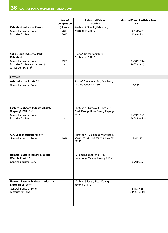|                                                                                                                                                                      | Year of                          | <b>Industrial Estate</b>                                                     | <b>Industrial Zone/ Available Area</b> |
|----------------------------------------------------------------------------------------------------------------------------------------------------------------------|----------------------------------|------------------------------------------------------------------------------|----------------------------------------|
| Kabinburi Industrial Zone <sup>2,4</sup>                                                                                                                             | <b>Completion</b><br>(phase3)    | <b>Location</b><br>444 Moo 9 Nongki, Kabinburi,                              | (rai)*                                 |
| <b>General Industrial Zone</b><br><b>Factories for Rent</b>                                                                                                          | 2013<br>2013                     | Prachinburi 25110                                                            | 4,000/400<br>9/ 9 (units)              |
| <b>Saha Group Industrial Park</b><br>Kabinburi <sup>2</sup><br><b>General Industrial Zone</b><br>Factories for Rent (on demand)<br>(Unit Size 18x36 m <sup>2</sup> ) | 1989<br>$\overline{\phantom{a}}$ | 1 Moo 5 Nonsi, Kabinburi,<br>Prachinburi 25110                               | 3,500/1,244<br>14/ 5 (units)           |
| <b>RAYONG</b>                                                                                                                                                        |                                  |                                                                              |                                        |
| Asia Industrial Estate 1, 2, 3<br><b>General Industrial Zone</b>                                                                                                     |                                  | 9 Moo 2 Sukhumvit Rd., Banchang,<br>Muang, Rayong 21130                      | $3,220/ -$                             |
| <b>Eastern Seaboard Industrial Estate</b><br>(Rayong) (ESIE) 1, 2, 3<br>General Industrial Zone<br><b>Factories for Rent</b>                                         |                                  | 112 Moo 4 Highway 331 Km.91.5,<br>Pluak Daeng, Pluak Daeng, Rayong<br>21140  | 9,519/1,150<br>156/48 (units)          |
| G.K. Land Industrial Park <sup>2,4</sup><br>General Industrial Zone                                                                                                  | 1998                             | 119 Moo 4 Pluakdaeng-Wangtapin-<br>Sapansee Rd., Pluakdaeng, Rayong<br>21140 | 644/177                                |
| Hemaraj Eastern Industrial Estate<br>(Map Ta Phut) 1,2<br>General Industrial Zone                                                                                    |                                  | 18 Pakorn Songkrohraj Rd.,<br>Huay Pong, Muang, Rayong 21150                 | 3,548/267                              |
| Hemaraj Eastern Seaboard Industrial<br>Estate (H-ESIE) 1, 2, 3<br>General Industrial Zone<br><b>Factories for Rent</b>                                               |                                  | 121 Moo 3 Tasith, Pluak Daeng,<br>Rayong, 21140                              | 8,113/668<br>74/27 (units)             |
|                                                                                                                                                                      |                                  |                                                                              |                                        |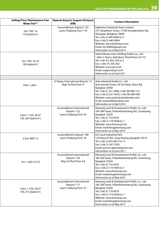| <b>Selling Price/ Maintenance Fee/</b><br><b>Water Fee**</b> | Nearest Airport/Seaport Distance<br>(KM)                          | <b>Contact Information</b>                                                                                                                                                                                                                                                                      |
|--------------------------------------------------------------|-------------------------------------------------------------------|-------------------------------------------------------------------------------------------------------------------------------------------------------------------------------------------------------------------------------------------------------------------------------------------------|
| 2m/700/14<br>170 (baht/m <sup>2</sup> )                      | Suvarnabhumi Airport/ 125<br>Laem Chabang Port/170                | Kabinburi Industrial Zone Limited<br>21F Sinsathorn Tower, 77/84 Krungthonburi Rd.,<br>Klongsan, Bangkok 10600<br>Tel: (+66-2) 440-0900 to 3<br>Fax: (+66-2) 440-0904<br>Website: www.kabinburi.com<br>Email: kiz10600@gmail.com<br>Information as of April 2014                                |
| 3m/700/16-33<br>100 (baht/m <sup>2</sup> )                   |                                                                   | Saha Pathana Inter-Holding Public Co., Ltd.<br>1 Moo 5 Nonsi, Kabinburi, Prachinburi 25110<br>Tel: (+66-37) 205-204 to 5<br>Fax: (+66-37) 205-202<br>Website: www.spi.co.th<br>Email: support@spi.co.th<br>Information as of June 2011                                                          |
| 10m/1,265/-                                                  | U-Tapao International Airport/15<br>Map Ta Phut Port/9            | Asia Industrial Estate Co., Ltd.<br>Asia Sermkij Tower, 49 Soi Pipat, Silom Rd.,<br>Bangkok 10500<br>Tel: (+66-2) 231-5900, (+66-38) 689-123<br>Fax: (+66-2) 231-5933, (+66-38) 689-092<br>Website: www.asiaindustrialestate.com<br>Email: asiaie2004@yahoo.com<br>Information as of April 2014 |
| 3.6m/ 1,150/ 26.07<br>195-205 (baht/m <sup>2</sup> )         | Suvarnabhumi International<br>Airport/122<br>Laem Chabang Port/45 | Hemaraj Land & Development Public Co., Ltd.<br>18F UM Tower, 9 Ramkhamhaeng Rd., Suanluang,<br>Bangkok 10250<br>Tel: (+66-2) 719-9555<br>Fax: (+66-2) 719-9546 to 7<br>Website: www.hemaraj.com<br>Email: marketing@hemaraj.com<br>Information as of May 2014                                   |
| 2.3m/800/15                                                  | Suvarnabhumi Airport/100<br>Laem Chabang Port/35                  | G.K Land Industrial Park<br>129 Rama IX Rd., Huay Kwang, Bangkok 10310<br>Tel: (+66-2) 643-0812 to 13<br>Fax: (+66-2) 247-7924<br>Email: pornsri.gkland@gmail.com<br>Information as of June 2011                                                                                                |
| 7m/1,200/23.75                                               | Suvarnabhumi International<br>Airport/150<br>Map Ta Phut Port/4.6 | Hemaraj Land & Development Public Co., Ltd.<br>18F UM Tower, 9 Ramkhamhaeng Rd., Suanluang,<br>Bangkok 10250<br>Tel: (+66-2) 719-9555<br>Fax: (+66-2) 719-9546 to 7<br>Website: www.hemaraj.com<br>Email: marketing@hemaraj.com<br>Information as of May 2014                                   |
| 3.6m/ 1,150/ 26.07<br>195-215 (baht/m <sup>2</sup> )         | Suvarnabhumi International<br>Airport/117<br>Laem Chabang Port/37 | Hemaraj Land & Development Public Co., Ltd.<br>18F UM Tower, 9 Ramkhamhaeng Rd., Suanluang,<br>Bangkok 10250<br>Tel: (+66-2) 719-9555<br>Fax: (+66-2) 719-9546 to 7<br>Website: www.hemaraj.com<br>Email: marketing@hemaraj.com<br>Information as of May 2014                                   |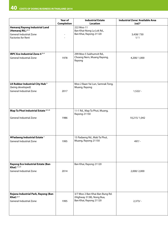|                                                                                                                        | <b>Year of</b>                     | <b>Industrial Estate</b>                                                               | <b>Industrial Zone/ Available Area</b> |
|------------------------------------------------------------------------------------------------------------------------|------------------------------------|----------------------------------------------------------------------------------------|----------------------------------------|
|                                                                                                                        | <b>Completion</b>                  | <b>Location</b>                                                                        | $(rai)*$                               |
| Hemaraj Rayong Industrial Land<br>(Hemaraj RIL) <sup>2,4</sup><br>General Industrial Zone<br><b>Factories for Rent</b> | $\sim$<br>$\overline{\phantom{a}}$ | 222 Moo 11<br>Ban Khai-Nong La Lok Rd.,<br>Ban Khai, Rayong 21120                      | 3,438/730<br>1/1                       |
| <b>IRPC Eco Industrial Zone 4 2, 4</b><br>General Industrial Zone                                                      | 1978                               | 299 Moo 5 Sukhumvit Rd.,<br>Choeng Nern, Muang Rayong,<br>Rayong                       | 4,200/1,000                            |
| LK Rubber Industrial City Hub <sup>2</sup><br>(being developed)<br><b>General Industrial Zone</b>                      | 2017                               | Moo 2 Baan Yai Lun, Samnak Tong,<br>Muang, Rayong                                      | $1,522/ -$                             |
| Map Ta Phut Industrial Estate 4, 5, 6<br>General Industrial Zone                                                       | 1986                               | 1 I-1 Rd., Map Ta Phut, Muang,<br>Rayong 21150                                         | 10,215/1,042                           |
| ◆ Padaeng Industrial Estate <sup>1</sup><br><b>General Industrial Zone</b>                                             | 1995                               | 15 Padaeng Rd., Mab Ta Phut,<br>Muang, Rayong 21150                                    | $497/ -$                               |
| <b>Rayong Eco Industrial Estate (Ban</b><br>Khai $\frac{1}{2}$ <sup>1, 2, 3</sup><br>General Industrial Zone           | 2014                               | Ban Khai, Rayong 21120                                                                 | 2,000/2,000                            |
| Rojana Industrial Park, Rayong (Ban<br>Khai $)$ <sup>2,4</sup><br>General Industrial Zone                              | 1995                               | 3/7 Moo 2 Ban Khai-Ban Bung Rd.<br>(Highway 3138), Nong Bua,<br>Ban Khai, Rayong 21120 | $2,373/ -$                             |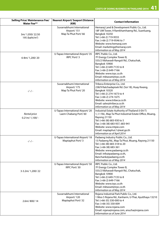| <b>Selling Price/ Maintenance Fee/</b><br><b>Water Fee**</b> | Nearest Airport/ Seaport Distance<br>(KM)                        | <b>Contact Information</b>                                                                                                                                                                                                                                                              |
|--------------------------------------------------------------|------------------------------------------------------------------|-----------------------------------------------------------------------------------------------------------------------------------------------------------------------------------------------------------------------------------------------------------------------------------------|
| 3m/1,050/22.50<br>195 (baht/m <sup>2</sup> )                 | Suvarnabhumi International<br>Airport/151<br>Map Ta Phut Port/66 | Hemaraj Land & Development Public Co., Ltd.<br>18F UM Tower, 9 Ramkhamhaeng Rd., Suanluang,<br>Bangkok 10250<br>Tel: (+66-2) 719-9555<br>Fax: (+66-2) 719-9546 to 7<br>Website: www.hemaraj.com<br>Email: marketing@hemaraj.com<br>Information as of May 2014                           |
| 6-8m/1,200/20                                                | U-Tapao International Airport/35<br>IRPC Port/3                  | IRPC Public Co., Ltd.<br>7F Energy Complex Tower B,<br>555/2 Vibhavadi-Rangsit Rd., Chatuchak,<br>Bangkok 10900<br>Tel: (+66-2) 649-7135 to 8<br>Fax: (+66-2) 649-7166<br>Website: www.irpc.co.th<br>Email: mktasset@irpc.co.th<br>Information as of May 2014                           |
| $-/-/ -$                                                     | Suvarnabhumi International<br>Airport/175<br>Map Ta Phut Port/20 | Tribeca Enterprise Co., Ltd.<br>238/9 Ratchadapisek Rd. (Soi 18), Huay Kwang,<br>Bangkok 10320<br>Tel: (+66-2) 274-1673 to 4<br>Fax: (+66-2) 274-1675<br>Website: www.tribeca.co.th<br>Email: sales@tribeca.co.th<br>Information as of May 2014                                         |
| Rental price<br>$0.21m/1,100/ -$                             | U-Tapao International Airport/20<br>Laem Chabang Port/60         | Industrial Estate Authority of Thailand (I-EA-T)<br>1, I-1 Rd., Map Ta Phut Industrial Estate Office, Muang,<br>Rayong 21150<br>Tel: (+66-38) 683-930 to 5<br>Fax: (+66-38) 683-937, 683-941<br>Website: www.mtpie.com<br>Email: maptaphut.1@ieat.go.th<br>Information as of April 2014 |
| $-/-/ -$                                                     | U-Tapao International Airport/18<br>Maptaphut Port/3             | Padaeng Industry Public Co., Ltd.<br>15 Padaeng Rd., Map Ta Phut, Muang, Rayong 21150<br>Tel: (+66-38) 683-318 to 20<br>Fax: (+66-38) 683-361<br>Website: www.padaeng.co.th<br>Email: info@padaeng.co.th,<br>Banchank@padaeng.co.th<br>Information as of May 2014                       |
| 3-3.2m/ 1,200/ 22                                            | U-Tapao International Airport/50<br>IRPC Port/30                 | IRPC Public Co., Ltd.<br>7F Energy Complex Tower B,<br>555/2 Vibhavadi-Rangsit Rd., Chatuchak,<br>Bangkok 10900<br>Tel: (+66-2) 649-7135 to 8<br>Fax: (+66-2) 649-7166<br>Website: www.irpc.co.th<br>Email: mktasset@irpc.co.th<br>Information as of May 2014                           |
| 2.6m/800/14                                                  | Suvarnabhumi International<br>Airport/120<br>Maptaphut Port/32   | Rojana Industrial Park Public Co., Ltd.<br>1 Moo 5 Rojana Rd., Kanharm, U-Thai, Ayutthaya 13210<br>Tel: (+66-35) 330-000 to 4<br>Fax: (+66-35) 330-009<br>Website: www.rojana.com<br>Email: rojana@rojana.com, anucha@rojana.com<br>Information as of June 2014                         |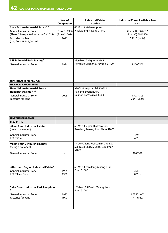|                                                                                                                                                                                                | Year of<br><b>Completion</b>           | <b>Industrial Estate</b><br><b>Location</b>                                   | <b>Industrial Zone/ Available Area</b><br>$(rai)*$      |
|------------------------------------------------------------------------------------------------------------------------------------------------------------------------------------------------|----------------------------------------|-------------------------------------------------------------------------------|---------------------------------------------------------|
| Siam Eastern Industrial Park <sup>2, 3, 4</sup><br><b>General Industrial Zone</b><br>(Phase 2 is expected to sell in Q3 2014)<br>Factories for Rent<br>(size from 185 - 5,000 m <sup>2</sup> ) | (Phase1) 1996<br>(Phase2) 2014<br>2011 | 60 Moo 3 Mabyangporn,<br>Pluakdaeng, Rayong 21140                             | (Phase1) 1,376/32<br>(Phase2) 500/ 500<br>35/15 (units) |
| SSP Industrial Park Rayong <sup>2</sup><br><b>General Industrial Zone</b>                                                                                                                      | 1996                                   | 33/9 Moo 5 Highway 3143,<br>Nonglalok, Bankhai, Rayong 21120                  | 2,100/560                                               |
| <b>NORTHEASTERN REGION</b>                                                                                                                                                                     |                                        |                                                                               |                                                         |
| <b>NAKHON RATCHASIMA</b>                                                                                                                                                                       |                                        |                                                                               |                                                         |
| <b>Nava Nakorn Industrial Estate</b><br>Nakonratchasima <sup>1,2,3</sup><br><b>General Industrial Zone</b><br><b>Factories for Rent</b>                                                        | 2005<br>$\overline{\phantom{a}}$       | 999/1 Mittraphap Rd. Km231,<br>Naklang, Soongnuen,<br>Nakhon Ratchasima 30380 | 1,903/703<br>$20/ - (units)$                            |
| <b>NORTHERN REGION</b>                                                                                                                                                                         |                                        |                                                                               |                                                         |
| <b>LUM PHUN</b>                                                                                                                                                                                |                                        |                                                                               |                                                         |
| ♦ Lum Phun Industrial Estate<br>(being developed)<br><b>General Industrial Zone</b><br>I-EA-T Zone                                                                                             | ä,                                     | 60 Moo 4 Super-Highway Rd.,<br>Banklang, Muang, Lum Phun 51000                | $89/ -$<br>$481/-$                                      |
|                                                                                                                                                                                                |                                        |                                                                               |                                                         |
| ♦ Lum Phun 2 Industrial Estate<br>(being developed)<br>General Industrial Zone                                                                                                                 |                                        | Km.70 Chiang Mai-Lam Phang Rd.,<br>Makhuea Chae, Muang, Lum Phun<br>51000     | 370/370                                                 |
| ◆Northern Region Industrial Estate <sup>5</sup><br><b>General Industrial Zone</b><br>I-EA-T Free Zone                                                                                          | 1985<br>1988                           | 60 Moo 4 Banklang, Muang, Lum<br>Phun 51000                                   | $358/-$<br>$805/-$                                      |
| Saha Group Industrial Park Lumphun<br>General Industrial Zone<br><b>Factories for Rent</b>                                                                                                     | 1992<br>1992                           | 189 Moo 15 Pasak, Muang, Lum<br>Phun 51000                                    | 1,635/1,000<br>1/ 1 (units)                             |
|                                                                                                                                                                                                |                                        |                                                                               |                                                         |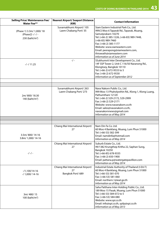| <b>Selling Price/ Maintenance Fee/</b><br><b>Water Fee**</b>                | Nearest Airport/ Seaport Distance<br>(KM)                   | <b>Contact Information</b>                                                                                                                                                                                                                                                                                                             |
|-----------------------------------------------------------------------------|-------------------------------------------------------------|----------------------------------------------------------------------------------------------------------------------------------------------------------------------------------------------------------------------------------------------------------------------------------------------------------------------------------------|
| (Phase 1) 3.3m/ 1,000/ 18<br>(Phase2) -/ -/ -<br>230 (baht/m <sup>2</sup> ) | Suvarnabhumi Airport/ 105<br>Laem Chabang Port/35           | Siam Eastern Industrial Park Co., Ltd.<br>999/2 Moo 6 Taparak Rd., Taparak, Muang,<br>Samutprakarn 10270<br>Tel: (+66-2) 385-1226, (+66-83) 989-7448,<br>$(+66-83)$ 989-7460<br>Fax: (+66-2) 385-1177<br>Website: www.siameastern.com<br>Email: peerapong@siameastern.com,<br>thirawath@siameastern.com<br>Information as of June 2014 |
| $-/-/11.25$                                                                 | $-/-$                                                       | SSukhumvit Inter Development Co., Ltd.<br>14F SSP Tower 2, Unit C 116/50 Naranong Rd.,<br>Klongtoey, Bangkok 10110<br>Tel: (+66-2) 672-9533 to 5<br>Fax: (+66-2) 672-9530<br>Information as of September 2012                                                                                                                          |
|                                                                             |                                                             |                                                                                                                                                                                                                                                                                                                                        |
| 2m/800/18.30<br>140 (baht/m <sup>2</sup> )                                  | Suvarnabhumi Airport/263<br>Laem Chabang Port/273           | Nava Nakorn Public Co., Ltd.<br>999 Moo 13 Phaholyothin Rd., Klong 1, Klong Luang,<br>Pathumthani 12120<br>Tel: (+66-2) 529-2172, 529-2999<br>Fax: (+66-2) 529-2171<br>Website: www.navanakorn.co.th<br>Email: sales@navanakorn.co.th,<br>navanakornnews@gmail.com<br>Information as of May 2014                                       |
|                                                                             |                                                             |                                                                                                                                                                                                                                                                                                                                        |
|                                                                             |                                                             |                                                                                                                                                                                                                                                                                                                                        |
| 3.5m/800/14-16<br>3.8m/ 1,000/ 14-16                                        | Chiang Mai International Airport/<br>27                     | Nam Din Fa Co. Ltd.<br>60 Moo 4 Banklang, Muang, Lum Phun 51000<br>Tel: (+66-53) 582-399<br>Email: namdinfa@hotmail.com<br>Information as of May 2014                                                                                                                                                                                  |
| $-/-/ -$                                                                    | Chiang Mai International Airport/<br>27                     | Suburb Estate Co., Ltd.<br>99/1382 Krungthep Kritha 22, Saphan Sung,<br>Bangkok 10250<br>Tel: (+66-85) 678-9335<br>Fax: (+66-2) 650-1900<br>Email: pattana.p@watergatepavillion.com<br>Information as of May 2014                                                                                                                      |
| $-1,100/14-16$<br>-/ 1,000/ 14-16                                           | Chiang Mai International Airport/<br>27<br>Bangkok Port/689 | Industrial Estate Authority of Thailand (I-EA-T)<br>60 Moo 4 Banklang, Muang, Lum Phun 51000<br>Tel: (+66-53) 581-070<br>Fax: (+66-53) 581-060<br>Email: northern.1@ieat.go.th<br>Information as of May 2014                                                                                                                           |
| 3m/480/15<br>100 (baht/m <sup>2</sup> )                                     |                                                             | Saha Patthana Inter-Holding Public Co., Ltd.<br>189 Moo 15 Pasak, Muang, Lum Phun 51000<br>Tel: (+66-53) 584-072 to 5<br>Fax: (+66-53) 584-080<br>Website: www.spi.co.th<br>Email: info@spi.co.th, spilp@spi.co.th<br>Information as of May 2013                                                                                       |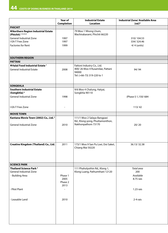|                                                                                         | Year of                            | <b>Industrial Estate</b>                                                                             | <b>Industrial Zone/ Available Area</b> |
|-----------------------------------------------------------------------------------------|------------------------------------|------------------------------------------------------------------------------------------------------|----------------------------------------|
|                                                                                         | <b>Completion</b>                  | <b>Location</b>                                                                                      | $(rai)*$                               |
| <b>PHICHIT</b>                                                                          |                                    |                                                                                                      |                                        |
| Northern Region Industrial Estate<br>(Phichit) 1, 4, 5, 6                               |                                    | 79 Moo 1 Nhong Lhum,<br>Wachirabarami, Phichit 66220                                                 |                                        |
| General Industrial Zone                                                                 | 1997                               |                                                                                                      | 310/104.53                             |
| I-EA-T Free Zone                                                                        | 1997                               |                                                                                                      | 334/324.46                             |
| Factories for Rent                                                                      | 1999                               |                                                                                                      | 4/4 (units)                            |
| <b>SOUTHERN REGION</b>                                                                  |                                    |                                                                                                      |                                        |
| <b>PATTANI</b>                                                                          |                                    |                                                                                                      |                                        |
| ◆Halal Food Industrial Estate <sup>1</sup><br>General Industrial Estate                 | 2008                               | Fattoni Industry Co., Ltd.<br>400/26 Moo 4 Rusamilae, Pattani<br>94000<br>Tel: (+66-73) 319-220 to 1 | 94/94                                  |
| <b>SONGKHLA</b>                                                                         |                                    |                                                                                                      |                                        |
| <b>Southern Industrial Estate</b><br>(Songkhla) <sup>5</sup><br>General Industrial Zone | 1998                               | 9/6 Moo 4 Chalung, Hatyai,<br>Songkhla 90110                                                         | (Phase I) 1,150/684                    |
| I-EA-T Free Zone                                                                        | $\overline{\phantom{a}}$           |                                                                                                      | 113/42                                 |
|                                                                                         |                                    |                                                                                                      |                                        |
| <b>MOVIE TOWN</b>                                                                       |                                    |                                                                                                      |                                        |
| Kantana Movie Town (2002) Co., Ltd. <sup>2</sup><br><b>General Industrial Zone</b>      | 2010                               | 111/1 Moo 2 Salaya-Bangpasi<br>Rd., Klong-yong, Phuttamonthon,<br>Nakhonpathom 73170                 | 20/20                                  |
|                                                                                         |                                    |                                                                                                      |                                        |
| Creative Kingdom (Thailand) Co., Ltd.                                                   | 2011                               | 173/1 Moo 9 San Pu Loei, Doi Saket,<br>Chiang Mai 50220                                              | 36.13/32.38                            |
| <b>SCIENCE PARK</b>                                                                     |                                    |                                                                                                      |                                        |
| Thailand Science Park <sup>2</sup>                                                      |                                    | 111 Phaholyothin Rd., Klong 1,                                                                       | Total area                             |
| <b>General Industrial Zone</b>                                                          |                                    | Klong Luang, Pathumthani 12120                                                                       | 200                                    |
| - Building Area                                                                         | Phase 1<br>2005<br>Phase 2<br>2013 |                                                                                                      | Available<br>8.75 rais                 |
| Pilot Plant                                                                             | $\overline{\phantom{a}}$           |                                                                                                      | 1.23 rais                              |
| - Leasable Land                                                                         | 2010                               |                                                                                                      | 2-4 rais                               |
|                                                                                         |                                    |                                                                                                      |                                        |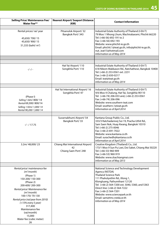| <b>Selling Price/ Maintenance Fee/</b><br><b>Water Fee**</b>                                                                                                                                                                                                                                                                                              | Nearest Airport/ Seaport Distance<br>(KM)                       | <b>Contact Information</b>                                                                                                                                                                                                                                                                                                                                           |
|-----------------------------------------------------------------------------------------------------------------------------------------------------------------------------------------------------------------------------------------------------------------------------------------------------------------------------------------------------------|-----------------------------------------------------------------|----------------------------------------------------------------------------------------------------------------------------------------------------------------------------------------------------------------------------------------------------------------------------------------------------------------------------------------------------------------------|
| Rental prices/ rai/ year<br>45,650/700/15<br>45,650/900/15<br>51,333 (baht/ m <sup>2</sup> )                                                                                                                                                                                                                                                              | Pitsanulok Airport/32<br>Bangkok Port/343                       | Industrial Estate Authority of Thailand (I-EA-T)<br>79 Moo 1 Nhong Lhum, Wachirabarami, Phichit 66220<br>Tel: (+66-56) 692-191 to 2<br>Fax: (+66-56) 692-193<br>Website: www.phichit-ie.go.th<br>Email: phichit.1@ieat.go.th, info@phichit-ie.go.th,<br>nut_ieat15@hotmail.com<br>Information as of May 2014                                                         |
|                                                                                                                                                                                                                                                                                                                                                           |                                                                 |                                                                                                                                                                                                                                                                                                                                                                      |
| $-/-/ -$                                                                                                                                                                                                                                                                                                                                                  | Hat Yai Airport/110<br>Songkhla Port/110                        | Industrial Estate Authority of Thailand (I-EA-T)<br>618 Nikom Makkason Rd., Ratchathewi, Bangkok 10400<br>Tel: (+66-2) 253-0561 ext. 2231<br>Fax: (+66-2) 650-0217<br>Email: ieat@ieat.go.th<br>Information as of May 2014                                                                                                                                           |
|                                                                                                                                                                                                                                                                                                                                                           |                                                                 |                                                                                                                                                                                                                                                                                                                                                                      |
| (Phase I)<br>Selling 1.6m/800/14<br>Rental 69,300/800/14<br>Selling 1.92m/1,000/14<br>Rental 90,200/1,000/14                                                                                                                                                                                                                                              | Hat Yai International Airport/16<br>Songkhla Port/47            | Industrial Estate Authority of Thailand (I-EA-T)<br>9/6 Moo 4 Chalung, Hat Yai, Songkhla 90110<br>Tel: (+66-74) 206-033 and, (+66-2) 253-0561<br>Fax: (+66-74) 206-096<br>Website: www.southern-ieat.com<br>Email: southern.1@ieat.go.th<br>Information as of April 2014                                                                                             |
|                                                                                                                                                                                                                                                                                                                                                           |                                                                 |                                                                                                                                                                                                                                                                                                                                                                      |
| $-/-/17.75$                                                                                                                                                                                                                                                                                                                                               | Suvarnabhumi Airport/ 54<br>Bangkok Port/33                     | Kantana Group Public Co., Ltd.<br>333/3 Ratchadanivej Soi 19, Pracha-Uthit Rd.,<br>Sam Saen Nok, Huay Kwang, Bangkok 10310<br>Tel: (+66-2) 275-0046<br>Fax: (+66-2) 691-7022<br>Website: www.kantana.co.th<br>Email: surachedh@kantana.co.th<br>Information as of April 2014                                                                                         |
| 3.2m/48,000/23                                                                                                                                                                                                                                                                                                                                            | Chiang Mai International Airport/<br>42<br>Chiang Saen Port/248 | Creative Kingdom (Thailand) Co., Ltd.<br>173/1 Moo 9 Sun Pu Loei, Doi Saket, Chiang Mai 50220<br>Tel: (+66-53) 960-909<br>Fax: (+66-53) 960-919<br>Website: www.ckachiangmai.com<br>Information as of May 2013                                                                                                                                                       |
|                                                                                                                                                                                                                                                                                                                                                           |                                                                 |                                                                                                                                                                                                                                                                                                                                                                      |
| Rental price/ maintenance fee<br>(m <sup>2</sup> /month)<br>(Phase 1)<br>150-200/150-300<br>(Phase 2)<br>200-600/200-300<br>Rental price/Maintenance fee<br>(m <sup>2</sup> /month)<br>100-170/70-130<br>Rental price (rai/year from 2010)<br>(+15% every 5 year)<br>317,400<br>Maintenance fee<br>(rai/month)<br>15,000<br>Water fee (cubic meter)<br>26 |                                                                 | National Science and Technology Development<br>Agency (NSTDA)<br>Thailand Science Park<br>111 Phaholyothin Rd., Klong 1,<br>Klongluang, Pathumthani 12120<br>Tel: (+66-2) 564-7200 ext. 5040, 5360, and 5363<br>Direct line: (+66-2) 564-7222<br>Fax: (+66-2) 564-7201<br>Website: www.sciencepark.or.th<br>Email: sam@tmc.nstda.or.th<br>Information as of May 2014 |
|                                                                                                                                                                                                                                                                                                                                                           |                                                                 |                                                                                                                                                                                                                                                                                                                                                                      |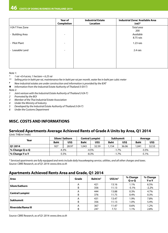|                      | <b>Year of</b><br>Completion | <b>Industrial Estate</b><br>Location | Industrial Zone/ Available Area<br>$(rai)*$ |  |
|----------------------|------------------------------|--------------------------------------|---------------------------------------------|--|
| I-EA-T Free Zone     |                              |                                      | Total area<br>200                           |  |
| <b>Building Area</b> | $\overline{\phantom{0}}$     |                                      | Available<br>8.75 rais                      |  |
| - Pilot Plant        | $\overline{\phantom{0}}$     |                                      | $1.23$ rais                                 |  |
| Leasable Land        | $\overline{\phantom{0}}$     |                                      | 2.4 rais                                    |  |
|                      |                              |                                      |                                             |  |

*Note 1:* 

- *\* 1 rai =0.4 acres; 1 hectare = 6.25 rai*
- *\*\* Selling price in baht per rai, maintenance fee in baht per rai per month, water fee in baht per cubic meter*
- *# New industrial estates are under construction and information is provided by the IEAT*
- *Information from the Industrial Estate Authority of Thailand (I-EA-T)*

*Note 2:*

- *1 Joint venture with the Industrial Estate Authority of Thailand (I-EA-T)*
- *2 Promoted by the BOI*
- *3 Member of the Thai Industrial Estate Association*
- *4 Under the Ministry of Industry*
- *5 Developed by the Industrial Estate Authority of Thailand (I-EA-T)*
- *6 Under the Customs Department*

### **MISC. COSTS AND INFORMATIONS**

### **Serviced Apartments Average Achieved Rents of Grade A Units by Area, Q1 2014**

(Unit: THB/m<sup>2</sup>/mth)

| Year           | Silom/Sathorn |       | <b>Central Lumpini</b> |       | Sukhumvit   |       | Average     |       |
|----------------|---------------|-------|------------------------|-------|-------------|-------|-------------|-------|
|                | <b>Baht</b>   | US\$  | <b>Baht</b>            | US\$  | <b>Baht</b> | US\$  | <b>Baht</b> | US\$  |
| <b>Q1 2014</b> | 927           | 28.97 | 043. ا                 | 32.59 | 1.154       | 36.06 | 1.041       | 32.53 |
| M Change Q-o-Q | $-4.3%$       |       | $-4.5%$                |       | $-1.7%$     |       | $-3.5%$     |       |
| M Change Y-o-Y | $-5.5\%$      |       | $-8.3%$                |       | $-1.7%$     |       | $-5.1%$     |       |

*\* Serviced apartments are fully equipped and rents include daily housekeeping service, utilities, and all other charges and taxes. Source: CBRE Research, as of Q1 2014: www.cbre.co.th*

### **Apartments Achieved Rents Area and Grade, Q1 2014**

| Area                      | Grade | Baht/m <sup>2</sup> | $US$/m^2$ | % Change<br>$Q - o - Q$ | % Change<br>$Y$ -o- $Y$ |
|---------------------------|-------|---------------------|-----------|-------------------------|-------------------------|
| Silom/Sathorn             | A     | 421                 | 13.16     | 1.1%                    | 6.5%                    |
|                           | B     | 356                 | 11.13     | $-5.1%$                 | $-2.2%$                 |
| <b>Central Lumpini</b>    | Α     | 444                 | 13.88     | 0.3%                    | 4.7%                    |
|                           | B     | 376                 | 11.75     | 0.4%                    | 0.3%                    |
| <b>Sukhumvit</b>          | A     | 431                 | 13.47     | 1.9%                    | 7.8%                    |
|                           | B     | 356                 | 11.13     | 1.0%                    | 5.4%                    |
| <b>Riverside/Rama III</b> | A     | 367                 | 11.47     | 0.6%                    | 1.2%                    |
|                           | B     | 247                 | 7.72      | 1.1%                    | 2.8%                    |

*Source: CBRE Research, as of Q1 2014: www.cbre.co.th*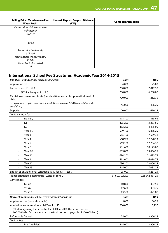| <b>Selling Price/ Maintenance Fee/</b><br><b>Water Fee**</b> | Nearest Airport/Seaport Distance<br>(KM) | <b>Contact Information</b> |
|--------------------------------------------------------------|------------------------------------------|----------------------------|
| Rental price/ Maintenance fee                                |                                          |                            |
| (m <sup>2</sup> /month)                                      |                                          |                            |
| 140/100                                                      |                                          |                            |
|                                                              |                                          |                            |
| 90/60                                                        |                                          |                            |
|                                                              |                                          |                            |
| Rental price (rai/month)                                     |                                          |                            |
| 317,400                                                      |                                          |                            |
| Maintenance fee (rai/month)                                  |                                          |                            |
| 15,000                                                       |                                          |                            |
| Water fee (cubic meter)                                      |                                          |                            |
| 26                                                           |                                          |                            |

### **International School Fee Structures (Academic Year 2014-2015)**

| Bangkok Patana School (www.patana.ac.th)                                                                                                                   | <b>Baht</b>   | US\$           |
|------------------------------------------------------------------------------------------------------------------------------------------------------------|---------------|----------------|
| Application fee<br>Entrance fee (1 <sup>st</sup> child)                                                                                                    | 4,000         | 125.00         |
|                                                                                                                                                            | 250,000       | 7,812.50       |
| (2 <sup>nd</sup> & subsequent child)                                                                                                                       | 200,000       | 6,250.00       |
| Capital assessment certificate (per child & redeemable upon withdrawal of<br>child)                                                                        | 700,000       | 21,875         |
| or pay annual capital assessment fee (billed each term & 50% refundable with<br>conditions)                                                                | 45,000        | 1,406.25       |
| Deposit                                                                                                                                                    | 20,000        | 670.24         |
| Tuition annual fee                                                                                                                                         |               |                |
| Nursery                                                                                                                                                    | 378,100       | 11,815.63      |
| K1<br>÷,                                                                                                                                                   | 425,200       | 13,287.50      |
| K <sub>2</sub><br>$\overline{a}$                                                                                                                           | 463,200       | 14,475.00      |
| Year 1-2<br>÷,                                                                                                                                             | 539,400       | 16,856.25      |
| Year <sub>3</sub><br>÷                                                                                                                                     | 565,100       | 17,659.38      |
| Year <sub>4</sub>                                                                                                                                          | 568,900       | 17,778.13      |
| Year 5                                                                                                                                                     | 569,100       | 17,784.38      |
| Year <sub>6</sub>                                                                                                                                          | 581,600       | 18,175.00      |
| Year 7-9                                                                                                                                                   | 609,800       | 19,056.25      |
| Year 10<br>$\overline{\phantom{a}}$                                                                                                                        | 694,200       | 21,693.75      |
| Year 11                                                                                                                                                    | 512,600       | 16,018.75      |
| Year 12<br>÷,                                                                                                                                              | 736,200       | 23,006.25      |
| Year 13<br>$\blacksquare$                                                                                                                                  | 545,000       | 17,031.25      |
| English as an Additional Language (EAL) fee K1 - Year 9                                                                                                    | 105,000       | 3,281.25       |
| Transportation fee (Round trip - Zone 1/ Zone 2)                                                                                                           | 81,600/92,200 | 2,550/2,881.25 |
| Canteen fee                                                                                                                                                |               |                |
| K2-Y2<br>$\overline{\phantom{a}}$                                                                                                                          | 10,800        | 337.50         |
| $Y3-Y6$<br>$\overline{a}$                                                                                                                                  | 12,600        | 393.75         |
| Y7-Y13<br>L.                                                                                                                                               | 13,500        | 421.88         |
| Harrow International School (www.harrowschool.ac.th)                                                                                                       | <b>Baht</b>   | US\$           |
| Application fee (non-refundable)                                                                                                                           | 5,000         | 156.25         |
| Admission fee (non-refundable) Year 1 to 13                                                                                                                | 200,000       | 6,250          |
| (Students joining the school at Pre-K, K1, and K2, the admission fee is<br>100,000 baht. On transfer to Y1, the final portion is payable of 100,000 baht). |               |                |
| Refundable Deposit                                                                                                                                         | 125,000       | 3,906.25       |
| <b>Tuition fees</b>                                                                                                                                        |               |                |
| Pre K (full day)                                                                                                                                           | 445,000       | 13,906.25      |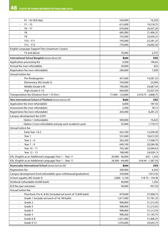| $K1 - K2$ (full day)                                            | 520,000          | 16,250              |
|-----------------------------------------------------------------|------------------|---------------------|
| $Y1 - Y5$                                                       | 615,000          | 19,218.75           |
| $Y6 - Y7$                                                       | 670,000          | 20,937.50           |
| Y8<br>÷                                                         | 685,000          | 21,406.25           |
| Y9<br>÷,                                                        | 725,000          | 22,656.25           |
| $Y10 - Y11$<br>$\frac{1}{2}$                                    | 745,000          | 23,281.25           |
| $Y12 - Y13$<br>÷,                                               | 770,000          | 24,062.50           |
| English Language Support Fees (maximum 3 years)                 |                  |                     |
| Y3 and above                                                    | 76,000           | 2,375               |
| International School Bangkok (www.isb.ac.th)                    | <b>Baht</b>      | US\$                |
| Application processing fee                                      | 4,500            | 140.63              |
| Annual fee (non-refundable)                                     | 20,000           | 625                 |
| Registration fee (non-refundable)                               | 240,000          | 7,500               |
| Annual tuition fee                                              |                  |                     |
| Pre-Kindergarten                                                | 457,000          | 14,281.25           |
| Elementary (KG-Grade 5)                                         | 704,000          | 22,000              |
| Middle (Grade 6-8)<br>$\blacksquare$                            | 790,000          | 24,687.50           |
| High (Grade 9-12)                                               | 830,000          | 25,937.50           |
| Transportation fee (Distance from 1-55 Km.)                     | 77,400 - 123,800 | 2,418.75 - 3,868.75 |
| New International School of Thailand (www.nist.ac.th)           | <b>Baht</b>      | US\$                |
| Application fee (non-refundable)                                | 6,000            | 187.50              |
| Assessment fee (non-refundable)                                 | 2,500            | 78.13               |
| Registration fee (non-refundable)                               | 265,000          | 8,281.25            |
| Campus development fee (CDF)                                    |                  |                     |
| Option 1 (refundable)                                           | 500,000          | 15,625              |
| Option 2 (non-refundable and pay each academic year)            | 55,000           | 1,718.75            |
| Annual tuition fee                                              |                  |                     |
| Early Year 1 & 2                                                | 422,700          | 13,209.38           |
| Year 1<br>$\blacksquare$                                        | 531,600          | 16,612.50           |
| Year $2 - 6$<br>$\blacksquare$                                  | 562,200          | 17,568.75           |
| Year $7 - 9$<br>ä,                                              | 649,100          | 20,284.38           |
| Year 10 - 11                                                    | 705,300          | 22,040.63           |
| Year $12 - 13$<br>÷,                                            | 768,900          | 24,028.13           |
| EAL (English as an Additional Language) Year 1 - Year 11        | 20,000 - 40,000  | $625 - 1,250$       |
| EAL (English as an Additional Language) Year 1 - Year 11        | 29,390 - 44,400  | 918.44 - 1,387.50   |
| Ruamrudee International School (www.rism.ac.th)                 | Baht             | US\$                |
| Registration fee                                                | 200,000          | 6,250               |
| Campus development fund (refundable upon withdrawal/graduation) | 250,000          | 7,812.50            |
| School supplies (KG-Grade 5)                                    | $3,800 - 5,100$  | 118.75 - 159.38     |
| Textbook (refundable 20,000 baht)                               | 40,000           | 1,250               |
| ELD fee (per semester)                                          | 30,000           | 937.50              |
| Annual tuition fee                                              |                  |                     |
| Preschool, Pre-K, & KG (included set lunch of 15,840 baht)      | 879,000          | 27,468.75           |
| Grade 1 (include set lunch of 16,740 baht)<br>$\blacksquare$    | 1,017,000        | 31,781.25           |
| Grade 2<br>$\blacksquare$                                       | 998,800          | 31,212.50           |
| Grade 3<br>$\overline{\phantom{a}}$                             | 998,900          | 31,215.63           |
| Grade 4<br>÷                                                    | 998,800          | 31,212.50           |
| Grade 5<br>$\blacksquare$                                       | 998,200          | 31,193.75           |
| Grade 6-8<br>$\overline{\phantom{a}}$                           | 1,021,000        | 31,906.25           |
| Grade 9-12<br>$\blacksquare$                                    | 1,076,600        | 33,643.75           |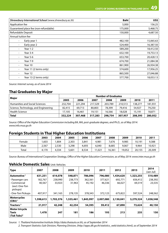| Shrewsbury International School (www.shrewsbury.ac.th) | <b>Baht</b> | US\$      |
|--------------------------------------------------------|-------------|-----------|
| Application fee                                        | 5,000       | 156.25    |
| Guaranteed place fee (non-refundable)                  | 175,000     | 5,468.75  |
| Refundable Deposit                                     | 150,000     | 4,687.50  |
| Annual tuition fee                                     |             |           |
| Early year 1<br>۰.                                     | 482,100     | 15,065.63 |
| Early year 2<br>٠                                      | 524,400     | 16,387.50 |
| Year 1-2<br>٠                                          | 589,200     | 18,412.50 |
| Year 3-4<br>٠                                          | 632,100     | 19,753.13 |
| Year 5-6<br>۰                                          | 653,700     | 20,428.13 |
| Year 7-9<br>٠                                          | 674,700     | 21,084.38 |
| Year 10<br>٠                                           | 861,900     | 26,934.38 |
| Year 11 (2 terms only)<br>٠                            | 574,600     | 17,956.25 |
| Year 12<br>٠                                           | 865,500     | 27,046.88 |
| Year 13 (2 terms only)<br>٠                            | 577,700     | 18,053.13 |

*Source: Internet survey, as of June 2014*

### **Thai Graduates by Major**

|                                       | <b>Number of Graduates</b> |         |         |         |         |         |         |  |
|---------------------------------------|----------------------------|---------|---------|---------|---------|---------|---------|--|
| Major                                 | 2005                       | 2006    | 2007    | 2008    | 2009    | 2010    | 2011    |  |
| <b>Humanities and Social Sciences</b> | 232,704                    | 221,294 | 217,329 | 203,789 | 210,513 | 138,277 | 181,931 |  |
| Science, Technology, and Engineering  | 82,415                     | 69,713  | 80,803  | 78,399  | 79,416  | 54,927  | 79,250  |  |
| <b>Health Science</b>                 | 17,105                     | 16,461  | 19,151  | 16,566  | 18,028  | 15,191  | 18,871  |  |
| <b>Total</b>                          | 332,224                    | 307,468 | 317,283 | 298,754 | 307,957 | 208,395 | 280,052 |  |

Source: Office of the Higher Education Commission including BA, MA, post-graduate degrees, and Ph.D., as of May 2014: *www.info.mua.go.th*

### **Foreign Students in Thai Higher Education Institutions**

|        | 2003  | 2004  | 2005  | 2006  | 2007  | 2008   | 2009   | 2010   | 2011   |
|--------|-------|-------|-------|-------|-------|--------|--------|--------|--------|
| Female | .603  | .804  | 2,303 | 3,841 | 4,981 | 676,   | 9,985  | 10,191 | 9,388  |
| Male   | 2,567 | 2,530 | 3,298 | 4,693 | 6.040 | 8.685  | 9,067  | 9,964  | 10,921 |
| Total  | 4,170 | 4,334 | 5,601 | 8.534 | 1.021 | 16,361 | 19,052 | 20,155 | 20,309 |

*Source: Bureau of International Cooperation Strategy, Office of the Higher Education Commission, as of May 2014: www.inter.mua.go.th*

### **Vehicle Domestic Sales** Unit: Vehicles

| <b>Type</b>                                | 2007      | 2008      | 2009      | 2010      | 2011      | 2012      | 2013      | 2014<br>(Jan-Jul) |
|--------------------------------------------|-----------|-----------|-----------|-----------|-----------|-----------|-----------|-------------------|
| Automotive <sup>1</sup>                    | 631,251   | 614,078   | 548,871   | 786,096   | 796,080   | 1,434,620 | 1,323,255 | 510,489           |
| - Passenger cars                           | 182,767   | 238,990   | 238,773   | 362,561   | 377,621   | 692,771   | 656,412   | 238,392           |
| - Commercial<br>(excl. One-Ton<br>pickups) | 40,567    | 33,923    | 31,963    | 45,192    | 46,336    | 66,027    | 69,319    | 23,535            |
| - One-Ton Pickups                          | 407.917   | 341,165   | 278,135   | 378,343   | 372,123   | 675,822   | 597,524   | 248,562           |
| <b>Motorcycles</b><br>$(CBU)^1$            | 1,598,613 | 1,703,376 | 1,535,461 | 1,845,997 | 2,007,080 | 2,130,041 | 3,279,324 | 1,038,548         |
| Tractors <sup>2</sup>                      | 21,917    | 42,248    | 42,254    | 54,395    | 59,412    | 67,890    | 73,624    | 40,150            |
| Motor tricycle                             |           |           |           |           |           |           |           |                   |
| <b>Taxis</b>                               | 1,478     | 247       | 181       | 186       | 193       | 213       | 235       | 150               |
| $(Tuk T uks)^2$                            |           |           |           |           |           |           |           |                   |

*Source: 1. Thailand Automotive Institute (http://data.thaiauto.or.th), as of September 2014*

*2. Transport Statistics Sub-Division, Planning Division, (http://apps.dlt.go.th/statistics\_web/statistics.html), as of September 2014*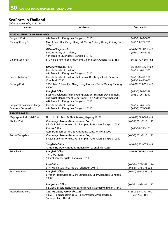### **SeaPorts in Thailand**

*(Information as of April 2014)*

| Name                             | <b>Address</b>                                                                                                                                                                                     | <b>Contact No.</b>                               |
|----------------------------------|----------------------------------------------------------------------------------------------------------------------------------------------------------------------------------------------------|--------------------------------------------------|
| PORT AUTHORITY OF THAILAND       |                                                                                                                                                                                                    |                                                  |
| <b>Bangkok Port</b>              | 444 Tarua Rd., Klongtoey, Bangkok 10110                                                                                                                                                            | $(+66-2)$ 269-3000                               |
| Chiang Khong Port                | Moo 1 Baan Hoa Vieng, Klang Rd., Vieng, Chiang Khong, Chiang Rai<br>57140                                                                                                                          | $(+66-53)$ 777-791                               |
|                                  | <b>Office of Regional Port:</b><br>Port Authority of Thailand,<br>444 Tarua Rd., Klongtoey, Bangkok 10110                                                                                          | (+66-2) 269-5421 to 2<br>$(+66-2)$ 269-5325      |
| Chiang Saen Port                 | 819 Moo 3 Rim Khong Rd., Vieng, Chiang Saen, Chiang Rai 57150                                                                                                                                      | (+66-53) 777-501 to 2                            |
|                                  | <b>Office of Regional Port:</b><br>Port Authority of Thailand,<br>444 Tarua Rd., Klongtoey, Bangkok 10110                                                                                          | (+66-2) 269-5421 to 2<br>$(+66-2)$ 269-5325      |
| Laem Chabang Port                | Port Authority of Thailand, Sukhumvit Rd., Tungsukhala, Sriracha,<br>Chonburi 20230                                                                                                                | $(+66-38)$ 490-100<br>$(+66-38)$ 490-000         |
| Ranong Port                      | 160/1 Moo 5 Baan Kao Nang Hong, Pak Nam Tarua, Muang, Ranong<br>85000                                                                                                                              | (+66-77) 813-621 to 2                            |
|                                  | <b>Bangkok Office:</b><br>Business Relation and Marketing Division, Business Development<br>and Asset Management Department, Port Authority of Thailand<br>444 Tarua Rd., Klongtoey, Bangkok 10110 | $(+66-2)$ 269-5398<br>$(+66-2)$ 269-5317         |
| <b>Bangkok Coastal and Barge</b> | Port Authority of Thailand                                                                                                                                                                         | $(+66-2)$ 269-8427                               |
| Domestic Terminal                | 444 Tarua Rd., Klongtoey, Bangkok 10110                                                                                                                                                            | $(+66-2)$ 671-8828                               |
| <b>PRIVATE PORTS</b>             |                                                                                                                                                                                                    |                                                  |
| Maptaphut Industrial Port        | No. 1, I-1 Rd., Map Ta Phut, Muang, Rayong 21150                                                                                                                                                   | $(+66-38)$ 683-305 to 8                          |
| Phuket Port                      | Chaophaya Terminal International Co., Ltd.<br>8F 208 Building, Wireless Rd., Lumpini, Patumwan, Bangkok 10330                                                                                      | $(+66-2)$ 651-5615 to 25                         |
|                                  | <b>Phuket Office:</b><br>Aumakam, Tambol Wichit, Amphoe Muang, Phuket 83000                                                                                                                        | $(+66-76)$ 391-161                               |
| Port of Songkhla                 | Chaophaya Terminal International Co., Ltd.<br>8F 208 Building, Wireless Rd., Lumpini, Patumwan, Bangkok 10330                                                                                      | $(+66-2)$ 651-5615 to 25                         |
|                                  | Songkhla Office:<br>Tambol Huakao, Amphoe Singhanakorn, Songkhla 90280                                                                                                                             | (+66-74) 331-073 to 8                            |
| Sriracha Port                    | <b>Bangkok Office:</b><br>17F U.M. Tower,<br>9 Ramkhamhaeng Rd., Bangkok 10250                                                                                                                     | (+66-2) 719-9631 to 6                            |
|                                  | Port Office:<br>31/4 Moo 4 Surasak, Sriracha, Chonburi 20110                                                                                                                                       | (+66-38) 773-069 to 76<br>(+66-38) 773-078 to 81 |
| Prachuap Port                    | <b>Bangkok Office:</b><br>6 <sup>th</sup> floor, Prapawit Bldg., 28/1 Surasak Rd., Silom, Bangrak, Bangkok<br>10500                                                                                | (+66-2) 630-0323 to 32                           |
|                                  | <b>Bangsapan Office:</b><br>62 Moo 3 Maerumphueng, Bangsaphan, Prachuapkhirikhan 77140                                                                                                             | (+66-32) 693-101 to 17                           |
| Prapradaeng Port                 | Thai Prosperity Terminal Co., Itd<br>98 M. 8 Poochaosamingprai Rd., Samrongtai, Phrapradang,<br>Samutprakarn 10130                                                                                 | (+66-2) 384-7591 to 2,<br>754-4501 to 9          |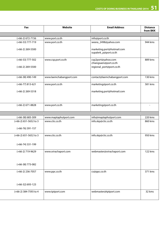| Fax                                    | Website                 | <b>Email Address</b>                                                    | <b>Distance</b><br>from BKK |
|----------------------------------------|-------------------------|-------------------------------------------------------------------------|-----------------------------|
|                                        |                         |                                                                         |                             |
| (+66-2) 672-7156                       | www.port.co.th          | info@port.co.th                                                         |                             |
| (+66-53) 777-719                       | www.port.co.th          | weera_2498@yahoo.com                                                    | 944 kms                     |
| (+66-2) 269-5500                       |                         | marketing.port@hotmail.com<br>supalerk_p@port.co.th                     |                             |
| $(+66-53)$ 777-502<br>(+66-2) 269-5500 | www.csp.port.co.th      | csp2port@yahoo.com<br>chiangsaen@port.co.th<br>regional_port@port.co.th | 889 kms                     |
|                                        |                         |                                                                         |                             |
| (+66-38) 490-149                       | www.laemchabangport.com | contact@laemchabangport.com                                             | 130 kms                     |
| (+66-77) 813-621                       | www.port.co.th          | marketing@port.co.th                                                    | 581 kms                     |
| $(+66-2)$ 269-5318                     |                         | marketing.port@hotmail.com                                              |                             |
| $(+66-2)$ 671-8828                     | www.port.co.th          | marketing@port.co.th                                                    | $\sim$                      |
|                                        |                         |                                                                         |                             |
| (+66-38) 683-309                       | www.maptaphutport.com   | info@maptaphutport.com                                                  | 220 kms                     |
| (+66-2) 651-5652 to 3                  | www.ctic.co.th          | info.skp@ctic.co.th                                                     | 860 kms                     |
| (+66-76) 391-157                       |                         |                                                                         |                             |
| (+66-2) 651-5652 to 3                  | www.ctic.co.th          | info.skp@ctic.co.th                                                     | 950 kms                     |
| (+66-74) 331-199                       |                         |                                                                         |                             |
| (+66-2) 719-9629                       | www.srirachaport.com    | webmaster@srirachaport.com                                              | 122 kms                     |
| (+66-38) 773-082                       |                         |                                                                         |                             |
| (+66-2) 236-7057                       | www.ppc.co.th           | cs@ppc.co.th                                                            | 371 kms                     |
| $(+66-32)$ 693-123                     |                         |                                                                         |                             |
| (+66-2) 384-7593 to 4                  | www.tptport.com         | webmaster@tptport.com                                                   | 32 kms                      |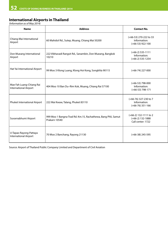### **International Airports in Thailand**

*(Information as of May 2014)*

| <b>Name</b>                                       | <b>Address</b>                                                                 | <b>Contact No.</b>                                               |
|---------------------------------------------------|--------------------------------------------------------------------------------|------------------------------------------------------------------|
| Chiang Mai International<br>Airport               | 60 Mahidol Rd., Sutep, Muang, Chiang Mai 50200                                 | (+66-53) 270-222 to 33<br>Information:<br>$(+66-53)$ 922-100     |
| Don Mueang International<br>Airport               | 222 Vibhavadi Rangsit Rd., Sanambin, Don Mueang, Bangkok<br>10210              | $(+66-2)$ 535-1111<br>Information:<br>$(+66-2)$ 535-1254         |
| Hat Yai International Airport                     | 99 Moo 3 Klong Luang, Klong Hoi Kong, Songkhla 90115                           | $(+66-74)$ 227-000                                               |
| Mae Fah Luang-Chiang Rai<br>International Airport | 404 Moo 10 Ban Du-Rim Kok, Muang, Chiang Rai 57100                             | $(+66-53)$ 798-000<br>Information:<br>$(+66-53)$ 798-171         |
| Phuket International Airport                      | 222 Mai Kwaw, Talang, Phuket 83110                                             | (+66-76) 327-230 to 7<br>Information:<br>$(+66-76)$ 351-166      |
| Suvarnabhumi Airport                              | 999 Moo 1 Bangna-Trad Rd. Km.15, Rachathewa, Bang Phli, Samut<br>Prakarn 10540 | (+66-2) 132-1111 to 2<br>$(+66-2)$ 132-1888<br>Call center: 1722 |
| U-Tapao Rayong-Pattaya<br>International Airport   | 70 Moo 2 Banchang, Rayong 21130                                                | (+66-38) 245-595                                                 |

Source: Airport of Thailand Public Company Limited and Department of Civil Aviation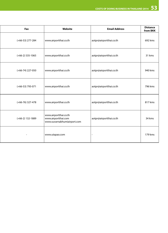| Fax                | Website                                                                     | <b>Email Address</b>    | <b>Distance</b><br>from BKK |
|--------------------|-----------------------------------------------------------------------------|-------------------------|-----------------------------|
| $(+66-53)$ 277-284 | www.airportthai.co.th                                                       | aotpr@airportthai.co.th | 692 kms                     |
| $(+66-2)$ 535-1065 | www.airportthai.co.th                                                       | aotpr@airportthai.co.th | 31 kms                      |
| (+66-74) 227-050   | www.airportthai.co.th                                                       | aotpr@airportthai.co.th | 940 kms                     |
| (+66-53) 793-071   | www.airportthai.co.th                                                       | aotpr@airportthai.co.th | 796 kms                     |
| $(+66-76)$ 327-478 | www.airportthai.co.th                                                       | aotpr@airportthai.co.th | 817 kms                     |
| (+66-2) 132-1889   | www.airportthai.co.th<br>www.airportthai.com<br>www.suvarnabhumiairport.com | aotpr@airportthai.co.th | 34 kms                      |
| $\sim$             | www.utapao.com                                                              |                         | 179 kms                     |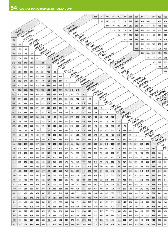|     |              |           |                             |                    |                            |                        |                                          |                                        |                              |         |            |                        |                   | 128                               | 92                | 303                         | 194        | 197                 | 299          | 355                          | 360             | 491                     | 671                     | 581            | 503                  | 725                |
|-----|--------------|-----------|-----------------------------|--------------------|----------------------------|------------------------|------------------------------------------|----------------------------------------|------------------------------|---------|------------|------------------------|-------------------|-----------------------------------|-------------------|-----------------------------|------------|---------------------|--------------|------------------------------|-----------------|-------------------------|-------------------------|----------------|----------------------|--------------------|
|     |              |           |                             |                    |                            |                        |                                          |                                        |                              |         |            |                        |                   |                                   | 35                | 237                         | 128        | 132                 | 234          | 288                          | 295             | 425                     | 606                     | 515            | 437                  | 659                |
|     |              |           |                             |                    |                            |                        |                                          |                                        |                              |         |            |                        |                   |                                   |                   | 208                         | 99         | 103                 | 205          | 260                          | 266             | 396                     | 577                     | 486            | 408                  | 630                |
|     | <b>Ulawu</b> |           |                             |                    |                            |                        |                                          | いっかる<br><b>LARATTONAT</b><br>125<br>98 |                              |         |            |                        |                   |                                   |                   |                             | 134        | 140                 | 233          | 276                          | 453             | 366                     | 372                     | 549            |                      |                    |
|     | BANKKOK      |           | Washawangan                 |                    |                            |                        |                                          | <b>USAT</b><br>26                      |                              |         |            |                        |                   |                                   |                   |                             | 121        | 176                 | 161          | 313                          | 494             | 403                     | 304                     | 525            |                      |                    |
|     |              | AYUTTHAYA |                             |                    |                            |                        |                                          |                                        |                              |         | YALA       | <b>JAMIN</b><br>PATTAN |                   |                                   |                   |                             |            |                     |              |                              |                 |                         |                         |                |                      |                    |
| 76  |              |           | <b>O</b> himas<br>ANG THONG |                    |                            |                        |                                          |                                        |                              |         |            | <b>ARG</b>             |                   |                                   |                   |                             |            |                     | 95           | 148                          | 187             | 285                     | 466                     | 375            | 329                  | 508                |
| 105 | 31           |           |                             | Bahag<br>SING BURK |                            |                        |                                          |                                        |                              |         |            |                        | SATUN             | <b>WARY</b><br>SONGKAA            |                   |                             |            |                     |              | 56                           | 99              | 193                     | 370                     | 283            | 238                  | 415                |
| 142 | 71           | 40        |                             |                    | <b>WEILTIM</b><br>ONAL NAT |                        |                                          |                                        |                              |         |            |                        |                   |                                   | <b>Unitary</b>    |                             |            |                     |              |                              | 123             | 131                     | 312                     | 221            | 226                  | 403                |
| 194 | 121          | 92        | 53                          |                    |                            | QVEIDTA<br>UTHAI THANK |                                          |                                        |                              |         |            |                        |                   |                                   | <b>HAT YAI</b>    | PHATTHALLING<br><b>Hugs</b> |            |                     |              |                              |                 | 233                     | 336                     | 245            | 134                  | 356                |
| 219 | 156          | 119       | 83                          | 42                 |                            |                        | <b>MATERITIAN</b><br><b>HARPON SAWAN</b> |                                        |                              |         |            |                        |                   |                                   |                   | 碲                           |            |                     |              |                              |                 |                         | 176                     | 86             | 211                  | 296                |
| 240 | 172          | 141       | 101                         | 64                 | 50                         |                        |                                          | <b>Triumanns</b><br>KAMPHABAO PHET     |                              |         |            |                        |                   |                                   |                   |                             | TRANG      | <b>LIFTHEFEREES</b> |              |                              |                 |                         |                         | 87             | 287                  | 300                |
| 358 | 289          | 258       | 218                         | 181                | 167                        | 117                    |                                          |                                        | $\mathfrak{g}_{\mathcal{W}}$ |         |            |                        |                   |                                   |                   |                             |            |                     | mad          | <b>NAVARY &amp; TIMALARY</b> |                 |                         |                         |                | 196                  | 226                |
| 426 | 357          | 326       | 286                         | 249                | 234                        | 185                    | 68                                       |                                        | TAX                          | frans   |            |                        |                   |                                   |                   |                             |            |                     | <b>KRABL</b> | Zurm                         |                 |                         |                         |                |                      | 219                |
| 599 | 531          | 500       | 460                         | 423                | 408                        | 359                    | 241                                      | 174                                    |                              | LAMPANG | <b>ATA</b> |                        |                   |                                   |                   |                             |            |                     |              | PHANET<br>$*^{2}2$           |                 |                         |                         |                |                      |                    |
| 670 | 602          | 571       | 531                         | 494                | 479                        | 428                    | 316                                      | 244                                    | 71                           |         | LAMPIAN    | Bustoni                |                   |                                   |                   |                             |            |                     |              |                              | PHANQNOA        | Windiana                |                         |                |                      |                    |
| 696 | 623          | 592       | 552                         | 515                | 500                        | 449                    | 337                                      | 265                                    | 92                           | 21      |            | <b>CHANG MAI</b>       | <b>ULIDELSEEN</b> |                                   |                   |                             |            |                     |              |                              |                 | SURAT THAN              | <b>TONEL</b>            |                |                      |                    |
| 924 | 856          | 825       | 785                         | 748                | 733                        | 683                    | 569                                      | 499                                    | 412                          | 342     | 349        |                        |                   | <b>WE HOVE SON</b><br><b>WOMP</b> |                   |                             |            |                     |              |                              |                 |                         | RANDNO                  | <b>SAMS</b>    |                      |                    |
| 691 | 620          | 589       | 549                         | 516                | 497                        | 448                    | 382                                      | 304                                    | 131                          | 201     | 150        | 543                    |                   | PHAYAO                            | <b>BUSTIN</b>     |                             |            |                     |              |                              |                 |                         |                         | CHUMPHON       | <b>LITERTURYSLIS</b> |                    |
| 785 | 714          | 683       | 643                         | 606                | 591                        | 542                    | 477                                      | 398                                    | 225                          | 295     | 182        | 634                    | 94                |                                   | <b>CHEANS RAI</b> | 多                           |            |                     |              |                              |                 |                         |                         |                | <b>PRACHUAP KIRK</b> | <b>Article</b>     |
| 668 | <b>S97</b>   | 566       | 526                         | 489                | 474                        | 425                    | 359                                      | 362                                    | 227                          | 297     | 318        | 639                    | 176               | 270                               |                   | <b>HAV</b>                  | <b>UNT</b> |                     |              |                              |                 |                         |                         |                |                      | PHETOL             |
| 551 | 479          | 448       | 408                         | 371                | 357                        | 307                    | 241                                      | 244                                    | 109                          | 180     | 201        | 521                    | 141               | 235                               | 118               |                             | PHEAE      | Quistions           |              |                              |                 |                         |                         |                |                      | ۹                  |
| 491 | 419          | 388       | 348                         | 311                | 297                        | 247                    | 177                                      | 179                                    | 140                          | 210     | 231        | 552                    | 214               | 308                               | 191               | 74                          |            | <b>UTTARADT</b>     | Mayo         |                              |                 |                         |                         |                |                      |                    |
|     |              |           |                             | 250                |                            |                        |                                          |                                        |                              |         | 298        |                        |                   | 400                               | 282               | 165                         | 100        |                     | SURVOTIVAL   | <b>FREE</b>                  |                 |                         |                         |                |                      |                    |
| 427 | 358          | 327       | 287                         |                    | 238                        | 188                    | 77                                       | 79                                     | 207                          | 277     |            | 578                    | 337               |                                   |                   |                             |            |                     |              | PHROADT                      | <b>Franklin</b> |                         |                         |                |                      |                    |
| 344 | 258          | 254       | 214                         | 177                | 163                        | 113                    | 90                                       | 157                                    | 332                          | 385     | 406        | 656                    | 379               | 474                               | 359               | 239                         | 189        | 125                 |              |                              | PHITSANDOX      |                         |                         |                |                      |                    |
| 377 | 301          | 270       | 230                         | 193                | 179                        | 129                    | 103                                      | 138                                    | 244                          | 312     | 333        | 637                    | 319               | 413                               | 295               | 178                         | 118        | 59                  | 73           |                              |                 | <b>RWAR</b><br>LOP BURK |                         |                |                      |                    |
| 153 | 98           | 67        | 33                          | 85                 | 111                        | 130                    | 247                                      | 315                                    | 489                          | 558     | 579        | 814                    | 578               | 672                               | 554               | 437                         | 377        | 316                 | 243          | 259                          |                 |                         | <b>Ann</b><br>SARA BURI |                |                      |                    |
| 107 | 63           | 58        | 79                          | 128                | 157                        | 175                    | 293                                      | 361                                    | 535                          | 604     | 625        | 860                    | 624               | 718                               | 600               | 483                         | 423        | 362                 | 289          | 305                          | 46              |                         |                         | 和心<br>CHANGERA |                      |                    |
| 342 | 298          | 293       | 276                         | 298                | 340                        | 342                    | 460                                      | 466                                    | 572                          | 643     | 664        | 965                    | 655               | 741                               | 623               | 506                         | 446        | 387                 | 360          | 336                          | 243             | 235                     |                         |                | mangna<br>PIETOWERY  |                    |
| 346 | 302          | 297       | 232                         | 217                | 233                        | 192                    | 273                                      | 308                                    | 414                          | 485     | 506        | 807                    | 489               | 583                               | 465               | 348                         | 288        | 229                 | 129          | 170                          | 251             | 239                     | 259                     |                |                      | <b>VRAJ</b><br>LOB |
| 520 | 476          | 471       | 466                         | 462                | 448                        | 398                    | 372                                      | 407                                    | 513                          | 581     | 602        | 906                    | 588               | 682                               | 564               | 447                         | 387        | 328                 | 301          | 269                          | 441             | 413                     | 225                     | 190            |                      |                    |
| 259 | 215          | 210       | 231                         | 280                | 309                        | 327                    | 445                                      | 513                                    | 687                          | 756     | 777        | 1012                   | 776               | 870                               | 752               | 635                         | 575        | 514                 | 441          | 457                          | 198             | 152                     | 119                     | 310            | 344                  |                    |
| 449 | 405          | 400       | 421                         | 448                | 498                        | 493                    | 422                                      | 457                                    | 563                          | 631     | 652        | 956                    | 638               | 732                               | 614               | 497                         | 437        | 378                 | 352          | 319                          | 388             | 342                     | 150                     | 240            | 206                  | 190                |
| 564 | 520          | 515       | 536                         | 585                | 613                        | 563                    | 537                                      | 572                                    | 678                          | 746     | 767        | 1071                   | 753               | 847                               | 729               | 612                         | \$52       | 493                 | 467          | 434                          | 503             | 457                     | 266                     | 277            | 152                  | 30S                |
| 615 | 571          | 566       | 587                         | 636                | 664                        | 614                    | 588                                      | 623                                    | 729                          | 797     | 818        | 1122                   | 804               | 898                               | 780               | 663                         | 603        | 544                 | 518          | 485                          | 554             | 508                     | 317                     | 393            | 202                  | 356                |
| 647 | 603          | 598       | 619                         | 668                | 697                        | 653                    | 627                                      | 662                                    | 768                          | 836     | 857        | 1161                   | 843               | 937                               | 819               | 702                         | 642        | 583                 | 557          | 524                          | 586             | 540                     | 349                     | 444            | 311                  | 388                |
| 740 | 696          | 691       | 712                         | 761                | 790                        | 746                    | 720                                      | 755                                    | 861                          | 929     | 950        | 1254                   | 936               | 1030                              | 912               | 795                         | 735        | 676                 | 650          | 617                          | 679             | 633                     | 442                     | 537            | 404                  | 481                |
| 475 | 431          | 426       | 447                         | 496                | 525                        | 521                    | 495                                      | 530                                    | 636                          | 704     | 725        | 1029                   | 711               | 805                               | 687               | 570                         | 510        | 451                 | 423          | 392                          | 414             | 368                     | 176                     | 313            | 278                  | 216                |
| 512 | 450          | 445       | 466                         | 515                | 544                        | 562                    | 535                                      | 570                                    | 676                          | 744     | 765        | 1069                   | 751               | 845                               | 727               | 610                         | \$50       | 491                 | 463          | 432                          | 433             | 387                     | 216                     | 353            | 318                  | 235                |
| 410 | 366          | 361       | 382                         | 431                | 460                        | 478                    | 596                                      | 664                                    | 838                          | 907     | 928        | 1163                   | 927               | 1021                              | 903               | 786                         | 726        | 665                 | 592          | 608                          | 349             | 303                     | 192                     | 461            | 417                  | 151                |
| 457 | 413          | 408       | 429                         | 478                | 507                        | 525                    | 643                                      | 711                                    | 885                          | 954     | 975        | 1210                   | 974               | 1068                              | 950               | 833                         | 773        | 712                 | 639          | 655                          | 396             | 350                     | 304                     | 508            | 462                  | 198                |
| 571 | 527          | 522       | 543                         | 592                | 621                        | 639                    | 757                                      | 804                                    | 910                          | 978     | 999        | 1303                   | 985               | 1079                              | 961               | 844                         | 784        | 726                 | 699          | 666                          | 510             | 464                     | 417                     | 591            | 552                  | 312                |
| 519 | 475          | 470       | 491                         | 540                | 569                        | 525                    | 499                                      | 533                                    | 640                          | 708     | 729        | 1033                   | 715               | 809                               | 691               | 574                         | 514        | 455                 | 429          | 396                          | 458             | 412                     | 220                     | 316            | 283                  | 260                |
| 531 | 484          | 482       | 503                         | 552                | 581                        | 599                    | 606                                      | 641                                    | 747                          | 818     | 839        | 1140                   | 822               | 916                               | 799               | 681                         | 621        | 562                 | 536          | 503                          | 470             | 424                     | 261                     | 428            | 391                  | 272                |
| 629 | 582          | 580       | 601                         | 650                | 679                        | 697                    | 704                                      | 739                                    | 845                          | 916     | 937        | 1238                   | 920               | 1014                              | 897               | 779                         | 719        | 660                 | 634          | 601                          | 568             | 522                     | 359                     | 531            | 489                  | 370                |
| 642 | 598          | 593       | 614                         | 663                | 692                        | 710                    | 849                                      | 700                                    | 806                          | 877     | 898        | 1199                   | 881               | 975                               | 858               | 740                         | 680        | 621                 | 595          | 562                          | 679             | 535                     | 372                     | 481            | 437                  | 383                |
| 585 | 538          | 536       | \$57                        | 606                | 635                        | 653                    | 660                                      | 695                                    | 801                          | 872     | 893        | 1194                   | 876               | 970                               | 853               | 735                         | 675        | 616                 | 590          | 557                          | 524             | 478                     | 315                     | 482            | 445                  | 326                |
| 577 | 533          | 528       | 463                         | 448                | 464                        | 415                    | 425                                      | 460                                    | 566                          | 634     | 649        | 933                    | 635               | 729                               | 611               | 494                         | 434        | 361                 | 377          | 322                          | 319             | 409                     | 174                     | 231            | 106                  | 351                |
|     |              |           |                             |                    |                            |                        |                                          |                                        |                              |         |            |                        |                   |                                   |                   |                             |            |                     |              |                              |                 |                         |                         |                |                      |                    |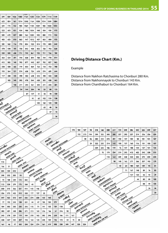

## **Driving Distance Chart (Km.)**

Example

Distance from Nakhon Ratchasima to Chonburi 280 Km. Distance from Nakhonnayok to Chonburi 143 Km. Distance from Chanthaburi to Chonburi 164 Km.

|     |                  |                         |                 |                               | SAMALT SAV    | masom                                                |              |          |                    |                         |                 | 174                            | 184               | 127         | 98                | 218                 | 148                            | 258                               | 217         | 174          | 245                            | 286               | 242          | 225 | 249 | 237 |
|-----|------------------|-------------------------|-----------------|-------------------------------|---------------|------------------------------------------------------|--------------|----------|--------------------|-------------------------|-----------------|--------------------------------|-------------------|-------------|-------------------|---------------------|--------------------------------|-----------------------------------|-------------|--------------|--------------------------------|-------------------|--------------|-----|-----|-----|
|     |                  |                         |                 |                               |               | BANGYOF                                              |              |          |                    |                         |                 |                                | 152               | 213         | 194               | 399                 | 332                            | 345                               | 280         | 237          | 293                            | 257               | 214          | 256 | 256 | 259 |
|     |                  |                         |                 |                               |               |                                                      |              | ATALITY  |                    |                         |                 |                                |                   | 58          | 86                | 380                 | 313                            | 272                               | 201         | 150          | 137                            | 102               | 58           | 101 | 101 | 107 |
|     |                  |                         |                 |                               |               |                                                      |              | SA KAEO  | <b>HATEFTAREST</b> | <b>NANCH RATCHASINA</b> |                 |                                |                   |             | 29                | 322                 | 255                            | 214                               | 143         | 100          | 137                            | 160               | 116          | 101 | 100 | 107 |
|     |                  | <b>MARKAH ANTONISAM</b> |                 |                               |               |                                                      |              |          |                    | <b>RIGHT</b>            |                 |                                |                   |             |                   | 309                 | 245                            | 186                               | 119         | 76           | 147                            | 188               | 144          | 127 | 151 | 135 |
|     | <b>WEINDAY</b>   |                         |                 |                               |               |                                                      |              |          |                    | SAFABURY                | <b>WESTERED</b> |                                |                   |             |                   |                     | 70                             | 179                               | 234         | 319          | 295                            | 413               | 402          | 342 | 328 | 315 |
|     | <b>KHON KAEN</b> | <b>R</b> 97572          |                 |                               |               |                                                      |              |          |                    |                         |                 | NAVERONALATOR<br><b>August</b> |                   |             |                   |                     |                                | 110                               | 164         | 249          | 228                            | 343               | 332          | 272 | 259 | 245 |
| 115 |                  | <b>UDON THANK</b>       | <b>Williams</b> |                               |               |                                                      |              |          |                    |                         |                 | <b>PRACHIMELAS</b>             | <b>WITH</b>       |             |                   |                     |                                |                                   | 98          | 140          | 162                            | 277               | 266          | 207 | 192 | 179 |
| 166 | 51               |                         | <b>NONG KIW</b> | <b>STANTS</b><br>SAICH NADRON |               |                                                      |              |          |                    |                         |                 |                                | <b>TRAT</b>       | Sump        |                   |                     |                                |                                   |             | 43           | 64                             | 180               | 169          | 109 | 95  | 81  |
| 205 | 159              | 210                     |                 |                               | <b>WATHIN</b> |                                                      |              |          |                    |                         |                 |                                |                   | CHANTHABURY | TOURS             |                     |                                |                                   |             |              | 71                             | 167               | 148          | 89  | 76  | 82  |
| 298 | 252              | 303                     | 93              |                               |               | NAVADA PHANDA<br><b>AIRINTERIOL</b><br>MAHA SARAKHAM |              |          |                    |                         |                 |                                |                   |             | RAYONG            | <b>Amp</b>          |                                |                                   |             |              |                                | 127               | 133          | 66  | 42  | 29  |
| 73  | 188              | 239                     | 172             | 265                           |               |                                                      | Foutba       |          |                    |                         |                 |                                |                   |             |                   | CHOMBUM             | <b>Quiguinn</b><br>CHACKGRAGAO |                                   |             |              |                                |                   | 44           | 80  | 89  | 100 |
| 113 | 228              | 279                     | 175             | 268                           | 40            |                                                      | <b>ROLET</b> | Franci   |                    |                         |                 |                                |                   |             |                   |                     |                                | <b>BATTLY MTS</b><br>SAMUT PRAKAN |             |              |                                |                   |              | 88  | 99  | 105 |
| 200 | 315              | 366                     | 321             | 414                           | 145           | 146                                                  |              | BURI RAM | Frink              |                         |                 |                                |                   |             |                   |                     |                                |                                   | SWITCHLE    |              |                                |                   |              |     | 26  | 46  |
| 256 | 373              | 422                     | 312             | 350                           | 177           | 137                                                  | 50           |          | SUPIN              | <b>TARSUM</b>           |                 |                                |                   |             |                   |                     |                                |                                   | SUPHAN BURK | <b>GAMBS</b> |                                |                   |              |     |     | 20  |
| 347 | 462              | 513                     | 347             | 332                           | 274           | 230                                                  | 155          | 105      |                    | SI SWET                 | manud           |                                |                   |             |                   |                     |                                |                                   |             | AVE THOUGH   | <b>Unavoice</b><br>PATTAM THAN |                   |              |     |     |     |
| 77  | 192              | 243                     | 128             | 221                           | 44            | 47                                                   | 184          | 184      | 279                |                         | <b>HALASIN</b>  | <b>DIABY</b>                   |                   |             |                   |                     |                                |                                   |             |              |                                | Mont              |              |     |     |     |
| 184 | 303              | 350                     | 230             | 215                           | 115           | 71                                                   | 191          | 135      | 159                | 118                     |                 | <b>YASOTHON</b>                | SILINTAD IS       |             |                   |                     |                                |                                   |             |              |                                | <b>NONTHABURN</b> | <b>Udanu</b> |     |     |     |
| 282 | 401              | 448                     | 286             | 271                           | 213           | 169                                                  | 216          | 166      | 61                 | 216                     | 98              |                                | LIBON ANTOINTINNE | Months      |                   |                     |                                |                                   |             |              |                                |                   | RAISKOX      |     |     |     |
| 243 | 278              | 329                     | 119             | 104                           | 210           | 162                                                  | 302          | 246      | 228                | 166                     | 111             | 167                            |                   | MACAHAN     | <b>STATISTICS</b> | <b>MANT CHARGEN</b> |                                |                                   |             |              |                                |                   |              |     |     |     |
| 238 | 357              | 404                     | 207             | 192                           | 165           | 125                                                  | 245          | 189      | 136                | 172                     | 54              | 75                             | 88                |             |                   | <b>Aristrany</b>    | <b>HONG BUL LAN PRU</b>        |                                   |             |              |                                |                   |              |     |     |     |
| 161 | 46               | 97                      | 205             | 298                           | 234           | 274                                                  | 361          | 419      | 508                | 238                     | 349             | 447                            | 320               | 324         |                   |                     |                                |                                   |             |              |                                |                   |              |     |     |     |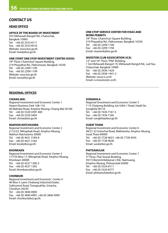## **CONTACT US**

### **HEAD OFFICE**

#### **OFFICE OF THE BOARD OF INVESTMENT**

555 Vibhavadi-Rangsit Rd., Chatuchak, Bangkok 10900 Tel: +66 (0) 2553-8111 Fax: +66 (0) 2553-8316 Website: www.boi.go.th Email: head@boi.go.th

#### **ONE START ONE STOP INVESTMENT CENTER (OSOS)**

18<sup>th</sup> Floor, Chamchuri Square Building, 319 Phayathai Rd., Pathumwan, Bangkok 10330 Tel: +66 (0) 2209-1100 Fax: +66 (0) 2209-1199 Website: osos.boi.go.th Email: osos@boi.go.th

#### **ONE STOP SERVICE CENTER FOR VISAS AND WORK PERMITS**

18<sup>th</sup> Floor, Chamchuri Square Building, 319 Phayathai Rd., Pathumwan, Bangkok 10330 Tel: +66 (0) 2209-1100 Fax: +66 (0) 2209-1194 Email: visawork@boi.go.th

#### **INVESTOR CLUB ASSOCIATION (ICA)**

12<sup>th</sup> and 16<sup>th</sup> Floor, TP&T Building, 1 Soi Vibhavadi-Rangsit 19, Vibhavadi-Rangsit Rd., Lad Yao, Chatuchak, Bangkok 10900 Tel: +66 (0) 2936-1429 Fax: +66 (0) 2936-1441-2 Website: www.ic.or.th Email: is-investor@ic.or.th

### **REGIONAL OFFICES**

#### **CHIANG MAI**

Regional Investment and Economic Center 1 Airport Business Park 108-110, 90 Mahidol Road, Amphur Muang, Chiang Mai 50100 Tel: +66 (0) 5320 3397-400 Fax: +66 (0) 5320 3404 Email: chmai@boi.go.th

#### **NAKHON RATCHASIMA**

Regional Investment and Economic Center 2 2112/22 Mitraphab Road, Amphur Muang, Nakhon Ratchasima 30000 Tel: +66 (0) 4421 3184-6 Fax: +66 (0) 4421 3182 Email: korat@boi.go.th

#### **KHONKAEN**

Regional Investment and Economic Center 3 177/54 Moo 17, Mitraphab Road, Amphur Muang, Khonkaen 40000 Tel: +66 (0) 4327 1300-2 Fax: +66 (0) 4327 1303 Email: khonkaen@boi.go.th

#### **CHONBURI**

Regional Investment and Economic Center 4 46 Moo 5 Laem Chabang Industrial Estate, Sukhumvit Road, Toongsukhla, Sriracha, Chonburi 20230 Tel: +66 (0) 3840 4900 Fax: +66 (0) 3840 4997, +66 (0) 3840 4999 Email: chonburi@boi.go.th

#### **SONGKHLA**

Regional Investment and Economic Center 5 7-15 Chaiyong Building Juti Uthit 1 Road, Hadd Yai, Songkhla 90110 Tel: +66 (0) 7434 7161-5 Fax: +66 (0) 7434 7160 Email: songkhla@boi.go.th

#### **SURAT THANI**

Regional Investment and Economic Center 6 49/21-22 Sriwichai Road, Makhamtia, Amphur Muang, Surat Thani 84000 Tel: +66 (0) 7728 4637, +66 (0) 7728 4435 Fax: +66 (0) 7728 4638 Email: surat@boi.go.th

#### **PHITSANULOK**

Regional Investment and Economic Center 7 3<sup>rd</sup> Floor, Thai Sivarat Building, 59/15 Boromtrilokkanat 2 Rd., Naimuang, Amphur Muang, Phitsanulok 65000 Tel: +66 (0) 5524-8111 Fax: +66 (0) 5524-8777 Email: phitsanulok@boi.go.th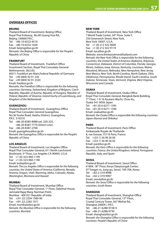### **OVERSEAS OFFICES**

#### **BEIJING**

Thailand Board of Investment, Beijing Office Royal Thai Embassy, No.40 Guang Hua Rd., Beijing 100600 P.R.C. Tel: +86-10-6532-4510 Fax: +86-10-6532-1620 Email: beijing@boi.go.th *Remarks: the Beijing Office is responsible for the People's Republic of China*

#### **FRANKFURT**

Thailand Board of Investment, Frankfurt Office Investment Section, Royal Thai Consulate-General Bethmannstr. 58,5.0G 60311 Frankfurt am Main,Federal Republic of Germany Tel: +49 (069) 92 91 230 Fax: +49 (069) 92 91 2320 Email: fra@boi.go.th

*Remarks: the Frankfurt Office is responsible for the following countries: Germany, Switzerland, Kingdom of Belgium, Czech Republic, Republic of Austria, Republic of Hungary, Republic of Poland, Republic of Slovenia, Grand Duchy of Luxembourg, and Kingdom of the Netherlands*

#### **GUANGZHOU**

Thailand Board of Investment, Guangzhou Office Royal Thai Consulate-General Guangzhou No.36 Youhe Road, Haizhu District, Guangzhou, P.R.C. 510310 Tel: +86-20-8385-8988 ext. 220-225,

+86-20-8387-7770 (Direct Line) Fax: +86-20-8387-2700 Email: guangzhou@boi.go.th *Remark: the Guangzhou Office is responsible for the People's Republic of China*

#### **LOS ANGELES**

Thailand Board of Investment, Los Angeles Office Royal Thai Consulate-General, 611 North Larchmont Boulevard, 3rd Floor, Los Angeles CA 90004, U.S.A. Tel: +1 (0)-323-960-1199 Fax: +1 (0)-323-960-1190 Email: boila@boi.go.th *Remark: The Los Angeles Office is responsible for the following countries: the United States of America (California, Nevada, Arizona, Oregon, Utah, Wyoming, Idaho, Colorado, Alaska, Washington, Montana and Hawaii)*

#### **MUMBAI**

Thailand Board of Investment, Mumbai Office Royal Thai Consulate-General, 1<sup>st</sup> Floor, Dalalmal House, Jamnalal Bajaj Marg, Nariman Point, Mumbai - 400 021 Republic of India Tel: +(91 22) 2204 1589-90 Fax: +(91 22) 2282 1071 Email: mumbai@boi.go.th *Remark: the Mumbai Office is responsible for the following countries: Mumbai*

#### **NEW YORK**

Thailand Board of Investment, New York Office 7 World Trade Center, 34th Floor. Suite F, 250 Greenwich Street, New York, New York 10007, U.S.A. Tel: +1 (0) 212 422 9009 Fax: +1 (0) 212 422 9119 Email: nyc@boi.go.th Website: www.thinkasiainvestthailand.com *Remark: the New York Office is responsible for the following countries: the United States of America (Alabama, Arkansas, Connecticut, Delaware, District of Columbia, Florida, Georgia, Illinois, Indiana, Iowa, Kansas, Kentucky, Louisiana, Maine, Maryland, Missouri, Nebraska, New Hampshire, New Jersey, New Mexico, New York, North Carolina, North Dakota, Ohio, Oklahoma, Pennsylvania, Rhode Island, South Carolina, South Dakota, Tennessee, Texas, Vermont, Virginia, West Virginia, Wisconsin) and Canada*

#### **OSAKA**

Thailand Board of Investment, Osaka Office Royal Thai Consulate-General, Bangkok Bank Building, 7th Floor, 1-9-16 Kyutaro-Machi, Chuo-Ku, Osaka 541-0056 Japan Tel: +81 (0) 6-6271-1395 Fax: +81 (0) 6-6271-1394 Email: osaka@boi.go.th *Remark: the Osaka Office is responsible the following countries: Japan (Kansai and Shikoku)*

#### **PARIS**

Thailand Board of Investment, Paris Office Ambassade Royale de Thaïlande 8, rue Greuze, 75116 Paris, France Tel: +(33-1) 56 90 26 00 Fax: +(33-1) 56 90 26 02 Email: par@boi.go.th *Remark: the Paris Office is responsible for the following countries: France, the United Kingdom, Ireland, Portuguese Republic, Italy, and Spain*

#### **SEOUL**

Thailand Board of Investment, Seoul Office #1804, 18th Floor, Koryo Daeyeongak Center, 97 Toegye-ro, Jung-gu, Seoul, 100-706, Korea Tel: +82-2-319-9998 Fax: +82-2-319-9997 Email: seoul@boi.go.th *Remark: the Seoul Office is responsible for the following countries: South Korea*

#### **SHANGHAI**

Thailand Board of Investment, Shanghai Office Royal Thai Consulate-General, 15<sup>th</sup> Floor, Crystal Century Tower, 567 Weihai Rd., Shanghai 200041, P.R.C. Tel: +86-21-6288-9728-9 Fax: +86-21-6288-9730 Email: shanghai@boi.go.th *Remark: the Shanghai Office is responsible for the following countries: People's Republic of China*